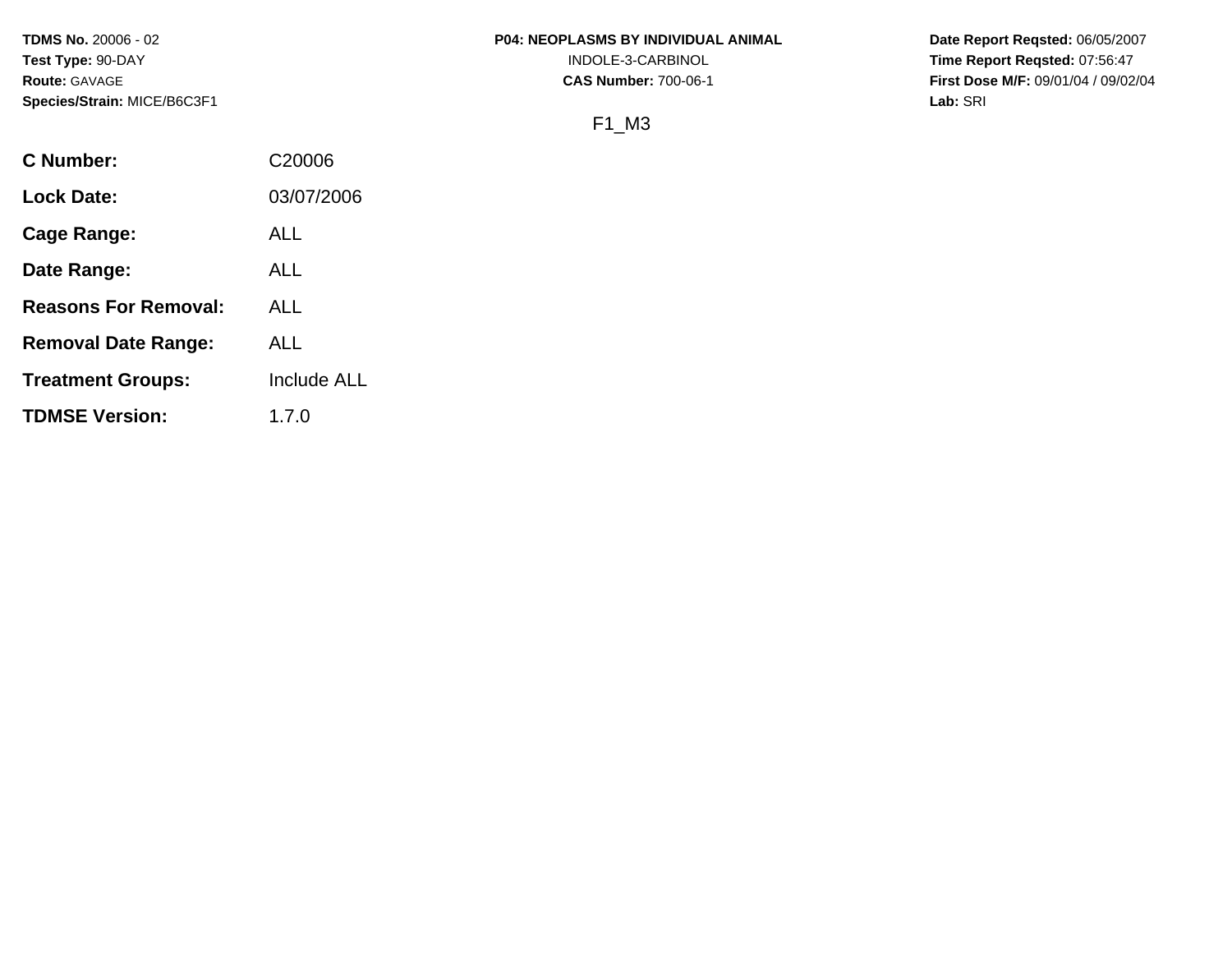**TDMS No.** 20006 - 02 **Test Type:** 90-DAY **Route:** GAVAGE **Species/Strain:** MICE/B6C3F1

### **P04: NEOPLASMS BY INDIVIDUAL ANIMAL**

INDOLE-3-CARBINOL

**CAS Number:** 700-06-1

**Date Report Reqsted:** 06/05/2007 **Time Report Reqsted:** 07:56:47 **First Dose M/F:** 09/01/04 / 09/02/04 **Lab:** SRI

# F1\_M3

| C Number:                   | C <sub>20006</sub> |
|-----------------------------|--------------------|
| <b>Lock Date:</b>           | 03/07/2006         |
| <b>Cage Range:</b>          | ALL                |
| Date Range:                 | ALL                |
| <b>Reasons For Removal:</b> | ALL                |
| <b>Removal Date Range:</b>  | ALL                |
| <b>Treatment Groups:</b>    | Include ALL        |
| <b>TDMSE Version:</b>       | 1.7.0              |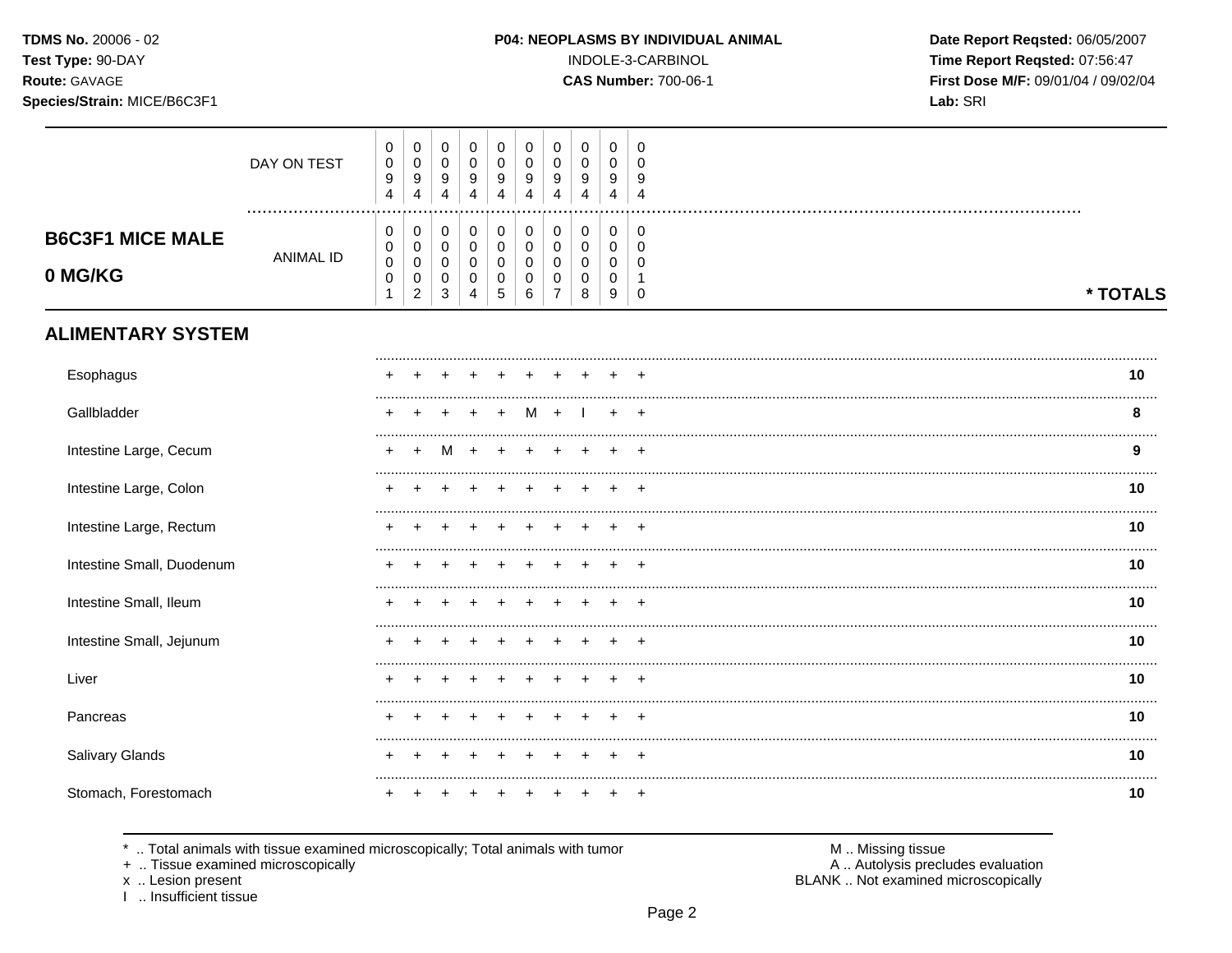### Species/Strain: MICE/B6C3F1

### P04: NEOPLASMS BY INDIVIDUAL ANIMAL

INDOLE-3-CARBINOL

**CAS Number: 700-06-1** 

Date Report Reqsted: 06/05/2007 Time Report Reqsted: 07:56:47 First Dose M/F: 09/01/04 / 09/02/04 Lab: SRI

|                                    | DAY ON TEST      | 0<br>$\pmb{0}$<br>$\boldsymbol{9}$<br>4          | $\mathbf 0$<br>$\mathsf 0$<br>9<br>$\overline{4}$            | 0<br>$\mathbf 0$<br>9<br>4                | $\pmb{0}$<br>$\pmb{0}$<br>9<br>4          | 0<br>$\pmb{0}$<br>9<br>4      | 0<br>$\pmb{0}$<br>9<br>4                     | 0<br>$\mathsf{O}\xspace$<br>9<br>4                                     | 0<br>0<br>9<br>4      | 0<br>0<br>9<br>4              | 0<br>$\mathbf 0$<br>9<br>4                            |          |
|------------------------------------|------------------|--------------------------------------------------|--------------------------------------------------------------|-------------------------------------------|-------------------------------------------|-------------------------------|----------------------------------------------|------------------------------------------------------------------------|-----------------------|-------------------------------|-------------------------------------------------------|----------|
| <b>B6C3F1 MICE MALE</b><br>0 MG/KG | <b>ANIMAL ID</b> | 0<br>0<br>$\pmb{0}$<br>$\pmb{0}$<br>$\mathbf{1}$ | 0<br>$\mathbf 0$<br>$\pmb{0}$<br>$\pmb{0}$<br>$\overline{c}$ | 0<br>$\mathbf 0$<br>$\mathbf 0$<br>0<br>3 | $\,0\,$<br>$\pmb{0}$<br>$\,0\,$<br>0<br>4 | $\pmb{0}$<br>0<br>0<br>0<br>5 | $\pmb{0}$<br>$\boldsymbol{0}$<br>0<br>0<br>6 | $\pmb{0}$<br>$\mathbf 0$<br>$\pmb{0}$<br>$\mathbf 0$<br>$\overline{7}$ | 0<br>0<br>0<br>0<br>8 | $\pmb{0}$<br>0<br>0<br>0<br>9 | $\mathbf 0$<br>$\mathbf 0$<br>$\Omega$<br>$\mathbf 0$ | * TOTALS |
| <b>ALIMENTARY SYSTEM</b>           |                  |                                                  |                                                              |                                           |                                           |                               |                                              |                                                                        |                       |                               |                                                       |          |
| Esophagus                          |                  |                                                  |                                                              |                                           |                                           |                               |                                              |                                                                        |                       |                               |                                                       | 10       |
| Gallbladder                        |                  |                                                  |                                                              |                                           |                                           |                               |                                              |                                                                        |                       |                               |                                                       | 8        |
| Intestine Large, Cecum             |                  |                                                  |                                                              | M                                         |                                           |                               |                                              |                                                                        |                       |                               |                                                       | 9        |
| Intestine Large, Colon             |                  |                                                  |                                                              |                                           |                                           |                               |                                              |                                                                        |                       |                               |                                                       | 10       |
| Intestine Large, Rectum            |                  |                                                  |                                                              |                                           |                                           |                               |                                              |                                                                        |                       |                               | $\div$                                                | 10       |
| Intestine Small, Duodenum          |                  |                                                  |                                                              |                                           |                                           |                               |                                              |                                                                        |                       |                               |                                                       | 10       |
| Intestine Small, Ileum             |                  |                                                  |                                                              |                                           |                                           |                               |                                              |                                                                        |                       |                               |                                                       | 10       |
| Intestine Small, Jejunum           |                  |                                                  |                                                              |                                           |                                           |                               |                                              |                                                                        |                       |                               |                                                       | 10       |
| Liver                              |                  |                                                  |                                                              |                                           |                                           |                               |                                              |                                                                        |                       |                               |                                                       | 10       |
| Pancreas                           |                  |                                                  |                                                              |                                           |                                           |                               |                                              |                                                                        |                       |                               |                                                       | 10       |
| <b>Salivary Glands</b>             |                  |                                                  |                                                              |                                           |                                           |                               |                                              |                                                                        |                       |                               |                                                       | 10       |
| Stomach, Forestomach               |                  |                                                  |                                                              |                                           |                                           |                               |                                              |                                                                        |                       |                               |                                                       | 10       |

\* .. Total animals with tissue examined microscopically; Total animals with tumor

+ .. Tissue examined microscopically

x .. Lesion present<br>I .. Insufficient tissue

M .. Missing tissue A .. Autolysis precludes evaluation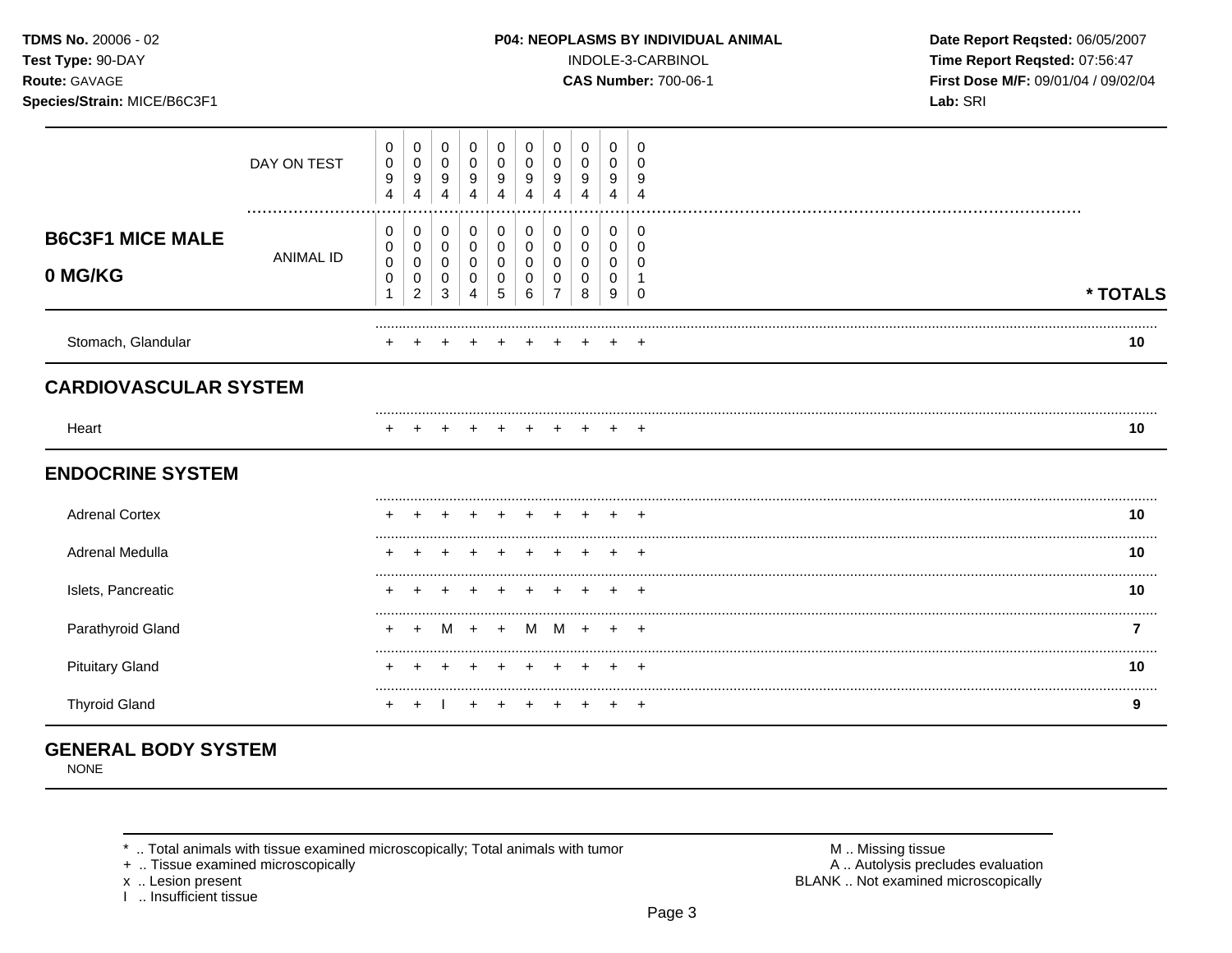# Species/Strain: MICE/B6C3F1

P04: NEOPLASMS BY INDIVIDUAL ANIMAL

INDOLE-3-CARBINOL

**CAS Number: 700-06-1** 

Date Report Reqsted: 06/05/2007 Time Report Reqsted: 07:56:47 First Dose M/F: 09/01/04 / 09/02/04 Lab: SRI

|                                    | DAY ON TEST      | 0<br>0<br>9<br>$\overline{\mathbf{4}}$ | 0<br>0<br>9<br>$\overline{4}$                             | 0<br>0<br>9<br>4      | 0<br>$\mathbf 0$<br>9                     | 0<br>0<br>9                     | 0<br>0<br>9<br>Δ      | 0<br>9      | 0<br>0<br>9           | 0<br>0<br>9           | 0<br>$\Omega$<br>9 |          |    |
|------------------------------------|------------------|----------------------------------------|-----------------------------------------------------------|-----------------------|-------------------------------------------|---------------------------------|-----------------------|-------------|-----------------------|-----------------------|--------------------|----------|----|
| <b>B6C3F1 MICE MALE</b><br>0 MG/KG | <b>ANIMAL ID</b> | 0<br>0<br>$\pmb{0}$<br>0<br>1          | 0<br>$\pmb{0}$<br>$\boldsymbol{0}$<br>0<br>$\overline{c}$ | 0<br>0<br>0<br>0<br>3 | 0<br>$\mathbf 0$<br>$\mathbf 0$<br>0<br>4 | 0<br>$\mathbf 0$<br>0<br>0<br>5 | 0<br>0<br>0<br>0<br>6 | 0<br>0<br>0 | 0<br>0<br>0<br>0<br>8 | 0<br>0<br>0<br>0<br>9 | 0<br>0<br>0        | * TOTALS |    |
| Stomach, Glandular                 |                  |                                        |                                                           |                       |                                           |                                 |                       |             |                       |                       |                    |          | 10 |
| <b>CARDIOVASCULAR SYSTEM</b>       |                  |                                        |                                                           |                       |                                           |                                 |                       |             |                       |                       |                    |          |    |
| Heart                              |                  |                                        |                                                           |                       |                                           |                                 | $\pm$                 |             |                       | $\ddot{}$             | $+$                |          | 10 |
| <b>ENDOCRINE SYSTEM</b>            |                  |                                        |                                                           |                       |                                           |                                 |                       |             |                       |                       |                    |          |    |
| <b>Adrenal Cortex</b>              |                  |                                        |                                                           |                       |                                           |                                 |                       |             |                       |                       |                    |          | 10 |
| <b>Adrenal Medulla</b>             |                  |                                        |                                                           |                       |                                           |                                 |                       |             |                       |                       |                    |          | 10 |
| Islets, Pancreatic                 |                  |                                        |                                                           |                       |                                           |                                 |                       |             |                       |                       |                    |          | 10 |
| Parathyroid Gland                  |                  |                                        |                                                           | M                     | $+$                                       | $+$                             | M                     | M           | $\div$                | $\div$                | $\overline{+}$     |          |    |
| <b>Pituitary Gland</b>             |                  |                                        |                                                           |                       |                                           |                                 |                       |             |                       |                       | ٠                  |          | 10 |
| <b>Thyroid Gland</b>               |                  |                                        |                                                           |                       |                                           |                                 |                       |             |                       |                       |                    |          | 9  |

# **GENERAL BODY SYSTEM**

**NONE** 

\* .. Total animals with tissue examined microscopically; Total animals with tumor

+ .. Tissue examined microscopically

x .. Lesion present<br>I .. Insufficient tissue

M .. Missing tissue<br>A .. Autolysis precludes evaluation BLANK .. Not examined microscopically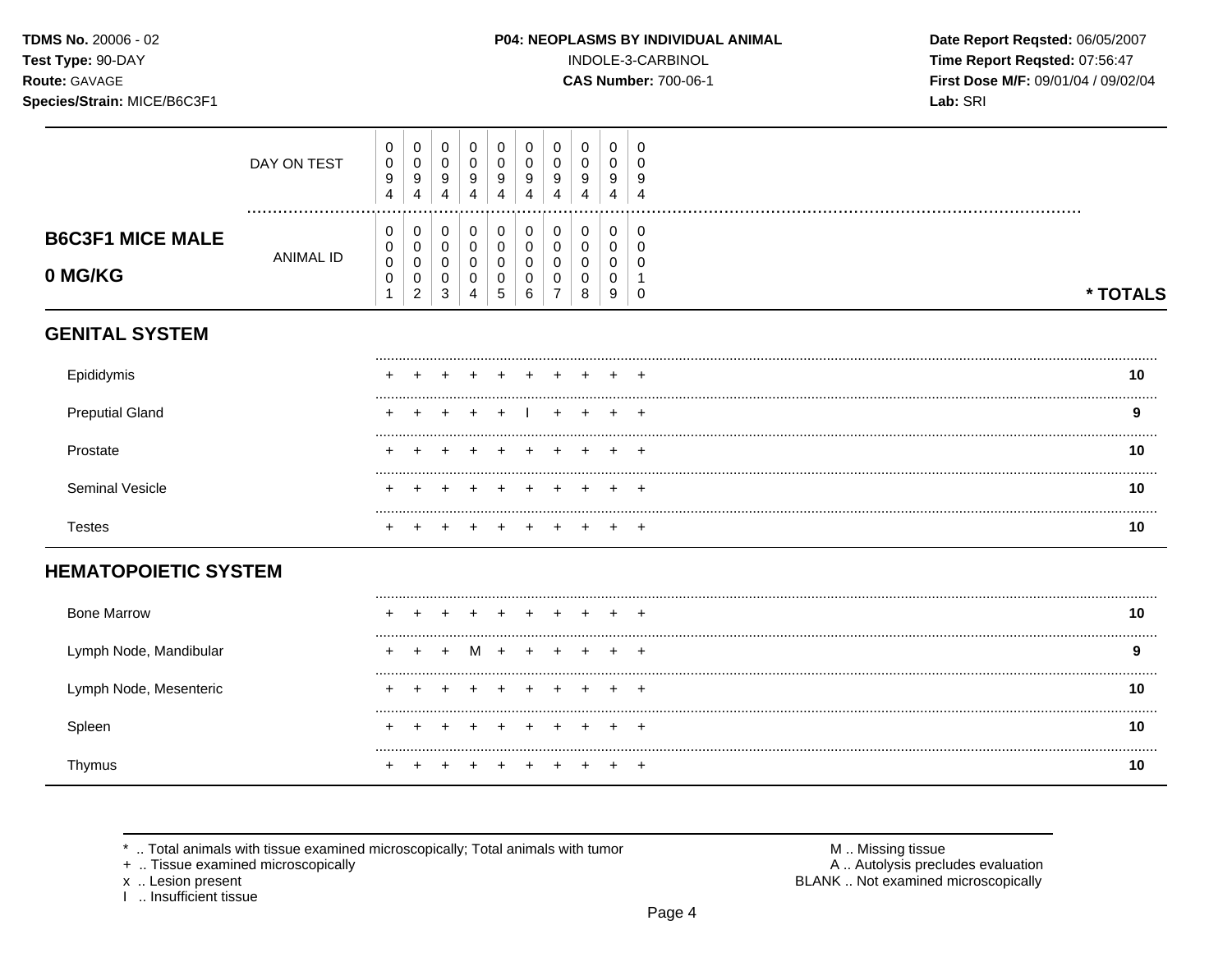TDMS No. 20006 - 02 Test Type: 90-DAY

# Route: GAVAGE

Species/Strain: MICE/B6C3F1

### P04: NEOPLASMS BY INDIVIDUAL ANIMAL

INDOLE-3-CARBINOL

**CAS Number: 700-06-1** 

Date Report Reqsted: 06/05/2007 Time Report Reqsted: 07:56:47 First Dose M/F: 09/01/04 / 09/02/04 Lab: SRI

|                                    | DAY ON TEST      | $\pmb{0}$<br>$\pmb{0}$<br>$\boldsymbol{9}$<br>4 | $\mathbf 0$<br>$\pmb{0}$<br>$\boldsymbol{9}$<br>4                      | $\mathbf 0$<br>$\mathbf 0$<br>9<br>4             | $\mathbf 0$<br>$\mathbf 0$<br>9<br>4    | $\pmb{0}$<br>$\pmb{0}$<br>9<br>4                         | 0<br>0<br>9<br>4                | 0<br>$\pmb{0}$<br>9<br>4           | 0<br>$\mathbf 0$<br>9<br>4  | 0<br>0<br>9<br>4      | 0<br>0<br>9<br>$\overline{4}$ |          |    |
|------------------------------------|------------------|-------------------------------------------------|------------------------------------------------------------------------|--------------------------------------------------|-----------------------------------------|----------------------------------------------------------|---------------------------------|------------------------------------|-----------------------------|-----------------------|-------------------------------|----------|----|
| <b>B6C3F1 MICE MALE</b><br>0 MG/KG | <b>ANIMAL ID</b> | 0<br>$\pmb{0}$<br>$\mathbf 0$<br>$\pmb{0}$<br>1 | $\pmb{0}$<br>$\pmb{0}$<br>$\pmb{0}$<br>$\mathbf 0$<br>$\boldsymbol{2}$ | 0<br>$\mathbf 0$<br>$\pmb{0}$<br>0<br>$\sqrt{3}$ | 0<br>$\mathbf 0$<br>$\pmb{0}$<br>0<br>4 | $\pmb{0}$<br>$\mathbf 0$<br>0<br>$\pmb{0}$<br>$\sqrt{5}$ | 0<br>$\mathbf 0$<br>0<br>0<br>6 | 0<br>0<br>0<br>0<br>$\overline{7}$ | 0<br>0<br>0<br>0<br>$\,8\,$ | 0<br>0<br>0<br>0<br>9 | 0<br>0<br>0<br>$\mathbf 0$    | * TOTALS |    |
| <b>GENITAL SYSTEM</b>              |                  |                                                 |                                                                        |                                                  |                                         |                                                          |                                 |                                    |                             |                       |                               |          |    |
| Epididymis                         |                  |                                                 |                                                                        |                                                  |                                         |                                                          |                                 |                                    |                             |                       |                               |          | 10 |
| <b>Preputial Gland</b>             |                  |                                                 |                                                                        |                                                  |                                         |                                                          |                                 |                                    |                             |                       | $\div$                        |          | 9  |
| Prostate                           |                  |                                                 |                                                                        |                                                  |                                         |                                                          |                                 |                                    |                             |                       |                               |          | 10 |
| Seminal Vesicle                    |                  |                                                 |                                                                        |                                                  |                                         |                                                          |                                 |                                    |                             |                       |                               |          | 10 |
| <b>Testes</b>                      |                  |                                                 |                                                                        |                                                  |                                         |                                                          |                                 |                                    |                             |                       | $\div$                        |          | 10 |
| <b>HEMATOPOIETIC SYSTEM</b>        |                  |                                                 |                                                                        |                                                  |                                         |                                                          |                                 |                                    |                             |                       |                               |          |    |
| <b>Bone Marrow</b>                 |                  |                                                 |                                                                        |                                                  |                                         |                                                          |                                 |                                    |                             |                       |                               |          | 10 |
| Lymph Node, Mandibular             |                  |                                                 |                                                                        |                                                  | M                                       | $\ddot{}$                                                |                                 |                                    |                             |                       | $\ddot{}$                     |          | 9  |
| Lymph Node, Mesenteric             |                  |                                                 |                                                                        |                                                  |                                         |                                                          |                                 |                                    |                             |                       | $\div$                        |          | 10 |
| Spleen                             |                  |                                                 |                                                                        |                                                  |                                         |                                                          |                                 |                                    |                             |                       | $\ddot{}$                     |          | 10 |
| Thymus                             |                  |                                                 |                                                                        |                                                  |                                         |                                                          |                                 |                                    |                             |                       | $\overline{+}$                |          | 10 |

\* .. Total animals with tissue examined microscopically; Total animals with tumor

+ .. Tissue examined microscopically

x .. Lesion present<br>I .. Insufficient tissue

M .. Missing tissue<br>A .. Autolysis precludes evaluation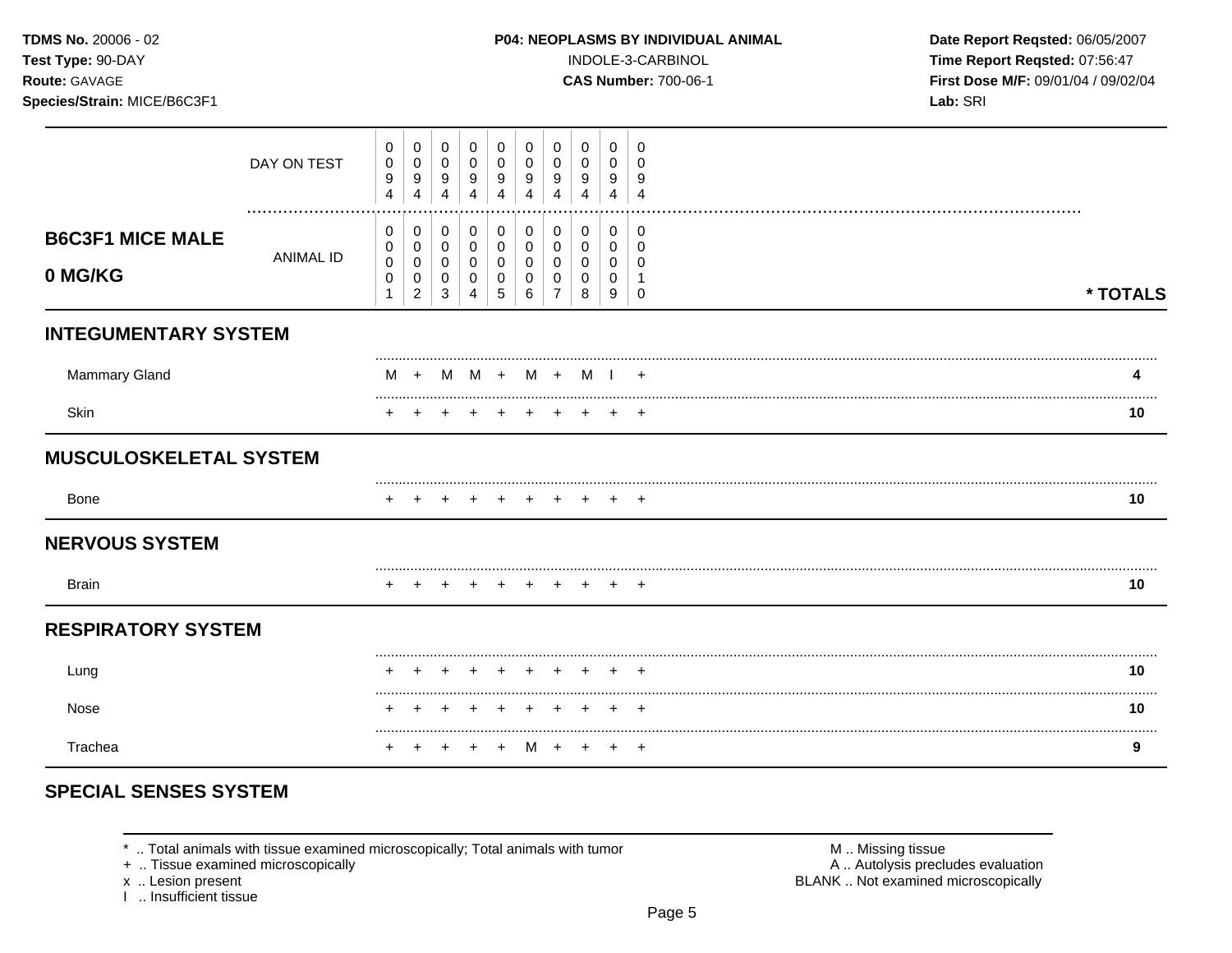### Species/Strain: MICE/B6C3F1

INDOLE-3-CARBINOL

**CAS Number: 700-06-1** 

Date Report Reqsted: 06/05/2007 Time Report Reqsted: 07:56:47 First Dose M/F: 09/01/04 / 09/02/04 Lab: SRI

|                                    | DAY ON TEST      | 0<br>0<br>9<br>$\overline{4}$ | 0<br>0<br>9<br>4                             | 0<br>0<br>9<br>4                                        | 0<br>0<br>9<br>4              | 0<br>0<br>9<br>4      | 0<br>0<br>9<br>4      | 0<br>0<br>9<br>Δ                   | 0<br>0<br>9<br>Δ      | 0<br>0<br>9<br>4      | 0<br>$\Omega$<br>9<br>Δ        |          |
|------------------------------------|------------------|-------------------------------|----------------------------------------------|---------------------------------------------------------|-------------------------------|-----------------------|-----------------------|------------------------------------|-----------------------|-----------------------|--------------------------------|----------|
| <b>B6C3F1 MICE MALE</b><br>0 MG/KG | <b>ANIMAL ID</b> | 0<br>0<br>0<br>$\,0\,$<br>1   | 0<br>0<br>0<br>$\mathbf 0$<br>$\overline{c}$ | 0<br>$\pmb{0}$<br>$\overline{0}$<br>$\overline{0}$<br>3 | 0<br>$\pmb{0}$<br>0<br>0<br>4 | 0<br>0<br>0<br>0<br>5 | 0<br>0<br>0<br>0<br>6 | 0<br>0<br>0<br>0<br>$\overline{7}$ | 0<br>0<br>0<br>0<br>8 | 0<br>0<br>0<br>0<br>9 | 0<br>0<br>$\Omega$<br>$\Omega$ | * TOTALS |
| <b>INTEGUMENTARY SYSTEM</b>        |                  |                               |                                              |                                                         |                               |                       |                       |                                    |                       |                       |                                |          |
| <b>Mammary Gland</b>               |                  |                               | M +                                          | M                                                       | $M + M + M$                   |                       |                       |                                    |                       |                       | $\div$                         | 4        |
| Skin                               |                  |                               |                                              |                                                         |                               |                       | $\pm$                 |                                    |                       | $\pm$                 |                                | 10       |
| <b>MUSCULOSKELETAL SYSTEM</b>      |                  |                               |                                              |                                                         |                               |                       |                       |                                    |                       |                       |                                |          |
| <b>Bone</b>                        |                  |                               |                                              |                                                         |                               |                       |                       |                                    |                       |                       | $+$                            | 10       |
| <b>NERVOUS SYSTEM</b>              |                  |                               |                                              |                                                         |                               |                       |                       |                                    |                       |                       |                                |          |
| <b>Brain</b>                       |                  |                               |                                              |                                                         |                               |                       | $+$                   | $+$                                |                       | $+$                   | $+$                            | 10       |
| <b>RESPIRATORY SYSTEM</b>          |                  |                               |                                              |                                                         |                               |                       |                       |                                    |                       |                       |                                |          |
| Lung                               |                  |                               |                                              |                                                         |                               |                       |                       | $+$                                |                       | $+$                   | $\overline{ }$                 | 10       |
| Nose                               |                  |                               |                                              |                                                         |                               |                       |                       |                                    |                       |                       | $\div$                         | <br>10   |
| Trachea                            |                  |                               |                                              |                                                         |                               |                       | м                     | $\pm$                              |                       | $\ddot{}$             | $+$                            | 9        |

# **SPECIAL SENSES SYSTEM**

\* .. Total animals with tissue examined microscopically; Total animals with tumor

+ .. Tissue examined microscopically

x .. Lesion present<br>I .. Insufficient tissue

M .. Missing tissue A .. Autolysis precludes evaluation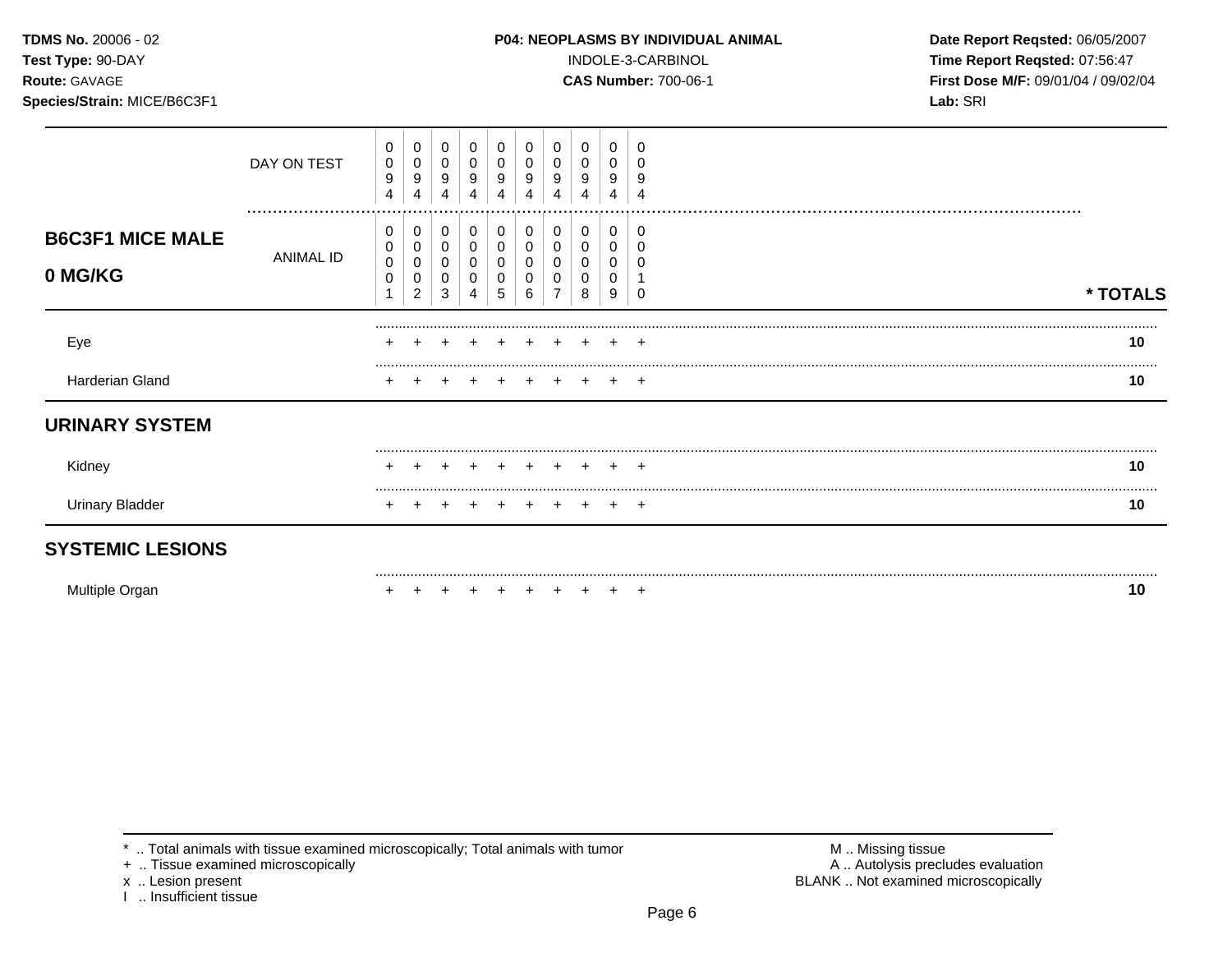### **TDMS No.** 20006 - 02 **P04: NEOPLASMS BY INDIVIDUAL ANIMAL** Date Report Reqsted: 06/05/2007

**Test Type:** 90-DAY INDOLE-3-CARBINOL **Time Report Reqsted:** 07:56:47 **Route:** GAVAGE **CAS Number:** 700-06-1 **First Dose M/F:** 09/01/04 / 09/02/04 **Species/Strain:** MICE/B6C3F1 **Lab:** SRI

| <b>SYSTEMIC LESIONS</b>            |                 |                  |                                    |             |                       |             |   |        |                       |                       |               |          |
|------------------------------------|-----------------|------------------|------------------------------------|-------------|-----------------------|-------------|---|--------|-----------------------|-----------------------|---------------|----------|
| <b>Urinary Bladder</b>             |                 |                  |                                    |             |                       |             |   |        |                       |                       |               | 10       |
| Kidney                             |                 | ÷                |                                    |             |                       |             |   |        |                       |                       |               | 10       |
| <b>URINARY SYSTEM</b>              |                 |                  |                                    |             |                       |             |   |        |                       |                       |               |          |
| Harderian Gland                    |                 |                  |                                    |             |                       |             |   |        |                       |                       | $\div$        | 10       |
| Eye                                |                 | $\pm$            |                                    |             |                       |             |   |        |                       |                       | $+$           | 10       |
| <b>B6C3F1 MICE MALE</b><br>0 MG/KG | ANIMAL ID       | 0<br>0<br>0<br>0 | 0<br>0<br>0<br>0<br>$\overline{c}$ | 0<br>3      | 0<br>0<br>0<br>0<br>4 | 0<br>0<br>5 | 6 |        | 0<br>0<br>0<br>0<br>8 | 0<br>0<br>0<br>0<br>9 |               | * TOTALS |
|                                    | DAY ON TEST<br> | 0<br>0<br>9<br>4 | 0<br>0<br>9<br>4                   | 0<br>0<br>9 | 0<br>0<br>9<br>4      | 0<br>9<br>4 | 4 | 9<br>4 | 0<br>0<br>9<br>4      | 0<br>0<br>9<br>4      | 9<br>$\Omega$ |          |

Multiple Organ + + + + + + + + + + **10** 

\* .. Total animals with tissue examined microscopically; Total animals with tumor  $\blacksquare$  M .. Missing tissue<br>
+ .. Tissue examined microscopically

I .. Insufficient tissue

A .. Autolysis precludes evaluation x .. Lesion present **BLANK** .. Not examined microscopically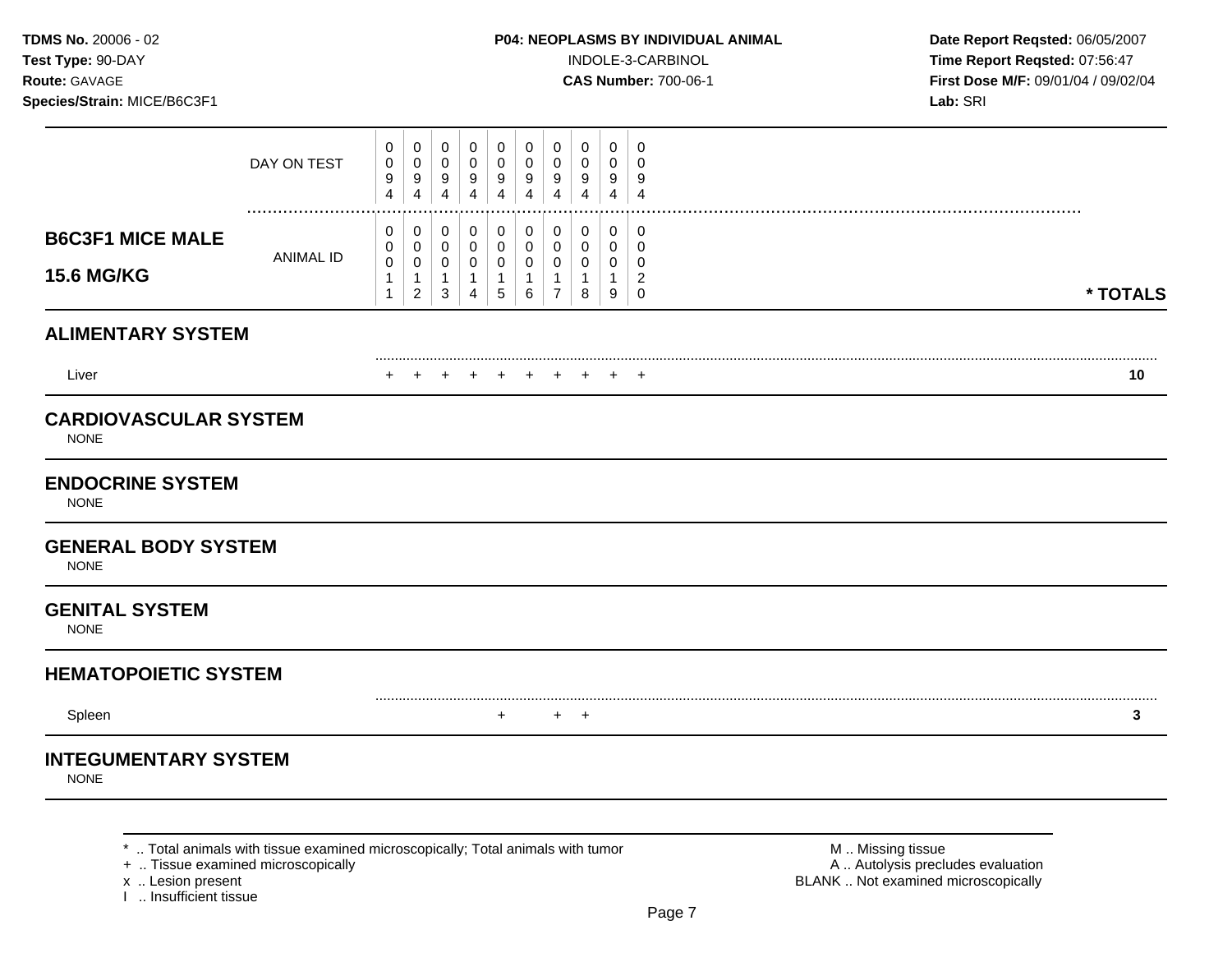**Test Type:** 90-DAY INDOLE-3-CARBINOL **Time Report Reqsted:** 07:56:47 **Route:** GAVAGE **CAS Number:** 700-06-1 **First Dose M/F:** 09/01/04 / 09/02/04

|                                              | DAY ON TEST      | 0<br>0<br>9<br>4                | 0<br>0<br>$\boldsymbol{9}$<br>$\overline{4}$            | $\mathbf 0$<br>0<br>$\boldsymbol{9}$<br>$\overline{4}$          | 0<br>0<br>9<br>$\overline{4}$                           | 0<br>0<br>9<br>4                                    | 0<br>0<br>9<br>4                | 0<br>0<br>9<br>4                              | 0<br>0<br>9<br>4                | 0<br>0<br>9<br>4      | 0<br>$\Omega$<br>9<br>$\overline{4}$         |          |
|----------------------------------------------|------------------|---------------------------------|---------------------------------------------------------|-----------------------------------------------------------------|---------------------------------------------------------|-----------------------------------------------------|---------------------------------|-----------------------------------------------|---------------------------------|-----------------------|----------------------------------------------|----------|
| <b>B6C3F1 MICE MALE</b><br><b>15.6 MG/KG</b> | <b>ANIMAL ID</b> | 0<br>0<br>$\mathbf 0$<br>1<br>1 | 0<br>0<br>$\pmb{0}$<br>$\mathbf{1}$<br>$\boldsymbol{2}$ | 0<br>$\mathbf 0$<br>$\mathbf 0$<br>$\mathbf{1}$<br>$\mathbf{3}$ | 0<br>$\mathbf 0$<br>0<br>$\mathbf{1}$<br>$\overline{4}$ | 0<br>$\mathbf 0$<br>0<br>$\mathbf{1}$<br>$\sqrt{5}$ | 0<br>$\mathbf 0$<br>0<br>1<br>6 | 0<br>0<br>0<br>$\mathbf{1}$<br>$\overline{7}$ | $\mathbf 0$<br>0<br>0<br>1<br>8 | 0<br>0<br>0<br>1<br>9 | 0<br>0<br>0<br>$\overline{2}$<br>$\mathbf 0$ | * TOTALS |
| <b>ALIMENTARY SYSTEM</b>                     |                  |                                 |                                                         |                                                                 |                                                         |                                                     |                                 |                                               |                                 |                       |                                              |          |
| Liver                                        |                  |                                 |                                                         |                                                                 |                                                         |                                                     |                                 |                                               |                                 |                       | $\ddot{}$                                    | 10       |
| <b>CARDIOVASCULAR SYSTEM</b><br><b>NONE</b>  |                  |                                 |                                                         |                                                                 |                                                         |                                                     |                                 |                                               |                                 |                       |                                              |          |
| <b>ENDOCRINE SYSTEM</b><br><b>NONE</b>       |                  |                                 |                                                         |                                                                 |                                                         |                                                     |                                 |                                               |                                 |                       |                                              |          |
| <b>GENERAL BODY SYSTEM</b><br><b>NONE</b>    |                  |                                 |                                                         |                                                                 |                                                         |                                                     |                                 |                                               |                                 |                       |                                              |          |
| <b>GENITAL SYSTEM</b><br><b>NONE</b>         |                  |                                 |                                                         |                                                                 |                                                         |                                                     |                                 |                                               |                                 |                       |                                              |          |
| <b>HEMATOPOIETIC SYSTEM</b>                  |                  |                                 |                                                         |                                                                 |                                                         |                                                     |                                 |                                               |                                 |                       |                                              |          |
| Spleen                                       |                  |                                 |                                                         |                                                                 |                                                         | $\ddot{}$                                           |                                 |                                               | $+$ $+$                         |                       |                                              | 3        |
| <b>INTEGUMENTARY SYSTEM</b><br><b>NONE</b>   |                  |                                 |                                                         |                                                                 |                                                         |                                                     |                                 |                                               |                                 |                       |                                              |          |

\* .. Total animals with tissue examined microscopically; Total animals with tumor  $\blacksquare$  M .. Missing tissue<br>A .. Autolysis precit (A .. Autolysis precit (A .. Autolysis precit (A .. Autolysis precit (A .. Autolysis pre

x .. Lesion present<br>I .. Insufficient tissue

A .. Autolysis precludes evaluation BLANK .. Not examined microscopically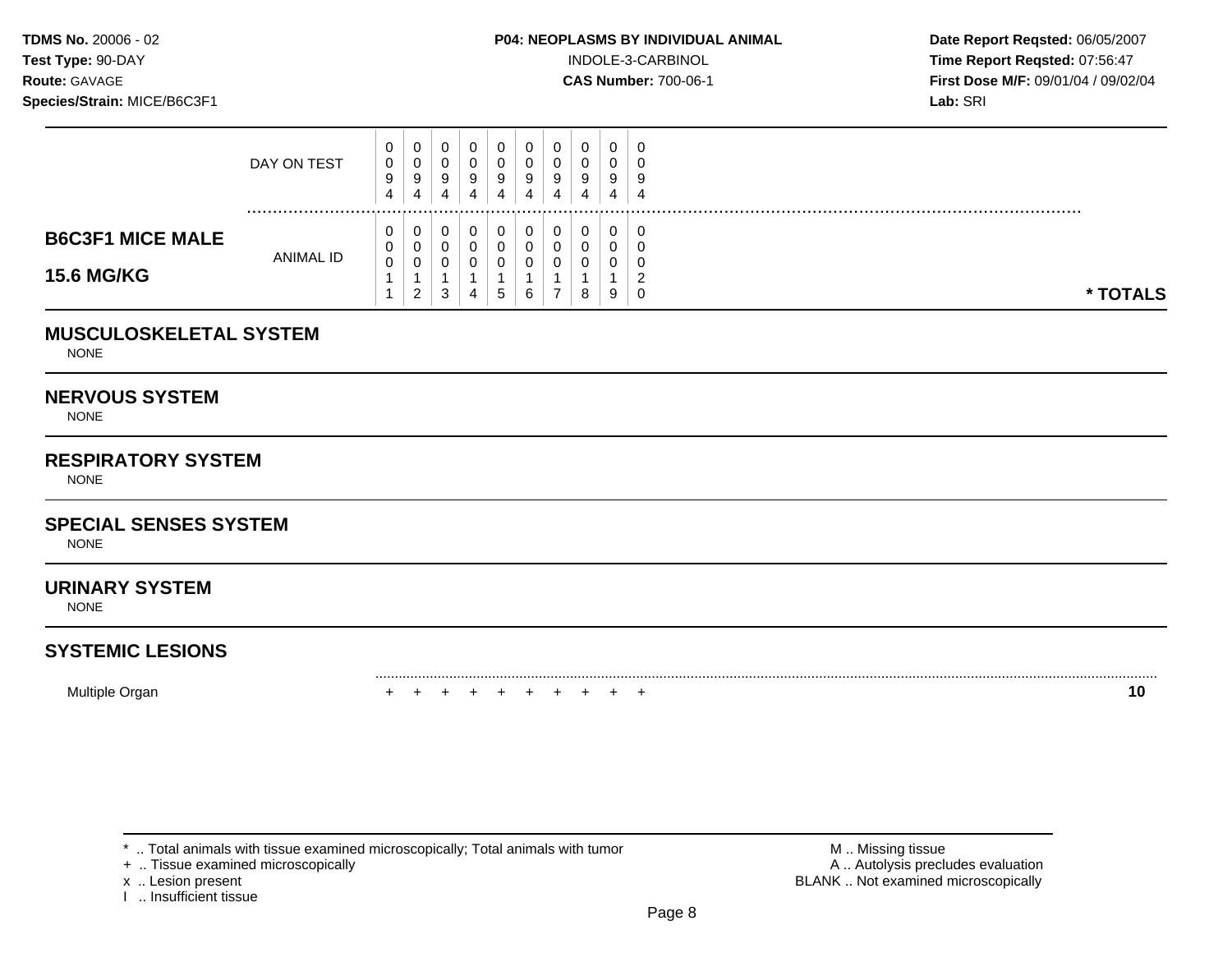**Test Type:**  $90-DAY$  **INDOLE-3-CARBINOL Time Report Reqsted: 07:56:47 Route:** GAVAGE **CAS Number:** 700-06-1 **First Dose M/F:** 09/01/04 / 09/02/04

|                         | DAY ON TEST | U<br>0<br>9<br>4 | U<br>U<br>9<br>4 | v<br>9<br>4 | 0<br>0<br>9 | U<br>9<br>4 | - 0<br>9 | 0<br>0<br>9<br>4 | U.<br>U.<br>9<br>4 | 0<br>U<br>9<br>4 | 0<br>υ<br>9<br>4 |
|-------------------------|-------------|------------------|------------------|-------------|-------------|-------------|----------|------------------|--------------------|------------------|------------------|
| <b>B6C3F1 MICE MALE</b> | ANIMAL ID   | ◡<br>$\sim$      | U<br>U<br>υ      |             | 0<br>0<br>0 | υ<br>U      |          | 0<br>0<br>0      | U<br>U<br>C<br>U   | U<br>U<br>U      | -0<br>u<br>υ     |
| <b>15.6 MG/KG</b>       |             |                  | 2                | 3           | 4           | 5           | 6        |                  | 8                  | 9                | ◠<br>0           |

### **MUSCULOSKELETAL SYSTEM**

NONE

### **NERVOUS SYSTEM**

NONE

## **RESPIRATORY SYSTEM**

**NONE** 

### **SPECIAL SENSES SYSTEM**

NONE

### **URINARY SYSTEM**

NONE

# **SYSTEMIC LESIONS**

Multiple Organ + + + + + + + + + + **10** 

+ .. Tissue examined microscopically

I .. Insufficient tissue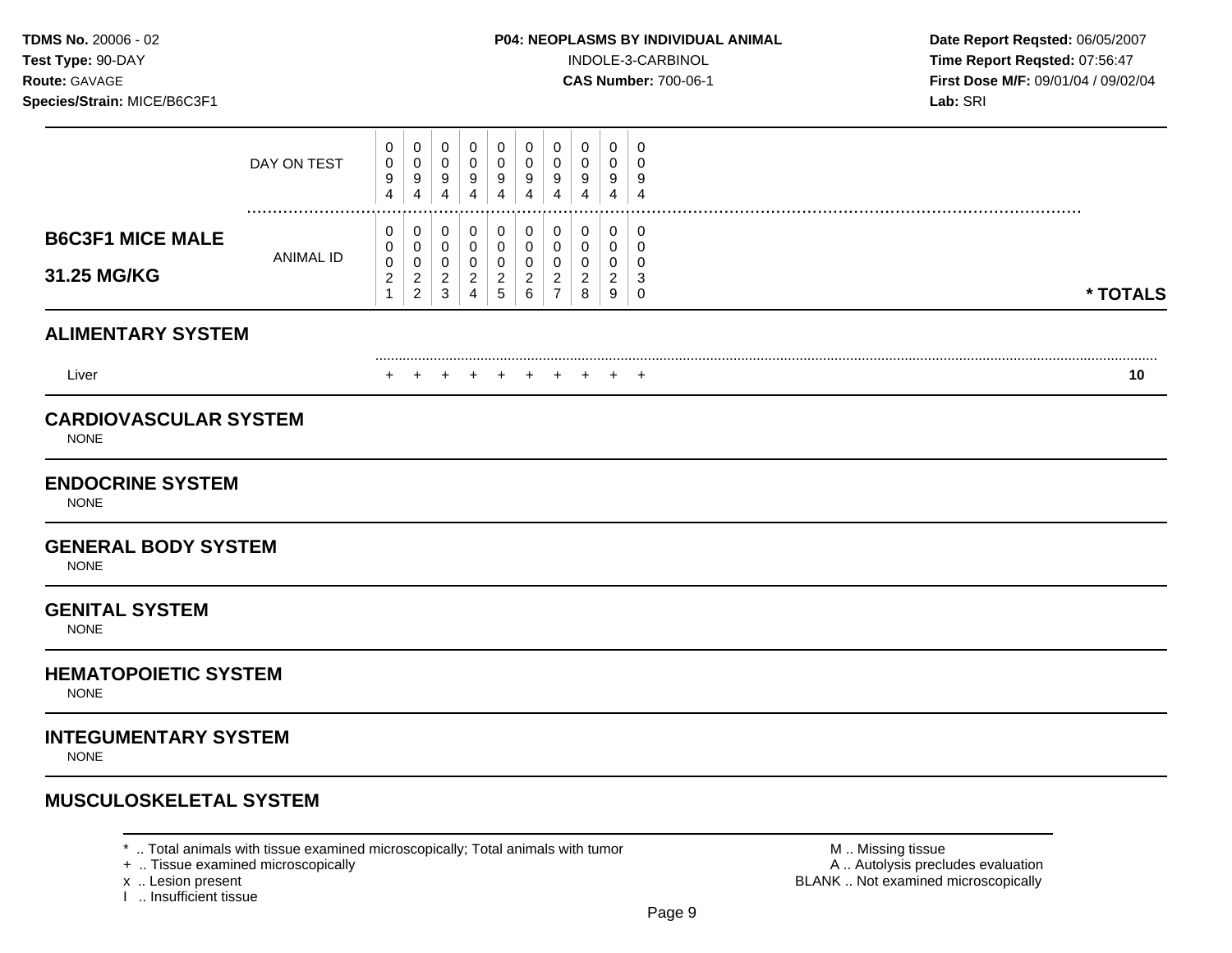**Test Type:** 90-DAY INDOLE-3-CARBINOL **Time Report Reqsted:** 07:56:47 **Route:** GAVAGE **CAS Number:** 700-06-1 **First Dose M/F:** 09/01/04 / 09/02/04

|                                             | DAY ON TEST          | 0<br>0<br>9<br>4                               | 0<br>0<br>9<br>4                                        | 0<br>0<br>9<br>$\overline{\mathbf{4}}$                                    | 0<br>0<br>9<br>$\overline{4}$                                       | 0<br>$\mathbf 0$<br>9<br>4                             | 0<br>0<br>9<br>4                                                          | 0<br>0<br>9<br>$\overline{4}$                   | 0<br>0<br>9<br>$\overline{4}$      | 0<br>0<br>9<br>4                                  | 0<br>0<br>9<br>$\overline{4}$   |          |
|---------------------------------------------|----------------------|------------------------------------------------|---------------------------------------------------------|---------------------------------------------------------------------------|---------------------------------------------------------------------|--------------------------------------------------------|---------------------------------------------------------------------------|-------------------------------------------------|------------------------------------|---------------------------------------------------|---------------------------------|----------|
| <b>B6C3F1 MICE MALE</b><br>31.25 MG/KG      | <br><b>ANIMAL ID</b> | 0<br>0<br>0<br>$\boldsymbol{2}$<br>$\mathbf 1$ | 0<br>0<br>$\pmb{0}$<br>$\overline{c}$<br>$\overline{c}$ | 0<br>$\mathbf 0$<br>$\mathbf 0$<br>$\overline{\mathbf{c}}$<br>$\mathsf 3$ | 0<br>$\mathbf 0$<br>$\mathbf 0$<br>$\overline{c}$<br>$\overline{4}$ | 0<br>$\mathbf 0$<br>$\mathbf 0$<br>$\overline{c}$<br>5 | 0<br>$\boldsymbol{0}$<br>$\boldsymbol{0}$<br>$\overline{\mathbf{c}}$<br>6 | 0<br>0<br>0<br>$\overline{c}$<br>$\overline{7}$ | 0<br>0<br>0<br>$\overline{c}$<br>8 | 0<br>0<br>0<br>$\overline{c}$<br>$\boldsymbol{9}$ | 0<br>0<br>0<br>3<br>$\mathbf 0$ | * TOTALS |
| <b>ALIMENTARY SYSTEM</b>                    |                      |                                                |                                                         |                                                                           |                                                                     |                                                        |                                                                           |                                                 |                                    |                                                   |                                 |          |
| Liver                                       |                      |                                                |                                                         | $\pm$                                                                     | $\pm$                                                               | $+$                                                    | $\pm$                                                                     | $\pm$                                           |                                    |                                                   | $^+$                            | 10       |
| <b>CARDIOVASCULAR SYSTEM</b><br><b>NONE</b> |                      |                                                |                                                         |                                                                           |                                                                     |                                                        |                                                                           |                                                 |                                    |                                                   |                                 |          |
| <b>ENDOCRINE SYSTEM</b><br><b>NONE</b>      |                      |                                                |                                                         |                                                                           |                                                                     |                                                        |                                                                           |                                                 |                                    |                                                   |                                 |          |
| <b>GENERAL BODY SYSTEM</b><br><b>NONE</b>   |                      |                                                |                                                         |                                                                           |                                                                     |                                                        |                                                                           |                                                 |                                    |                                                   |                                 |          |
| <b>GENITAL SYSTEM</b><br><b>NONE</b>        |                      |                                                |                                                         |                                                                           |                                                                     |                                                        |                                                                           |                                                 |                                    |                                                   |                                 |          |
| <b>HEMATOPOIETIC SYSTEM</b><br><b>NONE</b>  |                      |                                                |                                                         |                                                                           |                                                                     |                                                        |                                                                           |                                                 |                                    |                                                   |                                 |          |
| <b>INTEGUMENTARY SYSTEM</b><br><b>NONE</b>  |                      |                                                |                                                         |                                                                           |                                                                     |                                                        |                                                                           |                                                 |                                    |                                                   |                                 |          |
| <b>MUSCULOSKELETAL SYSTEM</b>               |                      |                                                |                                                         |                                                                           |                                                                     |                                                        |                                                                           |                                                 |                                    |                                                   |                                 |          |

\* .. Total animals with tissue examined microscopically; Total animals with tumor  $\blacksquare$  M .. Missing tissue<br>A .. Autolysis precit (A .. Autolysis precit (A .. Autolysis precit (A .. Autolysis precit (A .. Autolysis pre

x .. Lesion present<br>I .. Insufficient tissue

A .. Autolysis precludes evaluation BLANK .. Not examined microscopically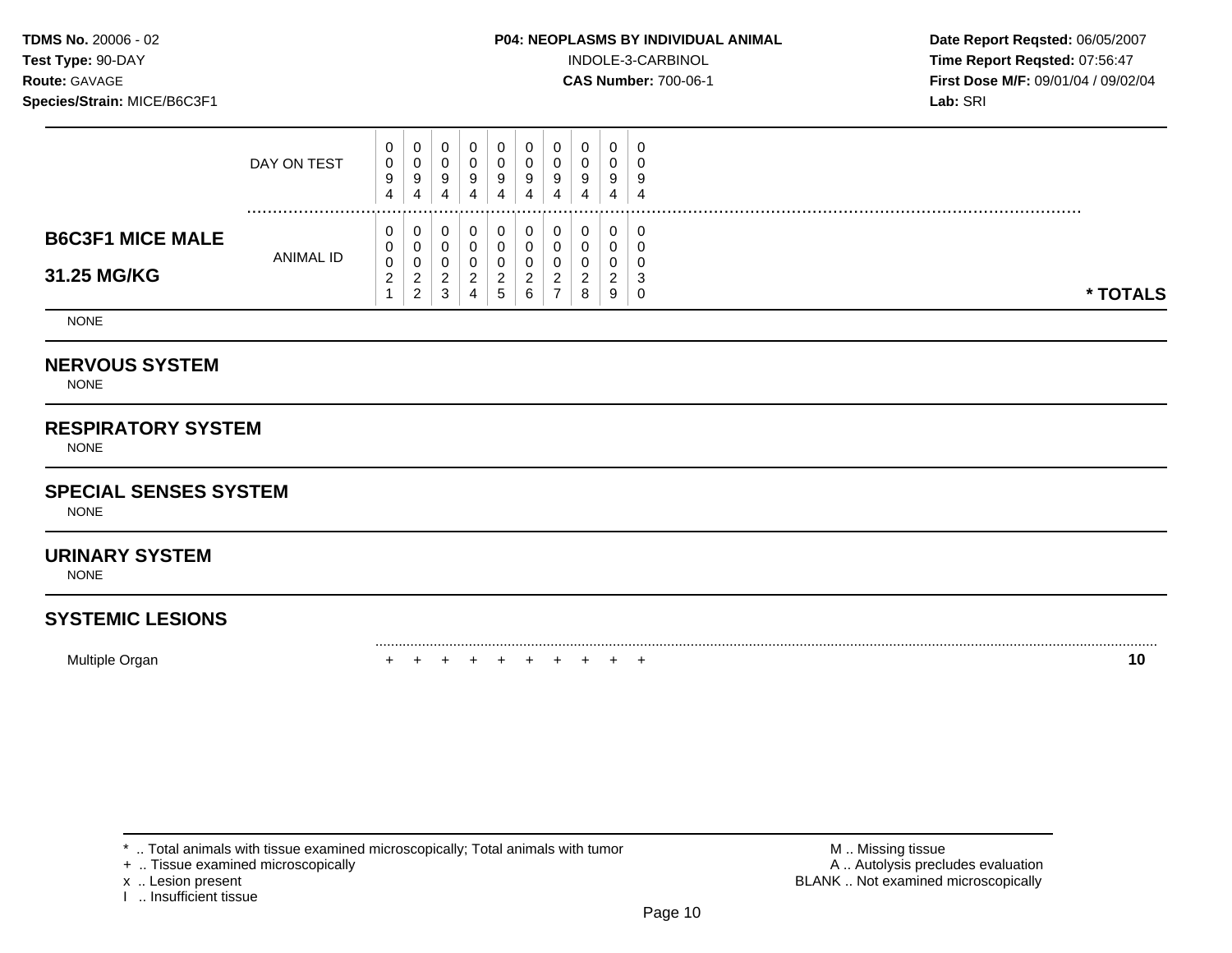### **TDMS No.** 20006 - 02 **P04: NEOPLASMS BY INDIVIDUAL ANIMAL Date Report Reqsted:** 06/05/2007

**Test Type:**  $90-DAY$  **INDOLE-3-CARBINOL Time Report Reqsted: 07:56:47 Route:** GAVAGE **CAS Number:** 700-06-1 **First Dose M/F:** 09/01/04 / 09/02/04

|                                        | DAY ON TEST      | 0<br>0<br>9<br>4             | 0<br>0<br>9<br>4                       |   | 0<br>-9<br>4 | - 0<br>9<br>4 | 0<br>9<br>4   | 0<br>υ<br>9           | 0<br>0<br>9 | 0<br>9<br>4 | - 0<br>4           |          |
|----------------------------------------|------------------|------------------------------|----------------------------------------|---|--------------|---------------|---------------|-----------------------|-------------|-------------|--------------------|----------|
| <b>B6C3F1 MICE MALE</b><br>31.25 MG/KG | <b>ANIMAL ID</b> | 0<br>0<br>0<br>ົ<br><u>_</u> | 0<br>0<br>0<br>ົ<br>∼<br>ົ<br><u>_</u> | C | 0<br>ີ<br>4  | G             | <u>_</u><br>6 | 0<br>u<br>ν<br>n<br>- | 0<br>ົ<br>8 | 0<br>ີ<br>9 | C<br>$\cdot$<br>-0 | * TOTALS |

NONE

### **NERVOUS SYSTEM**

NONE

## **RESPIRATORY SYSTEM**

NONE

### **SPECIAL SENSES SYSTEM**

NONE

### **URINARY SYSTEM**

NONE

# **SYSTEMIC LESIONS**

Multiple Organ + + + + + + + + + + **10** 

+ .. Tissue examined microscopically

I .. Insufficient tissue

\* .. Total animals with tissue examined microscopically; Total animals with tumor **M** . Missing tissue M .. Missing tissue<br>  $\blacksquare$  . Tissue examined microscopically<br>  $\blacksquare$  . Autolysis precludes evaluation x .. Lesion present **BLANK** .. Not examined microscopically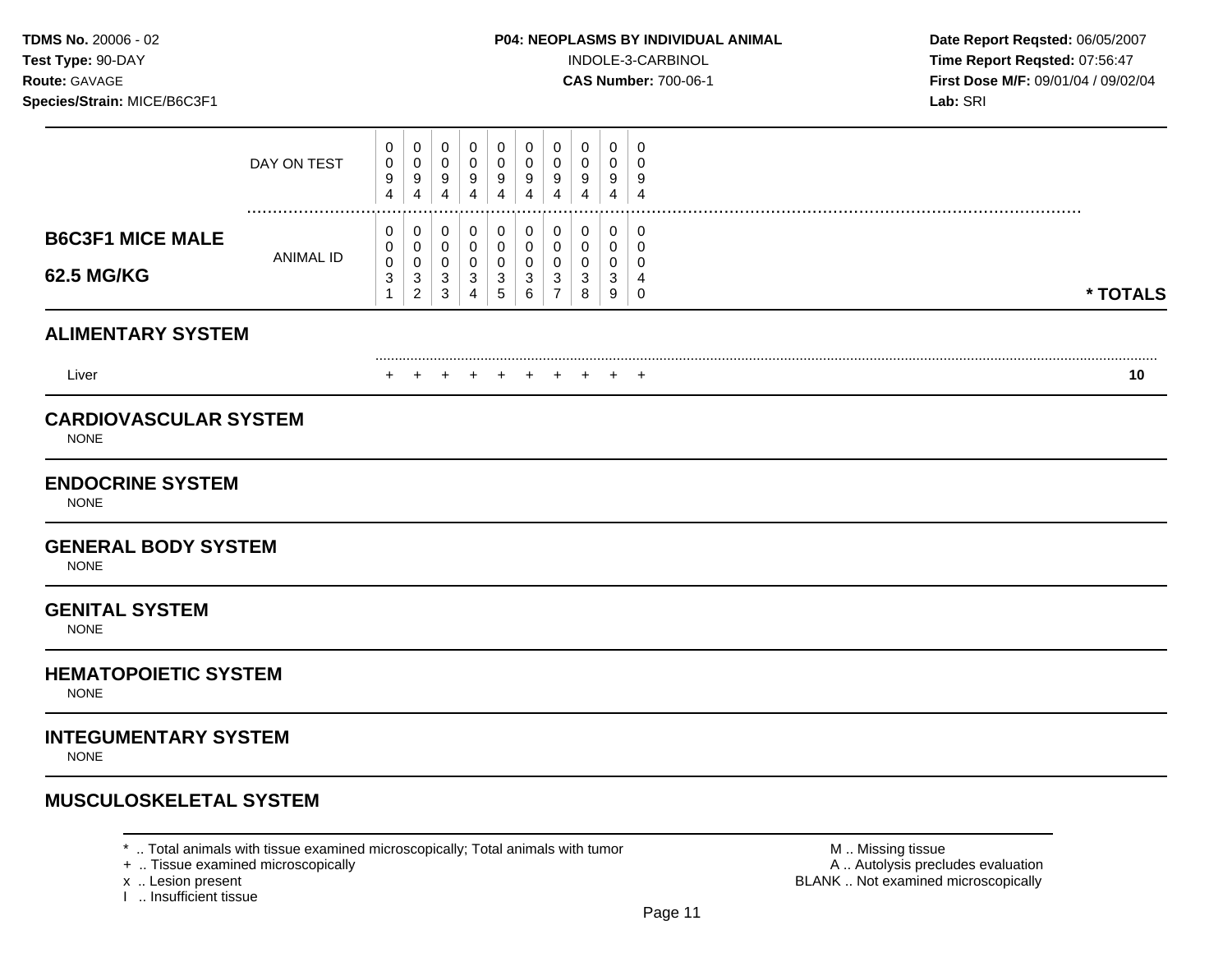**Test Type:** 90-DAY INDOLE-3-CARBINOL **Time Report Reqsted:** 07:56:47 **Route:** GAVAGE **CAS Number:** 700-06-1 **First Dose M/F:** 09/01/04 / 09/02/04

|                                                                        | DAY ON TEST      | 0<br>0<br>9<br>4                         | 0<br>0<br>9<br>$\overline{4}$                               | 0<br>$\mathbf 0$<br>9<br>4               | 0<br>$\pmb{0}$<br>9<br>4                     | 0<br>$\mathbf 0$<br>9<br>$\overline{4}$                                                  | 0<br>$\mathbf 0$<br>9<br>$\overline{4}$                        | 0<br>$\mathbf 0$<br>9<br>4         | 0<br>0<br>9<br>4      | 0<br>0<br>9<br>4                           | 0<br>$\mathbf 0$<br>9<br>4      |          |
|------------------------------------------------------------------------|------------------|------------------------------------------|-------------------------------------------------------------|------------------------------------------|----------------------------------------------|------------------------------------------------------------------------------------------|----------------------------------------------------------------|------------------------------------|-----------------------|--------------------------------------------|---------------------------------|----------|
| <b>B6C3F1 MICE MALE</b><br><b>62.5 MG/KG</b>                           | <b>ANIMAL ID</b> | 0<br>0<br>$\pmb{0}$<br>3<br>$\mathbf{1}$ | 0<br>0<br>$\boldsymbol{0}$<br>$\mathsf 3$<br>$\overline{2}$ | 0<br>0<br>$\mathbf 0$<br>$\sqrt{3}$<br>3 | 0<br>0<br>$\mathbf 0$<br>3<br>$\overline{4}$ | $\mathbf 0$<br>$\mathbf 0$<br>$\mathbf 0$<br>$\ensuremath{\mathsf{3}}$<br>$\overline{5}$ | $\pmb{0}$<br>$\mathbf 0$<br>$\mathbf 0$<br>$\sqrt{3}$<br>$\,6$ | 0<br>0<br>0<br>3<br>$\overline{7}$ | 0<br>0<br>0<br>3<br>8 | $\mathbf 0$<br>0<br>0<br>$\mathbf{3}$<br>9 | 0<br>0<br>0<br>4<br>$\mathbf 0$ | * TOTALS |
| <b>ALIMENTARY SYSTEM</b>                                               |                  |                                          |                                                             |                                          |                                              |                                                                                          |                                                                |                                    |                       |                                            |                                 |          |
| Liver                                                                  |                  | +                                        |                                                             | +                                        | $+$                                          | $+$                                                                                      | $+$                                                            | $\pm$                              |                       |                                            | +                               | 10       |
| <b>CARDIOVASCULAR SYSTEM</b><br><b>NONE</b><br><b>ENDOCRINE SYSTEM</b> |                  |                                          |                                                             |                                          |                                              |                                                                                          |                                                                |                                    |                       |                                            |                                 |          |
| <b>NONE</b><br><b>GENERAL BODY SYSTEM</b><br><b>NONE</b>               |                  |                                          |                                                             |                                          |                                              |                                                                                          |                                                                |                                    |                       |                                            |                                 |          |
| <b>GENITAL SYSTEM</b><br><b>NONE</b>                                   |                  |                                          |                                                             |                                          |                                              |                                                                                          |                                                                |                                    |                       |                                            |                                 |          |
| <b>HEMATOPOIETIC SYSTEM</b><br><b>NONE</b>                             |                  |                                          |                                                             |                                          |                                              |                                                                                          |                                                                |                                    |                       |                                            |                                 |          |
| <b>INTEGUMENTARY SYSTEM</b><br><b>NONE</b>                             |                  |                                          |                                                             |                                          |                                              |                                                                                          |                                                                |                                    |                       |                                            |                                 |          |
| <b>MUSCULOSKELETAL SYSTEM</b>                                          |                  |                                          |                                                             |                                          |                                              |                                                                                          |                                                                |                                    |                       |                                            |                                 |          |

\* .. Total animals with tissue examined microscopically; Total animals with tumor  $\blacksquare$  M .. Missing tissue<br>A .. Autolysis precit (A .. Autolysis precit (A .. Autolysis precit (A .. Autolysis precit (A .. Autolysis pre

x .. Lesion present<br>I .. Insufficient tissue

A .. Autolysis precludes evaluation BLANK .. Not examined microscopically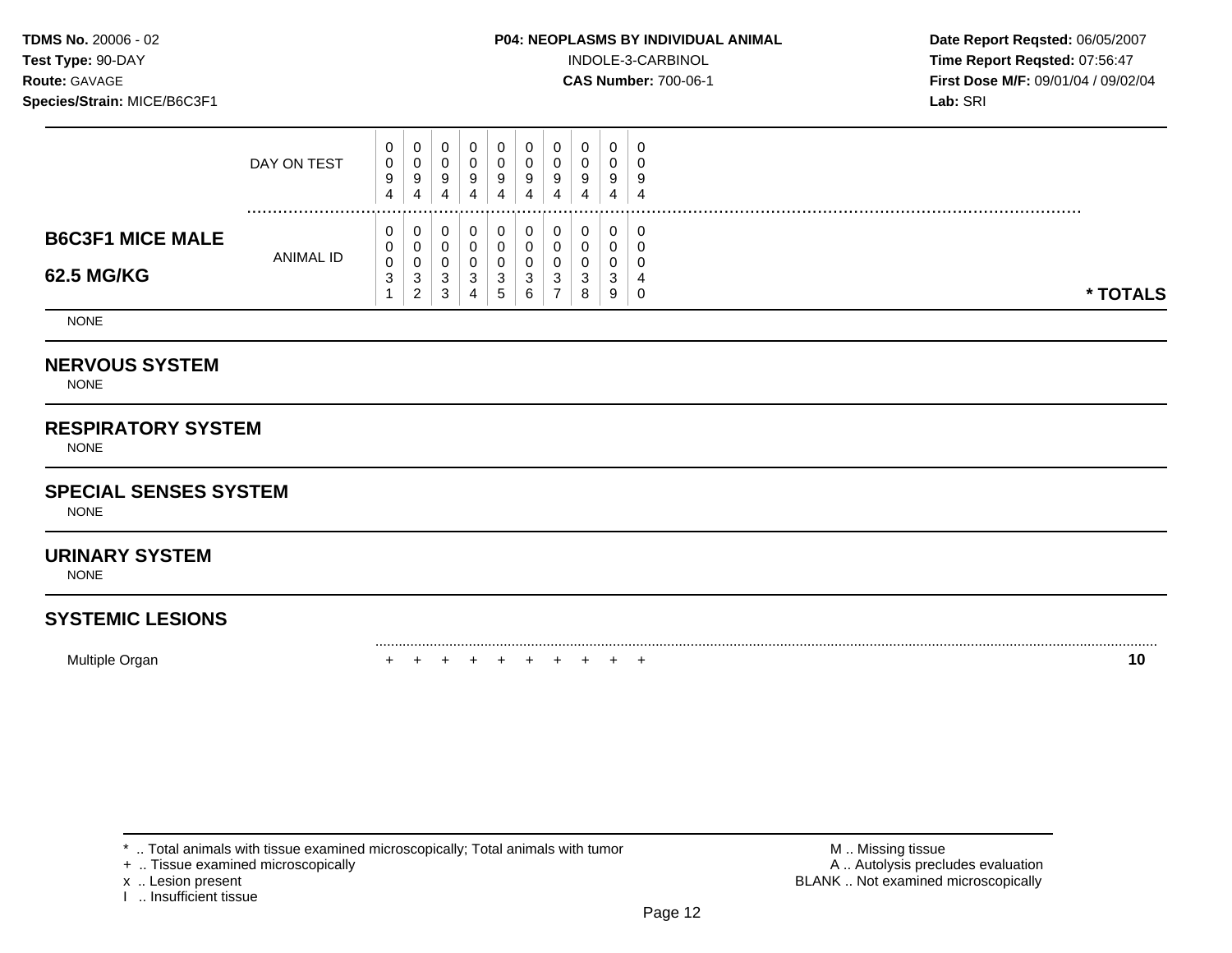### **TDMS No.** 20006 - 02 **P04: NEOPLASMS BY INDIVIDUAL ANIMAL Date Report Reqsted:** 06/05/2007

**Test Type:**  $90-DAY$  **INDOLE-3-CARBINOL Time Report Reqsted: 07:56:47 Route:** GAVAGE **CAS Number:** 700-06-1 **First Dose M/F:** 09/01/04 / 09/02/04

|                                       | DAY ON TEST      | 0<br>0<br>9<br>4              | 0<br>0<br>9<br>4                       |   | 0<br>-9<br>4 | 9<br>4 | 0<br>9<br>4 | U<br>u<br>9           | 0<br>9           | 0<br>9<br>4  | - 0<br>-4   |          |
|---------------------------------------|------------------|-------------------------------|----------------------------------------|---|--------------|--------|-------------|-----------------------|------------------|--------------|-------------|----------|
| <b>B6C3F1 MICE MALE</b><br>62.5 MG/KG | <b>ANIMAL ID</b> | 0<br>$\overline{0}$<br>0<br>3 | 0<br>0<br>0<br>ີ<br>ت<br>ົ<br><u>_</u> | C | U<br>3<br>4  | G      | っ<br>6      | 0<br>u<br>ν<br>ົ<br>٠ | 0<br>◠<br>د<br>8 | 0<br>۰J<br>9 | C<br>4<br>C | * TOTALS |

NONE

### **NERVOUS SYSTEM**

NONE

## **RESPIRATORY SYSTEM**

NONE

### **SPECIAL SENSES SYSTEM**

NONE

### **URINARY SYSTEM**

NONE

## **SYSTEMIC LESIONS**

Multiple Organ + + + + + + + + + + **10** 

+ .. Tissue examined microscopically

I .. Insufficient tissue

\* .. Total animals with tissue examined microscopically; Total animals with tumor **M** . Missing tissue M .. Missing tissue<br>  $\blacksquare$  . Tissue examined microscopically<br>  $\blacksquare$  . Autolysis precludes evaluation x .. Lesion present **BLANK** .. Not examined microscopically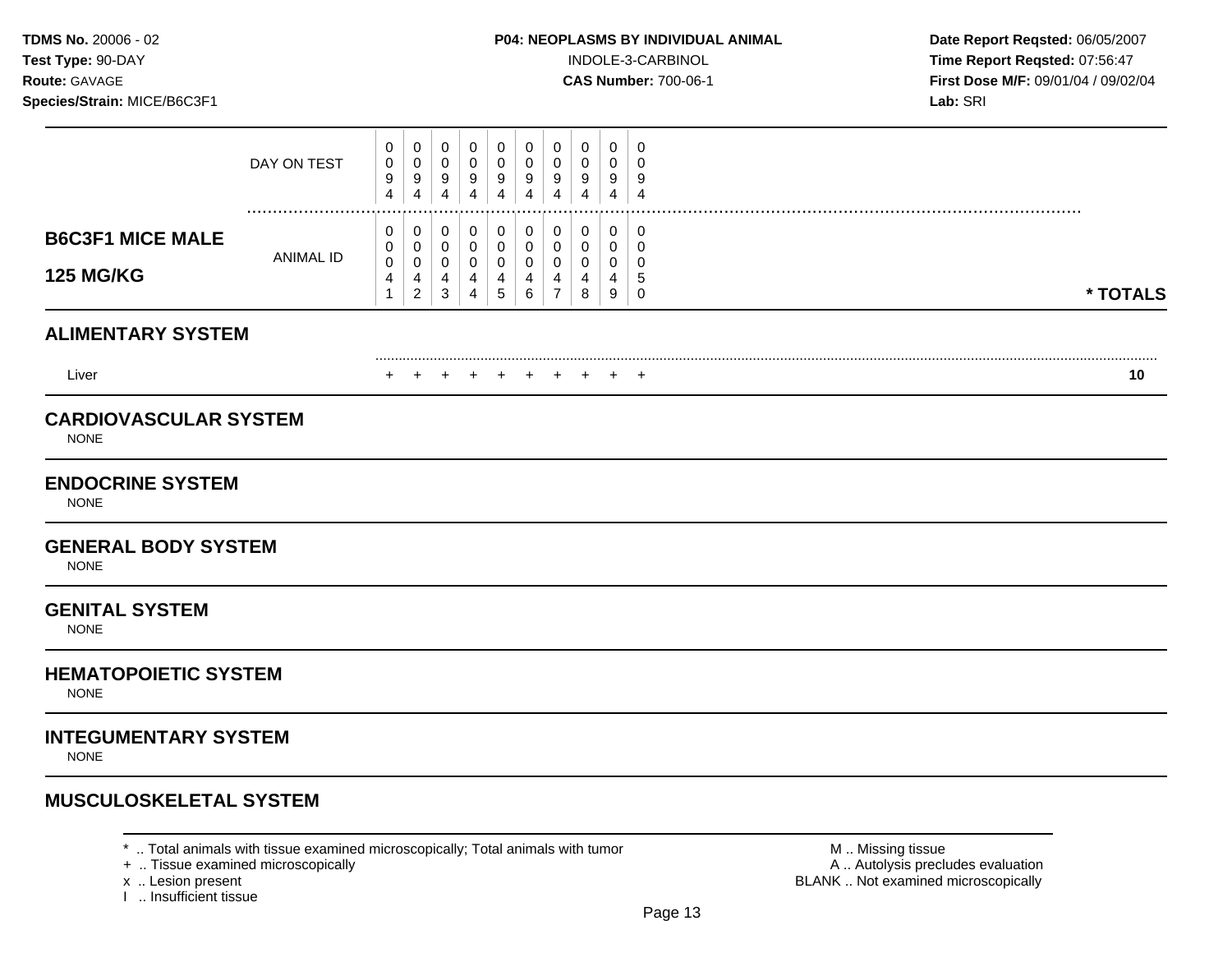**Test Type:** 90-DAY INDOLE-3-CARBINOL **Time Report Reqsted:** 07:56:47 **Route:** GAVAGE **CAS Number:** 700-06-1 **First Dose M/F:** 09/01/04 / 09/02/04

|                                                                                       | DAY ON TEST      | 0<br>0<br>9<br>4               | 0<br>$\mathbf 0$<br>9<br>4                           | 0<br>$\pmb{0}$<br>9<br>$\overline{4}$   | 0<br>0<br>9<br>$\overline{4}$                          | 0<br>$\mathbf 0$<br>9<br>4                         | 0<br>0<br>9<br>$\overline{4}$                           | 0<br>0<br>9<br>4                                       | 0<br>0<br>9<br>4                | 0<br>0<br>9<br>4                          | 0<br>0<br>9<br>$\overline{4}$             |          |
|---------------------------------------------------------------------------------------|------------------|--------------------------------|------------------------------------------------------|-----------------------------------------|--------------------------------------------------------|----------------------------------------------------|---------------------------------------------------------|--------------------------------------------------------|---------------------------------|-------------------------------------------|-------------------------------------------|----------|
| <b>B6C3F1 MICE MALE</b><br><b>125 MG/KG</b>                                           | <b>ANIMAL ID</b> | 0<br>0<br>$\pmb{0}$<br>4<br>-1 | 0<br>$\mathbf 0$<br>$\pmb{0}$<br>4<br>$\overline{c}$ | 0<br>$\mathbf 0$<br>$\pmb{0}$<br>4<br>3 | 0<br>$\mathbf 0$<br>$\mathbf 0$<br>4<br>$\overline{4}$ | 0<br>$\mathbf 0$<br>$\mathbf 0$<br>4<br>$\sqrt{5}$ | $\mathbf 0$<br>$\mathbf 0$<br>$\pmb{0}$<br>4<br>$\,6\,$ | $\mathbf 0$<br>$\mathbf 0$<br>0<br>4<br>$\overline{7}$ | 0<br>$\mathbf 0$<br>0<br>4<br>8 | $\mathbf 0$<br>$\mathbf 0$<br>0<br>4<br>9 | 0<br>0<br>$\mathbf 0$<br>5<br>$\mathbf 0$ | * TOTALS |
| <b>ALIMENTARY SYSTEM</b>                                                              |                  |                                |                                                      |                                         |                                                        |                                                    |                                                         |                                                        |                                 |                                           |                                           |          |
| Liver                                                                                 |                  |                                |                                                      | <b>+</b>                                | +                                                      | $\pm$                                              | $+$                                                     | $\div$                                                 |                                 | <b>+</b>                                  | $^+$                                      | 10       |
| <b>CARDIOVASCULAR SYSTEM</b><br><b>NONE</b><br><b>ENDOCRINE SYSTEM</b><br><b>NONE</b> |                  |                                |                                                      |                                         |                                                        |                                                    |                                                         |                                                        |                                 |                                           |                                           |          |
| <b>GENERAL BODY SYSTEM</b><br><b>NONE</b>                                             |                  |                                |                                                      |                                         |                                                        |                                                    |                                                         |                                                        |                                 |                                           |                                           |          |
| <b>GENITAL SYSTEM</b><br><b>NONE</b>                                                  |                  |                                |                                                      |                                         |                                                        |                                                    |                                                         |                                                        |                                 |                                           |                                           |          |
| <b>HEMATOPOIETIC SYSTEM</b><br><b>NONE</b>                                            |                  |                                |                                                      |                                         |                                                        |                                                    |                                                         |                                                        |                                 |                                           |                                           |          |
| <b>INTEGUMENTARY SYSTEM</b><br><b>NONE</b>                                            |                  |                                |                                                      |                                         |                                                        |                                                    |                                                         |                                                        |                                 |                                           |                                           |          |
| <b>MUSCULOSKELETAL SYSTEM</b>                                                         |                  |                                |                                                      |                                         |                                                        |                                                    |                                                         |                                                        |                                 |                                           |                                           |          |

\* .. Total animals with tissue examined microscopically; Total animals with tumor  $\blacksquare$  M .. Missing tissue<br>A .. Autolysis precit (A .. Autolysis precit (A .. Autolysis precit (A .. Autolysis precit (A .. Autolysis pre

x .. Lesion present<br>I .. Insufficient tissue

A .. Autolysis precludes evaluation BLANK .. Not examined microscopically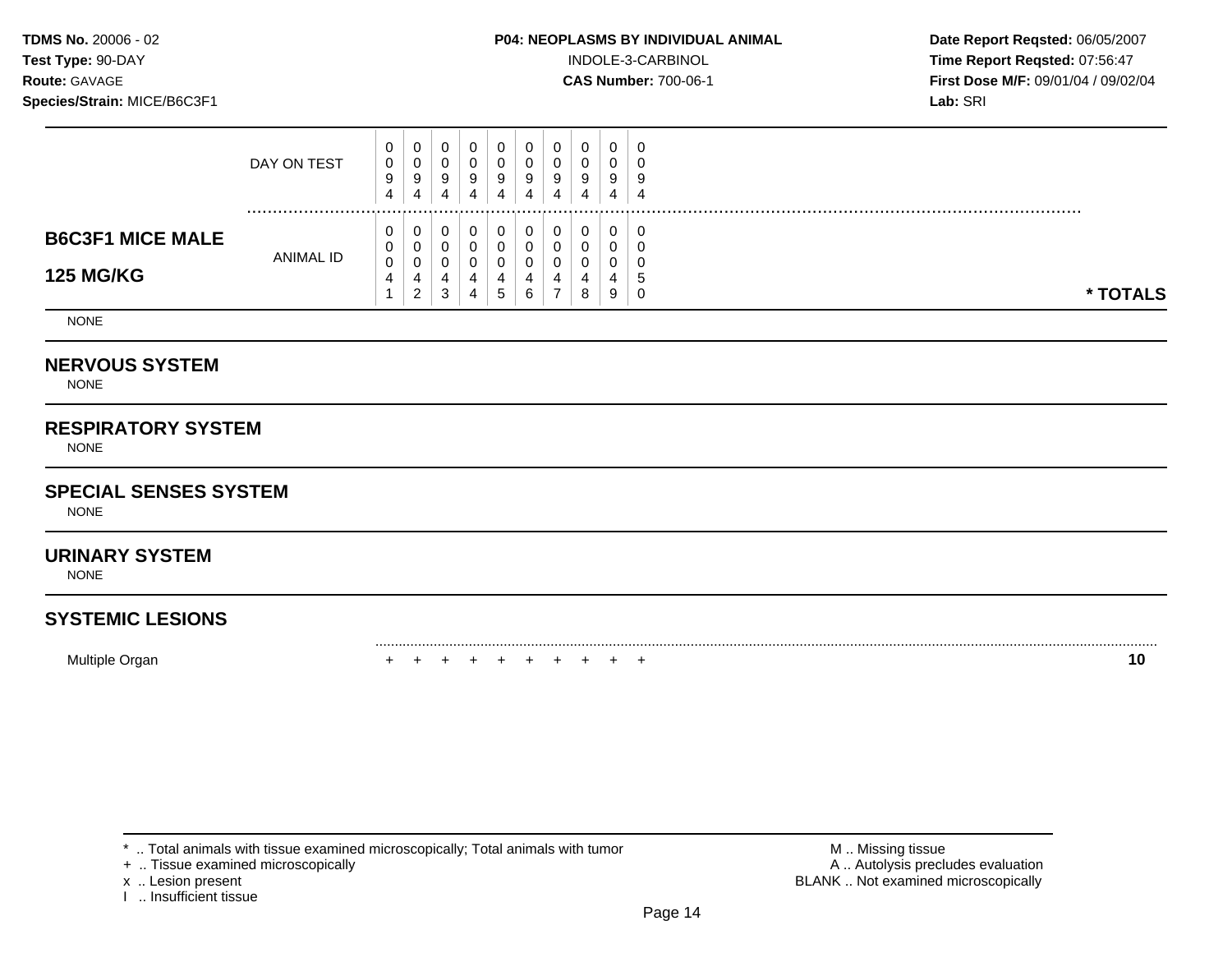### **TDMS No.** 20006 - 02 **P04: NEOPLASMS BY INDIVIDUAL ANIMAL Date Report Reqsted:** 06/05/2007

**Test Type:** 90-DAY INDOLE-3-CARBINOL **Time Report Reqsted:** 07:56:47 **Route:** GAVAGE **CAS Number:** 700-06-1 **First Dose M/F:** 09/01/04 / 09/02/04

|                                             | DAY ON TEST      | 0<br>0<br>9<br>4 | U<br>υ<br>9<br>4                  | ັ<br>9<br>4 | 9<br>4 | ∩<br>4 | 0<br>9<br>4 | 0<br>9<br>4 | 0<br>0<br>9<br>4      | 0<br>0<br>9<br>4      | - 6<br>Į<br>-4    |          |
|---------------------------------------------|------------------|------------------|-----------------------------------|-------------|--------|--------|-------------|-------------|-----------------------|-----------------------|-------------------|----------|
| <b>B6C3F1 MICE MALE</b><br><b>125 MG/KG</b> | <b>ANIMAL ID</b> | 0<br>0<br>0<br>4 | U<br>U<br>v<br>4<br>ົ<br><u>_</u> | ັ<br>u<br>3 | 4<br>4 | 5.     | 0<br>4<br>6 |             | 0<br>0<br>0<br>4<br>8 | 0<br>0<br>0<br>4<br>9 | - 6<br>- 5<br>- 6 | * TOTALS |

NONE

### **NERVOUS SYSTEM**

NONE

## **RESPIRATORY SYSTEM**

NONE

### **SPECIAL SENSES SYSTEM**

NONE

### **URINARY SYSTEM**

NONE

# **SYSTEMIC LESIONS**

Multiple Organ + + + + + + + + + + **10** 

+ .. Tissue examined microscopically

I .. Insufficient tissue

\* .. Total animals with tissue examined microscopically; Total animals with tumor **M** . Missing tissue M .. Missing tissue<br>  $\blacksquare$  . Tissue examined microscopically<br>  $\blacksquare$  . Autolysis precludes evaluation x .. Lesion present **BLANK** .. Not examined microscopically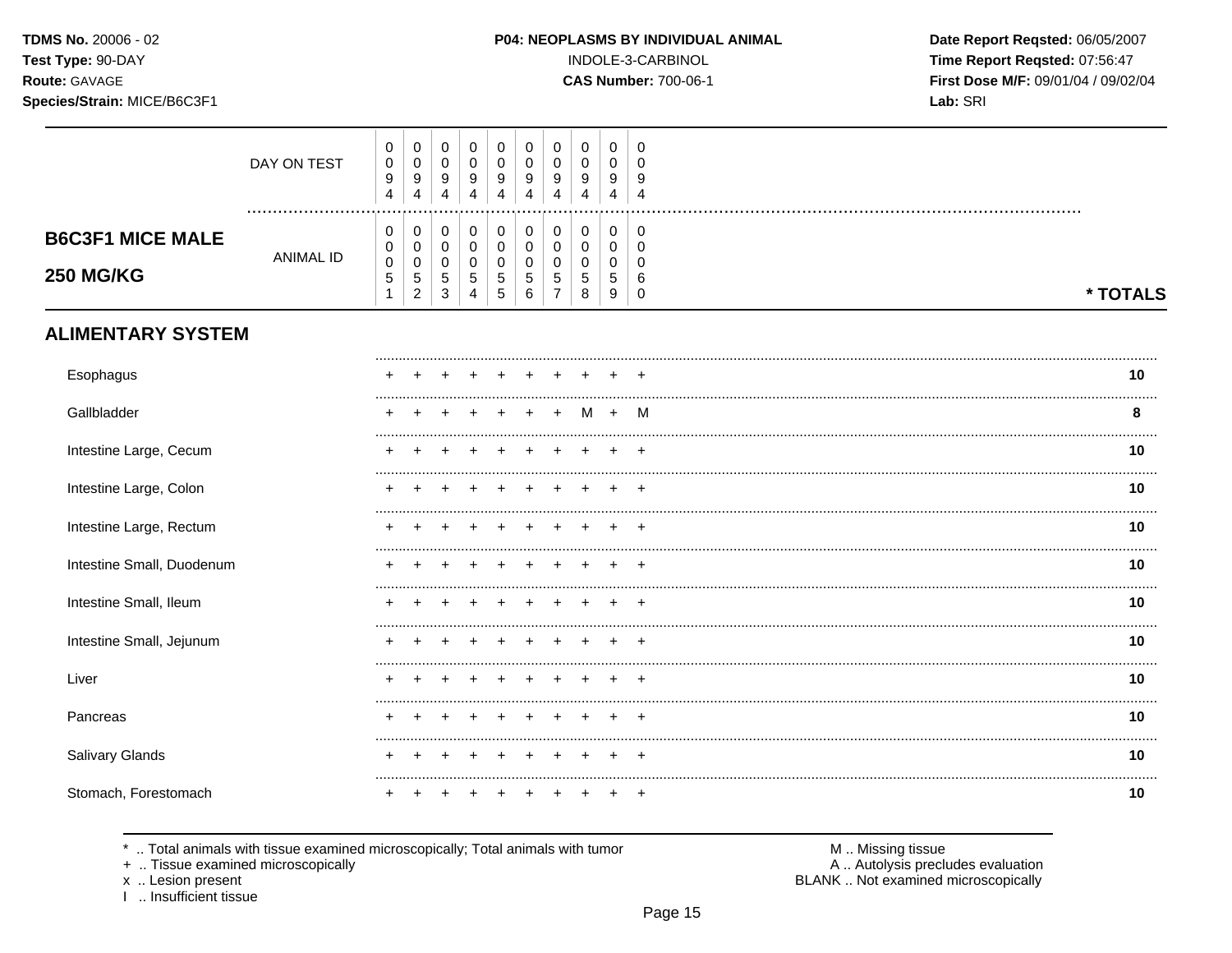### Species/Strain: MICE/B6C3F1

### P04: NEOPLASMS BY INDIVIDUAL ANIMAL

INDOLE-3-CARBINOL

**CAS Number: 700-06-1** 

Date Report Reqsted: 06/05/2007 Time Report Reqsted: 07:56:47 First Dose M/F: 09/01/04 / 09/02/04 Lab: SRI

|                                             | DAY ON TEST      | 0<br>$\pmb{0}$<br>9<br>$\overline{4}$                      | 0<br>$\pmb{0}$<br>9<br>$\overline{4}$                              | 0<br>$\mathbf 0$<br>9<br>4                         | 0<br>$\pmb{0}$<br>9<br>$\overline{4}$            | 0<br>$\mathbf 0$<br>9<br>4      | $\mathbf 0$<br>0<br>9<br>$\overline{4}$ | $\pmb{0}$<br>$\mathbf 0$<br>9<br>4                            | 0<br>$\mathsf 0$<br>9<br>$\overline{4}$ | 0<br>$\mathbf 0$<br>9<br>4                                 | 0<br>$\Omega$<br>9<br>4                             |          |
|---------------------------------------------|------------------|------------------------------------------------------------|--------------------------------------------------------------------|----------------------------------------------------|--------------------------------------------------|---------------------------------|-----------------------------------------|---------------------------------------------------------------|-----------------------------------------|------------------------------------------------------------|-----------------------------------------------------|----------|
| <b>B6C3F1 MICE MALE</b><br><b>250 MG/KG</b> | <b>ANIMAL ID</b> | 0<br>$\pmb{0}$<br>$\pmb{0}$<br>$\,$ 5 $\,$<br>$\mathbf{1}$ | 0<br>$\mathsf{O}\xspace$<br>$\pmb{0}$<br>$\,$ 5 $\,$<br>$\sqrt{2}$ | 0<br>$\mathbf 0$<br>$\mathbf 0$<br>$\sqrt{5}$<br>3 | 0<br>$\pmb{0}$<br>$\mathbf 0$<br>$\sqrt{5}$<br>4 | 0<br>$\mathbf 0$<br>0<br>5<br>5 | 0<br>$\pmb{0}$<br>0<br>5<br>6           | $\mathbf 0$<br>$\pmb{0}$<br>0<br>$\sqrt{5}$<br>$\overline{7}$ | 0<br>$\pmb{0}$<br>0<br>$\sqrt{5}$<br>8  | 0<br>$\mathsf{O}\xspace$<br>$\mathbf 0$<br>$\sqrt{5}$<br>9 | 0<br>$\overline{0}$<br>$\Omega$<br>6<br>$\mathbf 0$ | * TOTALS |
| <b>ALIMENTARY SYSTEM</b>                    |                  |                                                            |                                                                    |                                                    |                                                  |                                 |                                         |                                                               |                                         |                                                            |                                                     |          |
| Esophagus                                   |                  |                                                            |                                                                    |                                                    |                                                  |                                 |                                         |                                                               |                                         |                                                            |                                                     | 10       |
| Gallbladder                                 |                  |                                                            |                                                                    |                                                    |                                                  |                                 |                                         |                                                               | м                                       | $\ddot{}$                                                  | м                                                   | 8        |
| Intestine Large, Cecum                      |                  |                                                            |                                                                    |                                                    |                                                  |                                 |                                         |                                                               |                                         |                                                            |                                                     | 10       |
| Intestine Large, Colon                      |                  |                                                            |                                                                    |                                                    |                                                  |                                 |                                         |                                                               |                                         |                                                            |                                                     | 10       |
| Intestine Large, Rectum                     |                  |                                                            |                                                                    |                                                    |                                                  |                                 |                                         |                                                               |                                         |                                                            |                                                     | 10       |
| Intestine Small, Duodenum                   |                  |                                                            |                                                                    |                                                    |                                                  |                                 |                                         |                                                               |                                         |                                                            |                                                     | 10       |
| Intestine Small, Ileum                      |                  |                                                            |                                                                    |                                                    |                                                  |                                 |                                         |                                                               |                                         |                                                            |                                                     | 10       |
| Intestine Small, Jejunum                    |                  |                                                            |                                                                    |                                                    |                                                  |                                 |                                         |                                                               |                                         |                                                            |                                                     | 10       |
| Liver                                       |                  |                                                            |                                                                    |                                                    |                                                  |                                 |                                         |                                                               |                                         |                                                            |                                                     | 10       |
| Pancreas                                    |                  |                                                            |                                                                    |                                                    |                                                  |                                 |                                         |                                                               |                                         |                                                            |                                                     | 10       |
| Salivary Glands                             |                  |                                                            |                                                                    |                                                    |                                                  |                                 |                                         |                                                               |                                         |                                                            |                                                     | 10       |
| Stomach, Forestomach                        |                  |                                                            |                                                                    |                                                    |                                                  |                                 |                                         |                                                               |                                         |                                                            |                                                     | 10       |

\* .. Total animals with tissue examined microscopically; Total animals with tumor

+ .. Tissue examined microscopically

x .. Lesion present<br>I .. Insufficient tissue

M .. Missing tissue A .. Autolysis precludes evaluation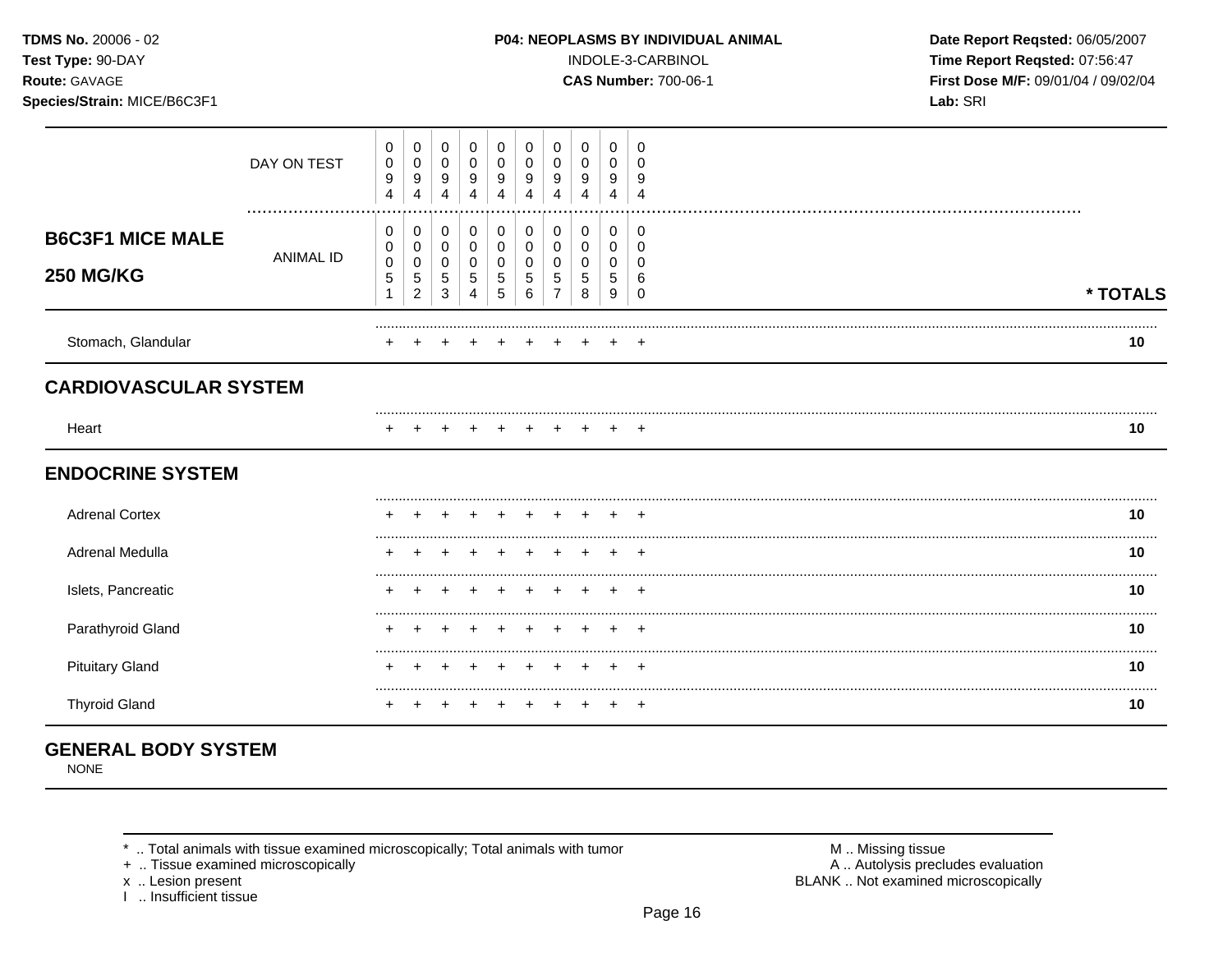# Species/Strain: MICE/B6C3F1

INDOLE-3-CARBINOL

**CAS Number: 700-06-1** 

Date Report Reqsted: 06/05/2007 Time Report Reqsted: 07:56:47 First Dose M/F: 09/01/04 / 09/02/04 Lab: SRI

|                                             | DAY ON TEST          | 0<br>0<br>9<br>$\overline{4}$ | 0<br>0<br>9<br>4                         | 0<br>$\pmb{0}$<br>9<br>4                       | 0<br>$\mathbf 0$<br>$9\,$<br>4                           | 0<br>0<br>9                                       | 0<br>0<br>9                   | 0<br>0<br>9      | 0<br>0<br>9<br>4                     | 0<br>0<br>9<br>4              | 0<br>0<br>g                     |          |  |
|---------------------------------------------|----------------------|-------------------------------|------------------------------------------|------------------------------------------------|----------------------------------------------------------|---------------------------------------------------|-------------------------------|------------------|--------------------------------------|-------------------------------|---------------------------------|----------|--|
| <b>B6C3F1 MICE MALE</b><br><b>250 MG/KG</b> | <br><b>ANIMAL ID</b> | 0<br>0<br>0<br>$\mathbf 5$    | $\,0\,$<br>0<br>0<br>5<br>$\overline{2}$ | $\pmb{0}$<br>$\pmb{0}$<br>0<br>$\sqrt{5}$<br>3 | $\pmb{0}$<br>$\mathbf 0$<br>$\pmb{0}$<br>$\sqrt{5}$<br>4 | $\pmb{0}$<br>$\mathbf 0$<br>0<br>$\mathbf 5$<br>5 | $\pmb{0}$<br>0<br>0<br>5<br>6 | 0<br>0<br>0<br>5 | $\boldsymbol{0}$<br>0<br>0<br>5<br>8 | $\pmb{0}$<br>0<br>0<br>5<br>9 | 0<br>0<br>0<br>6<br>$\mathbf 0$ | * TOTALS |  |
| Stomach, Glandular                          |                      |                               |                                          |                                                |                                                          |                                                   |                               |                  |                                      |                               |                                 | 10       |  |
| <b>CARDIOVASCULAR SYSTEM</b>                |                      |                               |                                          |                                                |                                                          |                                                   |                               |                  |                                      |                               |                                 |          |  |
| Heart                                       |                      |                               |                                          |                                                |                                                          |                                                   |                               |                  |                                      |                               | $^+$                            | 10       |  |
| <b>ENDOCRINE SYSTEM</b>                     |                      |                               |                                          |                                                |                                                          |                                                   |                               |                  |                                      |                               |                                 |          |  |
| <b>Adrenal Cortex</b>                       |                      |                               |                                          |                                                |                                                          |                                                   |                               |                  |                                      |                               | э.                              | 10       |  |
| Adrenal Medulla                             |                      |                               |                                          |                                                |                                                          |                                                   |                               |                  |                                      |                               |                                 | 10       |  |
| Islets, Pancreatic                          |                      |                               |                                          |                                                |                                                          |                                                   |                               |                  |                                      |                               | $\div$                          | 10       |  |
| Parathyroid Gland                           |                      |                               |                                          |                                                |                                                          |                                                   |                               |                  |                                      |                               |                                 | 10       |  |
| <b>Pituitary Gland</b>                      |                      |                               |                                          |                                                |                                                          |                                                   |                               |                  |                                      |                               |                                 | 10       |  |
| <b>Thyroid Gland</b>                        |                      |                               |                                          |                                                |                                                          |                                                   |                               |                  |                                      |                               | $\div$                          | 10       |  |

# **GENERAL BODY SYSTEM**

**NONE** 

\* .. Total animals with tissue examined microscopically; Total animals with tumor

+ .. Tissue examined microscopically

x .. Lesion present<br>I .. Insufficient tissue

M .. Missing tissue<br>A .. Autolysis precludes evaluation BLANK .. Not examined microscopically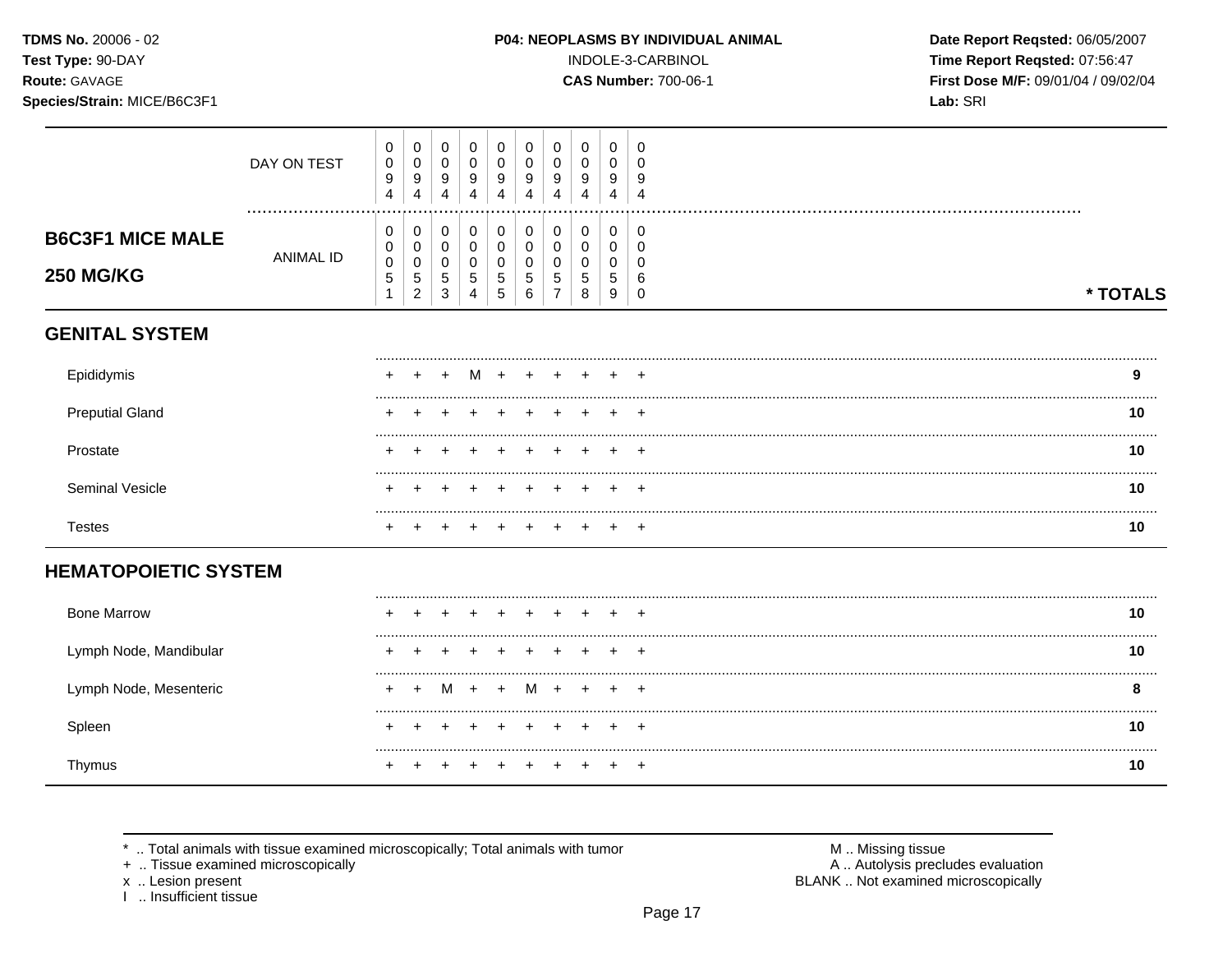TDMS No. 20006 - 02 Test Type: 90-DAY

# Route: GAVAGE

Species/Strain: MICE/B6C3F1

### P04: NEOPLASMS BY INDIVIDUAL ANIMAL

INDOLE-3-CARBINOL

**CAS Number: 700-06-1** 

Date Report Reqsted: 06/05/2007 Time Report Reqsted: 07:56:47 First Dose M/F: 09/01/04 / 09/02/04 Lab: SRI

|                                             | DAY ON TEST<br>  | $\boldsymbol{0}$<br>$\pmb{0}$<br>9<br>4 | $\pmb{0}$<br>$\mathbf 0$<br>$\boldsymbol{9}$<br>$\overline{4}$      | $\mathbf 0$<br>$\mathsf 0$<br>9<br>4                            | $\mathbf 0$<br>$\mathbf 0$<br>9<br>4                                            | 0<br>$\pmb{0}$<br>9<br>4                  | 0<br>0<br>9<br>4                | 0<br>0<br>9<br>4         | $\pmb{0}$<br>$\pmb{0}$<br>9<br>4      | $\pmb{0}$<br>0<br>9<br>4                          | $\mathbf 0$<br>$\Omega$<br>9<br>4                          |          |    |
|---------------------------------------------|------------------|-----------------------------------------|---------------------------------------------------------------------|-----------------------------------------------------------------|---------------------------------------------------------------------------------|-------------------------------------------|---------------------------------|--------------------------|---------------------------------------|---------------------------------------------------|------------------------------------------------------------|----------|----|
| <b>B6C3F1 MICE MALE</b><br><b>250 MG/KG</b> | <b>ANIMAL ID</b> | $\mathbf 0$<br>0<br>$\pmb{0}$<br>5<br>1 | $\pmb{0}$<br>$\pmb{0}$<br>$\pmb{0}$<br>$\sqrt{5}$<br>$\overline{c}$ | 0<br>$\mathbf 0$<br>$\pmb{0}$<br>$\overline{5}$<br>$\mathbf{3}$ | $\pmb{0}$<br>$\mathsf{O}\xspace$<br>$\mathbf 0$<br>$\sqrt{5}$<br>$\overline{4}$ | $\mathbf 0$<br>$\mathbf 0$<br>0<br>5<br>5 | 0<br>$\mathbf 0$<br>0<br>5<br>6 | $\pmb{0}$<br>0<br>0<br>5 | $\,0\,$<br>$\mathbf 0$<br>0<br>5<br>8 | $\mathsf{O}\xspace$<br>$\mathbf 0$<br>0<br>5<br>9 | $\mathbf 0$<br>$\mathbf 0$<br>$\Omega$<br>6<br>$\mathbf 0$ | * TOTALS |    |
| <b>GENITAL SYSTEM</b>                       |                  |                                         |                                                                     |                                                                 |                                                                                 |                                           |                                 |                          |                                       |                                                   |                                                            |          |    |
| Epididymis                                  |                  |                                         |                                                                     |                                                                 |                                                                                 |                                           |                                 |                          |                                       |                                                   |                                                            |          | 9  |
| <b>Preputial Gland</b>                      |                  |                                         |                                                                     |                                                                 |                                                                                 |                                           |                                 |                          |                                       |                                                   | $\ddot{}$                                                  |          | 10 |
| Prostate                                    |                  |                                         |                                                                     |                                                                 |                                                                                 |                                           |                                 |                          |                                       |                                                   | $\div$                                                     |          | 10 |
| Seminal Vesicle                             |                  |                                         |                                                                     |                                                                 |                                                                                 |                                           |                                 |                          |                                       |                                                   |                                                            |          | 10 |
| <b>Testes</b>                               |                  |                                         |                                                                     |                                                                 |                                                                                 |                                           |                                 |                          |                                       |                                                   |                                                            |          | 10 |
| <b>HEMATOPOIETIC SYSTEM</b>                 |                  |                                         |                                                                     |                                                                 |                                                                                 |                                           |                                 |                          |                                       |                                                   |                                                            |          |    |
| <b>Bone Marrow</b>                          |                  |                                         |                                                                     |                                                                 |                                                                                 |                                           |                                 |                          |                                       |                                                   |                                                            |          | 10 |
| Lymph Node, Mandibular                      |                  |                                         |                                                                     |                                                                 |                                                                                 |                                           |                                 |                          |                                       |                                                   | $\,^+$                                                     |          | 10 |
| Lymph Node, Mesenteric                      |                  | ٠                                       | $\,^+$                                                              | M                                                               | $+$                                                                             | $\overline{+}$                            | M                               | $\ddot{}$                |                                       | $\div$                                            | $\overline{ }$                                             |          | 8  |
| Spleen                                      |                  |                                         |                                                                     |                                                                 |                                                                                 |                                           |                                 |                          |                                       |                                                   | $\div$                                                     |          | 10 |
| Thymus                                      |                  |                                         |                                                                     |                                                                 |                                                                                 |                                           |                                 |                          |                                       |                                                   | $+$                                                        |          | 10 |

.. Total animals with tissue examined microscopically; Total animals with tumor  $\star$ 

+ .. Tissue examined microscopically

x .. Lesion present<br>I .. Insufficient tissue

M .. Missing tissue<br>A .. Autolysis precludes evaluation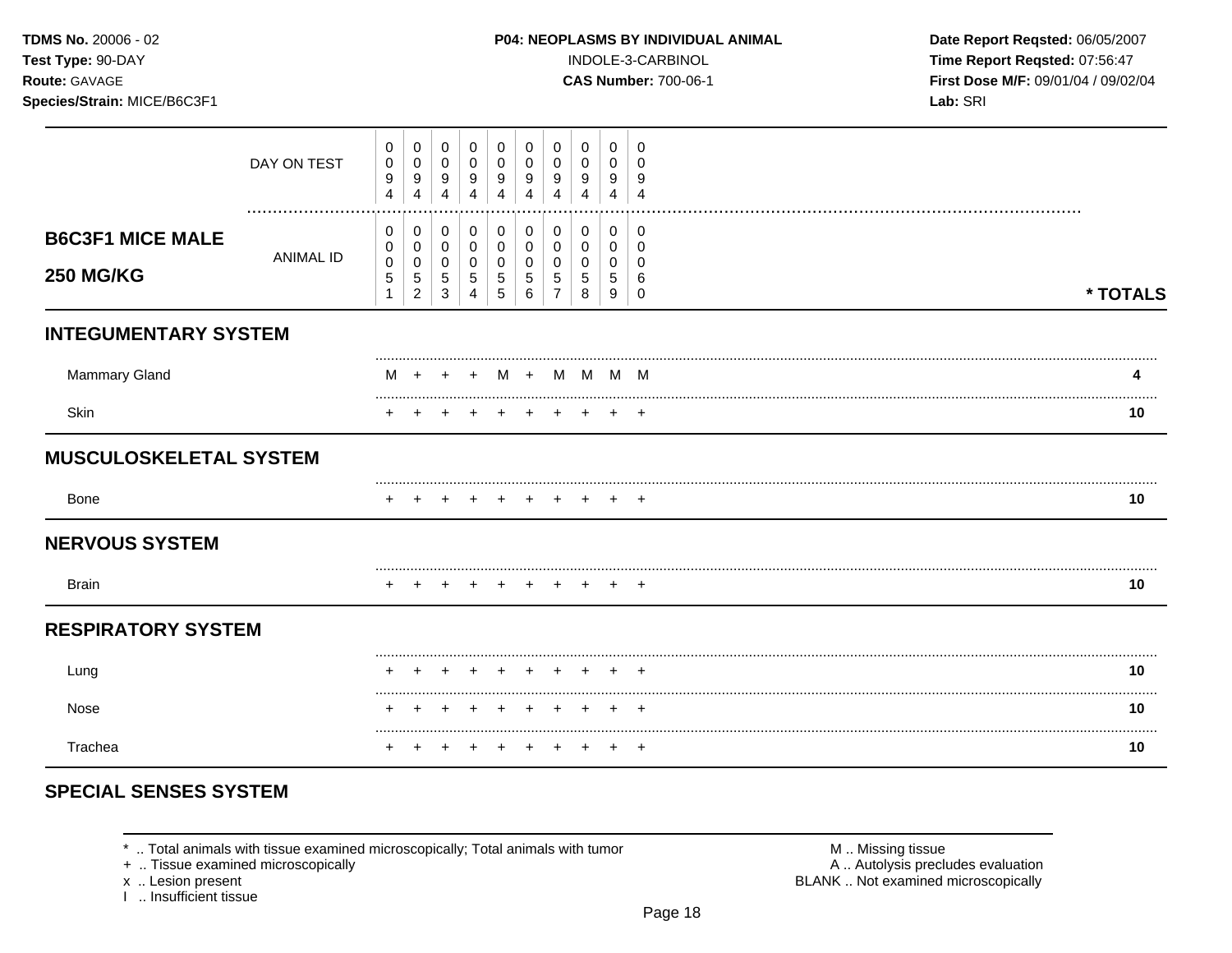### Species/Strain: MICE/B6C3F1

INDOLE-3-CARBINOL

**CAS Number: 700-06-1** 

Date Report Reqsted: 06/05/2007 Time Report Reqsted: 07:56:47 First Dose M/F: 09/01/04 / 09/02/04 Lab: SRI

|                                             | DAY ON TEST      | 0<br>0<br>9<br>$\overline{4}$           | $\pmb{0}$<br>$\mathbf 0$<br>9<br>4                  | 0<br>0<br>9<br>$\overline{4}$                     | $\pmb{0}$<br>0<br>9<br>4                           | 0<br>0<br>9<br>4                         | 0<br>0<br>9<br>4                               | 0<br>0<br>9                          | 0<br>0<br>9                  | 0<br>0<br>9<br>4                | 0<br>0<br>9<br>$\overline{4}$ |          |
|---------------------------------------------|------------------|-----------------------------------------|-----------------------------------------------------|---------------------------------------------------|----------------------------------------------------|------------------------------------------|------------------------------------------------|--------------------------------------|------------------------------|---------------------------------|-------------------------------|----------|
| <b>B6C3F1 MICE MALE</b><br><b>250 MG/KG</b> | <b>ANIMAL ID</b> | 0<br>0<br>$\mathsf{O}\xspace$<br>5<br>1 | 0<br>0<br>$\pmb{0}$<br>$\sqrt{5}$<br>$\overline{2}$ | 0<br>$\mathbf 0$<br>$\mathsf{O}\xspace$<br>5<br>3 | 0<br>$\mathbf 0$<br>$\mathbf 0$<br>$\sqrt{5}$<br>4 | 0<br>$\mathbf 0$<br>0<br>$\sqrt{5}$<br>5 | 0<br>$\pmb{0}$<br>$\pmb{0}$<br>$\sqrt{5}$<br>6 | 0<br>$\mathbf 0$<br>$\mathbf 0$<br>5 | 0<br>0<br>$\Omega$<br>5<br>8 | 0<br>0<br>$\mathbf 0$<br>5<br>9 | 0<br>0<br>$\Omega$<br>6<br>0  | * TOTALS |
| <b>INTEGUMENTARY SYSTEM</b>                 |                  |                                         |                                                     |                                                   |                                                    |                                          |                                                |                                      |                              |                                 |                               |          |
| Mammary Gland                               |                  | м                                       |                                                     |                                                   |                                                    |                                          |                                                | $M + M M M$                          |                              |                                 |                               |          |
| Skin                                        |                  |                                         |                                                     |                                                   |                                                    |                                          |                                                |                                      |                              |                                 |                               | 10       |
| <b>MUSCULOSKELETAL SYSTEM</b>               |                  |                                         |                                                     |                                                   |                                                    |                                          |                                                |                                      |                              |                                 |                               |          |
| Bone                                        |                  |                                         |                                                     |                                                   |                                                    |                                          |                                                |                                      |                              |                                 |                               | 10       |
| <b>NERVOUS SYSTEM</b>                       |                  |                                         |                                                     |                                                   |                                                    |                                          |                                                |                                      |                              |                                 |                               |          |
| <b>Brain</b>                                |                  |                                         |                                                     |                                                   |                                                    |                                          |                                                |                                      |                              |                                 |                               | 10       |
| <b>RESPIRATORY SYSTEM</b>                   |                  |                                         |                                                     |                                                   |                                                    |                                          |                                                |                                      |                              |                                 |                               |          |
| Lung                                        |                  |                                         |                                                     |                                                   |                                                    |                                          |                                                |                                      |                              |                                 | ÷                             | 10       |
| Nose                                        |                  |                                         |                                                     |                                                   |                                                    |                                          |                                                |                                      |                              |                                 |                               | 10       |
| Trachea                                     |                  |                                         |                                                     |                                                   |                                                    |                                          |                                                |                                      |                              |                                 | $\ddot{}$                     | <br>10   |
|                                             |                  |                                         |                                                     |                                                   |                                                    |                                          |                                                |                                      |                              |                                 |                               |          |

# **SPECIAL SENSES SYSTEM**

\* .. Total animals with tissue examined microscopically; Total animals with tumor

+ .. Tissue examined microscopically

x .. Lesion present

1 .. Insufficient tissue

M .. Missing tissue A .. Autolysis precludes evaluation BLANK .. Not examined microscopically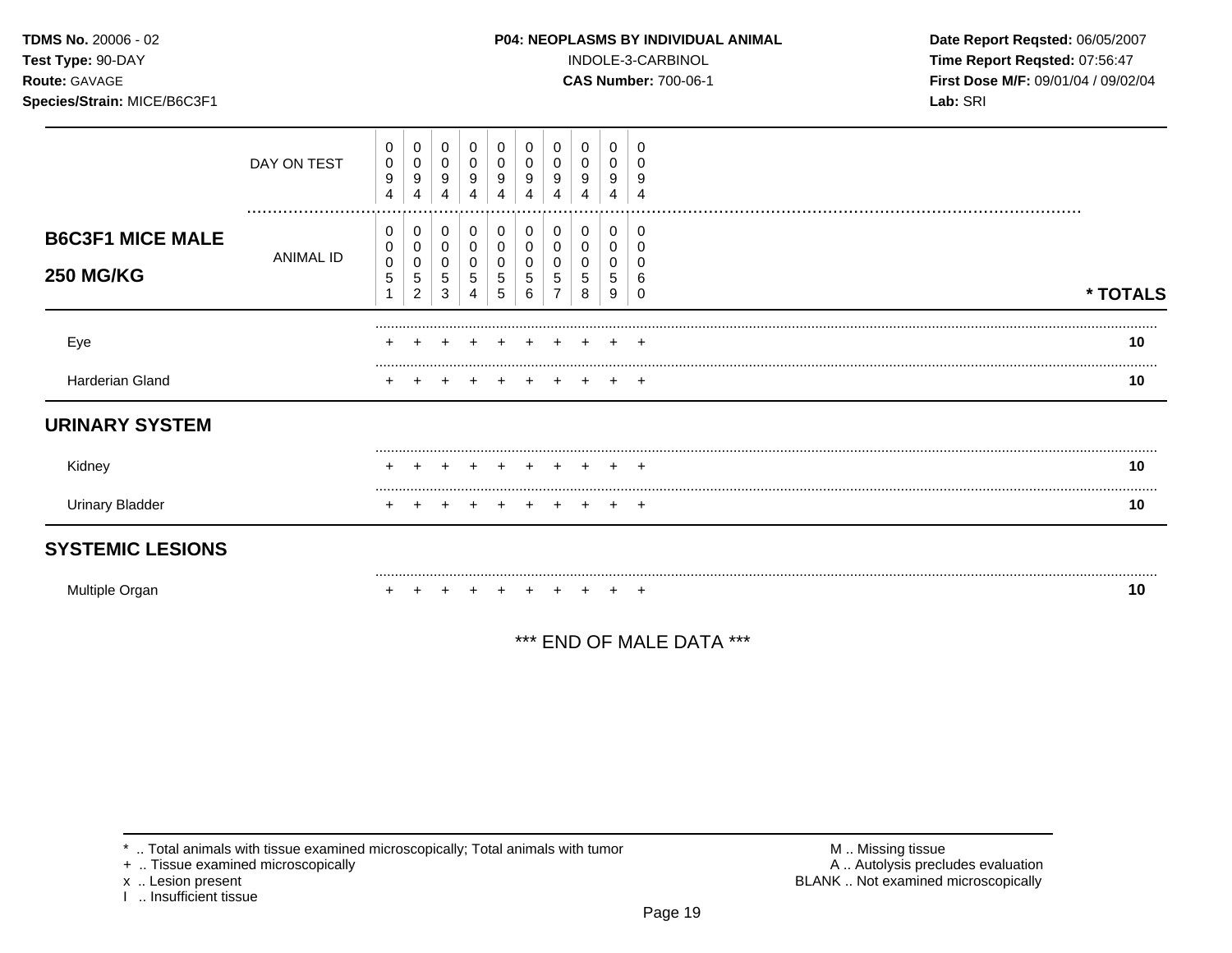### **TDMS No.** 20006 - 02 **P04: NEOPLASMS BY INDIVIDUAL ANIMAL** Date Report Reqsted: 06/05/2007

**Test Type:** 90-DAY INDOLE-3-CARBINOL **Time Report Reqsted:** 07:56:47 **Route:** GAVAGE **CAS Number:** 700-06-1 **First Dose M/F:** 09/01/04 / 09/02/04 **Species/Strain:** MICE/B6C3F1 **Lab:** SRI

| Multiple Organ          |                 |                          |                          |                  |                  |             |             |        |                  |                  |        | 10       |
|-------------------------|-----------------|--------------------------|--------------------------|------------------|------------------|-------------|-------------|--------|------------------|------------------|--------|----------|
| <b>SYSTEMIC LESIONS</b> |                 |                          |                          |                  |                  |             |             |        |                  |                  |        |          |
| <b>Urinary Bladder</b>  |                 |                          |                          |                  |                  |             |             |        |                  |                  |        | 10       |
| Kidney                  |                 |                          |                          |                  |                  |             |             |        |                  |                  |        | 10       |
| <b>URINARY SYSTEM</b>   |                 |                          |                          |                  |                  |             |             |        |                  |                  |        |          |
| Harderian Gland         |                 |                          |                          |                  |                  |             |             |        |                  |                  | $+$    | 10       |
| Eye                     |                 |                          |                          |                  |                  |             |             |        |                  |                  | $\div$ | 10       |
| <b>250 MG/KG</b>        |                 | $\,0\,$<br>5             | 0<br>5<br>$\overline{2}$ | 0<br>5<br>3      | 0<br>5           | 0<br>5<br>5 | 5<br>6      | 0<br>5 | 0<br>5<br>8      | 0<br>5<br>9      |        | * TOTALS |
| <b>B6C3F1 MICE MALE</b> | ANIMAL ID       | 0<br>0                   | 0<br>0                   | 0<br>0           | 0<br>0           | 0<br>0      | 0           | 0      | 0<br>0           | 0<br>0           | -0     |          |
|                         | DAY ON TEST<br> | 0<br>$\pmb{0}$<br>9<br>4 | 0<br>0<br>9<br>4         | 0<br>0<br>9<br>4 | 0<br>0<br>9<br>4 | 0<br>9      | 0<br>9<br>4 | 0<br>9 | 0<br>0<br>9<br>4 | 0<br>0<br>9<br>4 | g      |          |

\*\*\* END OF MALE DATA \*\*\*

\* .. Total animals with tissue examined microscopically; Total animals with tumor <br>
+ .. Tissue examined microscopically<br>
+ .. Tissue examined microscopically

+ .. Tissue examined microscopically

x .. Lesion present<br>I .. Insufficient tissue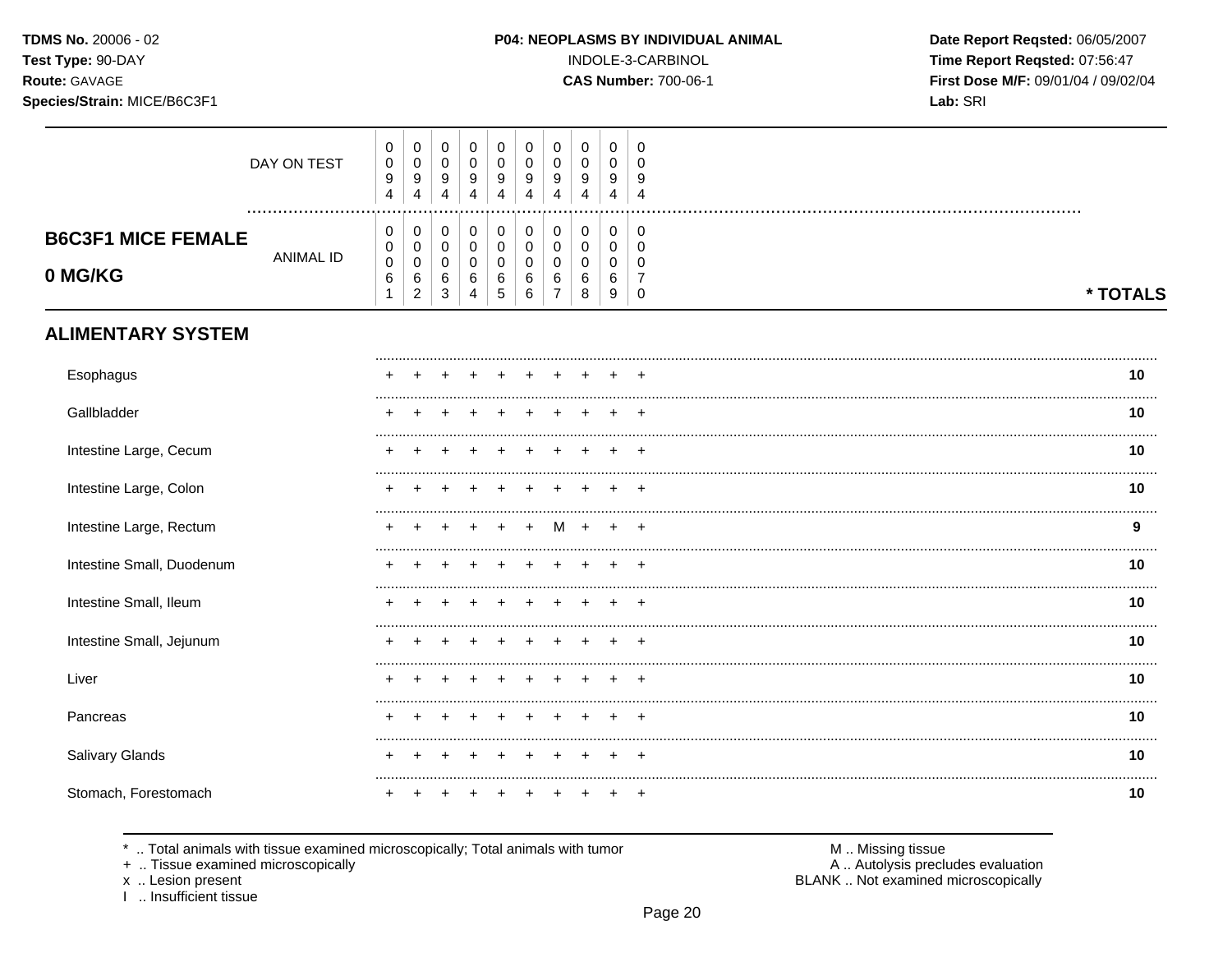# Species/Strain: MICE/B6C3F1

P04: NEOPLASMS BY INDIVIDUAL ANIMAL

INDOLE-3-CARBINOL

**CAS Number: 700-06-1** 

Date Report Reqsted: 06/05/2007 Time Report Reqsted: 07:56:47 First Dose M/F: 09/01/04 / 09/02/04 Lab: SRI

|                                      | DAY ON TEST      | $\pmb{0}$<br>$\pmb{0}$<br>$\boldsymbol{9}$<br>$\overline{4}$ | $\mathbf 0$<br>$\mathbf 0$<br>$\boldsymbol{9}$<br>4      | $\mathbf 0$<br>$\mathbf 0$<br>9<br>$\overline{4}$    | $\pmb{0}$<br>$\mathbf 0$<br>9<br>4      | $\mathbf 0$<br>$\mathbf 0$<br>9<br>$\overline{4}$          | $\boldsymbol{0}$<br>$\mathbf 0$<br>9<br>4 | 0<br>$\Omega$<br>9<br>Δ | 0<br>$\mathbf 0$<br>9<br>$\overline{4}$ | 0<br>$\mathbf 0$<br>9<br>4      | 0<br>$\Omega$<br>9<br>$\boldsymbol{\Lambda}$                  |          |
|--------------------------------------|------------------|--------------------------------------------------------------|----------------------------------------------------------|------------------------------------------------------|-----------------------------------------|------------------------------------------------------------|-------------------------------------------|-------------------------|-----------------------------------------|---------------------------------|---------------------------------------------------------------|----------|
| <b>B6C3F1 MICE FEMALE</b><br>0 MG/KG | <b>ANIMAL ID</b> | 0<br>$\pmb{0}$<br>$\pmb{0}$<br>6<br>1                        | 0<br>$\mathbf 0$<br>$\mathbf 0$<br>$\,6\,$<br>$\sqrt{2}$ | 0<br>$\mathsf 0$<br>$\mathbf 0$<br>6<br>$\mathbf{3}$ | 0<br>$\pmb{0}$<br>$\mathbf 0$<br>6<br>4 | 0<br>$\mathsf{O}\xspace$<br>$\mathbf 0$<br>6<br>$\sqrt{5}$ | 0<br>$\mathbf 0$<br>$\Omega$<br>6<br>6    | 0<br>0<br>$\Omega$<br>6 | 0<br>$\pmb{0}$<br>$\mathbf 0$<br>6<br>8 | 0<br>0<br>$\mathbf 0$<br>6<br>9 | 0<br>$\mathbf 0$<br>$\Omega$<br>$\overline{7}$<br>$\mathbf 0$ | * TOTALS |
| <b>ALIMENTARY SYSTEM</b>             |                  |                                                              |                                                          |                                                      |                                         |                                                            |                                           |                         |                                         |                                 |                                                               |          |
| Esophagus                            |                  |                                                              |                                                          |                                                      |                                         |                                                            |                                           |                         |                                         |                                 |                                                               | 10       |
| Gallbladder                          |                  |                                                              |                                                          |                                                      |                                         |                                                            |                                           |                         |                                         |                                 |                                                               | 10       |
| Intestine Large, Cecum               |                  |                                                              |                                                          |                                                      |                                         |                                                            |                                           |                         |                                         |                                 |                                                               | 10       |
| Intestine Large, Colon               |                  |                                                              |                                                          |                                                      |                                         |                                                            |                                           |                         |                                         |                                 |                                                               | 10       |
| Intestine Large, Rectum              |                  |                                                              |                                                          |                                                      |                                         |                                                            |                                           |                         |                                         |                                 |                                                               | 9        |
| Intestine Small, Duodenum            |                  |                                                              |                                                          |                                                      |                                         |                                                            |                                           |                         |                                         |                                 | $\ddot{}$                                                     | 10       |
| Intestine Small, Ileum               |                  |                                                              |                                                          |                                                      |                                         |                                                            |                                           |                         |                                         |                                 | $\div$                                                        | 10       |
| Intestine Small, Jejunum             |                  |                                                              |                                                          |                                                      |                                         |                                                            |                                           |                         |                                         |                                 |                                                               | 10       |
| Liver                                |                  |                                                              |                                                          |                                                      |                                         |                                                            |                                           |                         |                                         |                                 |                                                               | 10       |
| Pancreas                             |                  |                                                              |                                                          |                                                      |                                         |                                                            |                                           |                         |                                         |                                 |                                                               | 10       |
| Salivary Glands                      |                  |                                                              |                                                          |                                                      |                                         |                                                            |                                           |                         |                                         |                                 |                                                               | <br>10   |
| Stomach, Forestomach                 |                  |                                                              |                                                          |                                                      |                                         |                                                            |                                           |                         |                                         |                                 | +                                                             | 10       |
|                                      |                  |                                                              |                                                          |                                                      |                                         |                                                            |                                           |                         |                                         |                                 |                                                               |          |

\* .. Total animals with tissue examined microscopically; Total animals with tumor

+ .. Tissue examined microscopically

x .. Lesion present<br>I .. Insufficient tissue

M .. Missing tissue A .. Autolysis precludes evaluation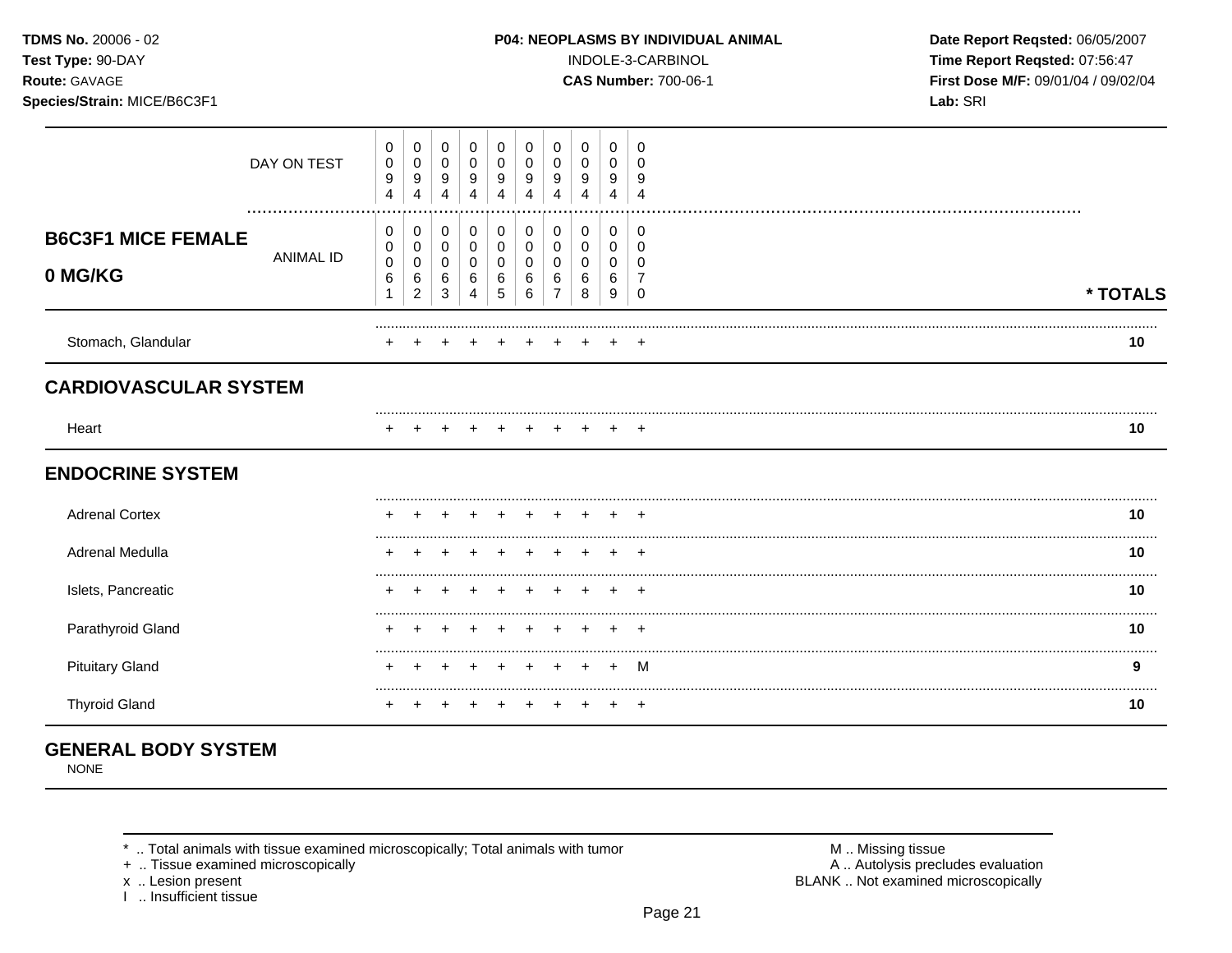Species/Strain: MICE/B6C3F1

### P04: NEOPLASMS BY INDIVIDUAL ANIMAL

INDOLE-3-CARBINOL

**CAS Number: 700-06-1** 

Date Report Reqsted: 06/05/2007 Time Report Reqsted: 07:56:47 First Dose M/F: 09/01/04 / 09/02/04 Lab: SRI

|                                      | DAY ON TEST      | 0<br>0<br>9<br>4         | 0<br>$\mathbf 0$<br>9<br>$\overline{4}$                | 0<br>$\mathbf 0$<br>9<br>4            | 0<br>$\mathbf 0$<br>9<br>4    | 0<br>0<br>9<br>4              | 0<br>0<br>9<br>4                        | 0<br>0<br>9      | 0<br>0<br>9<br>4      | 0<br>$\mathbf 0$<br>9<br>4 | 0<br>0<br>9<br>4        |          |
|--------------------------------------|------------------|--------------------------|--------------------------------------------------------|---------------------------------------|-------------------------------|-------------------------------|-----------------------------------------|------------------|-----------------------|----------------------------|-------------------------|----------|
| <b>B6C3F1 MICE FEMALE</b><br>0 MG/KG | <b>ANIMAL ID</b> | 0<br>0<br>$\pmb{0}$<br>6 | 0<br>$\mathbf 0$<br>$\mathbf 0$<br>6<br>$\overline{c}$ | 0<br>$\pmb{0}$<br>$\pmb{0}$<br>6<br>3 | 0<br>$\pmb{0}$<br>0<br>6<br>4 | 0<br>$\pmb{0}$<br>0<br>6<br>5 | $\pmb{0}$<br>$\mathbf 0$<br>0<br>6<br>6 | 0<br>0<br>0<br>6 | 0<br>0<br>0<br>6<br>8 | 0<br>0<br>0<br>6<br>9      | 0<br>0<br>$\Omega$<br>0 | * TOTALS |
| Stomach, Glandular                   |                  |                          |                                                        |                                       |                               |                               |                                         |                  |                       |                            |                         | 10       |
| <b>CARDIOVASCULAR SYSTEM</b>         |                  |                          |                                                        |                                       |                               |                               |                                         |                  |                       |                            |                         |          |
| Heart                                |                  |                          |                                                        |                                       |                               |                               |                                         |                  |                       |                            | $+$                     | 10       |
| <b>ENDOCRINE SYSTEM</b>              |                  |                          |                                                        |                                       |                               |                               |                                         |                  |                       |                            |                         |          |
| <b>Adrenal Cortex</b>                |                  |                          |                                                        |                                       |                               |                               |                                         |                  |                       |                            |                         | 10       |
| Adrenal Medulla                      |                  |                          |                                                        |                                       |                               |                               |                                         |                  |                       |                            |                         | 10       |
| Islets, Pancreatic                   |                  |                          |                                                        |                                       |                               |                               |                                         |                  |                       |                            | $\overline{ }$          | 10       |
| Parathyroid Gland                    |                  |                          |                                                        |                                       |                               |                               |                                         |                  |                       |                            | ÷                       | 10       |
| <b>Pituitary Gland</b>               |                  |                          |                                                        |                                       |                               |                               |                                         |                  |                       |                            | M                       | 9        |
| <b>Thyroid Gland</b>                 |                  |                          |                                                        |                                       |                               |                               |                                         |                  |                       | $\pm$                      | $+$                     | 10       |

## **GENERAL BODY SYSTEM**

**NONE** 

\* .. Total animals with tissue examined microscopically; Total animals with tumor

+ .. Tissue examined microscopically

x .. Lesion present<br>I .. Insufficient tissue

M .. Missing tissue<br>A .. Autolysis precludes evaluation BLANK .. Not examined microscopically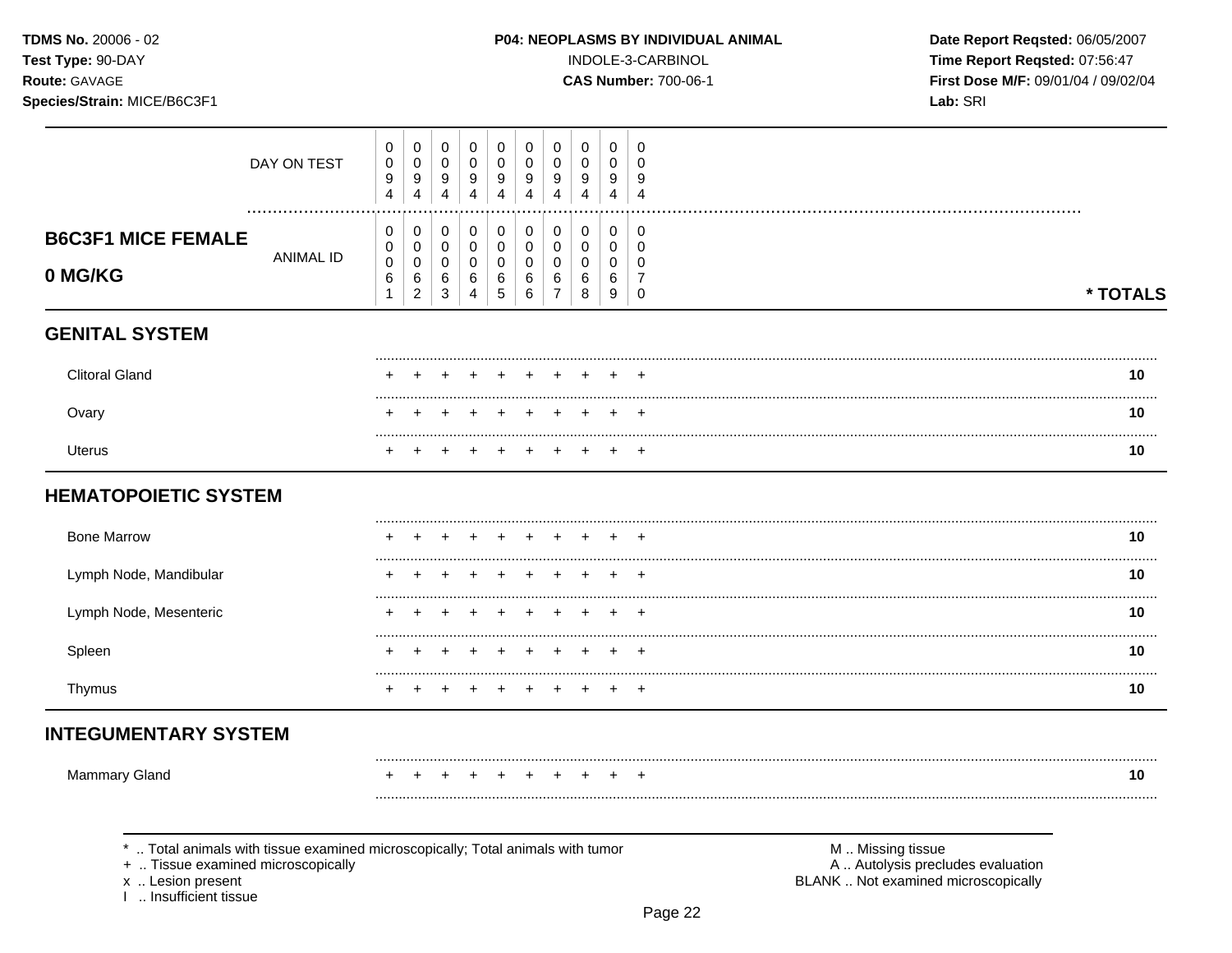### P04: NEOPLASMS BY INDIVIDUAL ANIMAL

INDOLE-3-CARBINOL

**CAS Number: 700-06-1** 

Date Report Reqsted: 06/05/2007 Time Report Reqsted: 07:56:47 First Dose M/F: 09/01/04 / 09/02/04 Lab: SRI

| Species/Strain: MICE/B6C3F1                                                                                                                |                                                           |                                                              |                                                  |                                         |                                                                  |                                                                 |                                                                |                                                     |                                           |                                                                  | Lab: SRI                                                                                      |          |
|--------------------------------------------------------------------------------------------------------------------------------------------|-----------------------------------------------------------|--------------------------------------------------------------|--------------------------------------------------|-----------------------------------------|------------------------------------------------------------------|-----------------------------------------------------------------|----------------------------------------------------------------|-----------------------------------------------------|-------------------------------------------|------------------------------------------------------------------|-----------------------------------------------------------------------------------------------|----------|
| DAY ON TEST                                                                                                                                | 0<br>$\mathbf 0$<br>$\boldsymbol{9}$<br>$\overline{4}$    | 0<br>$\mathbf 0$<br>$\boldsymbol{9}$<br>4                    | 0<br>$\mathbf 0$<br>9<br>$\overline{\mathbf{4}}$ | 0<br>$\mathbf 0$<br>9<br>$\overline{4}$ | 0<br>$\mathbf 0$<br>$\boldsymbol{9}$<br>$\overline{4}$           | 0<br>$\mathbf 0$<br>$\boldsymbol{9}$<br>$\overline{\mathbf{4}}$ | $\mathbf 0$<br>$\pmb{0}$<br>$\boldsymbol{9}$<br>$\overline{4}$ | 0<br>$\mathbf 0$<br>9<br>$\overline{4}$             | 0<br>0<br>9<br>$\overline{4}$             | $\mathbf 0$<br>0<br>9<br>$\overline{4}$                          |                                                                                               |          |
| <b>B6C3F1 MICE FEMALE</b><br>ANIMAL ID<br>0 MG/KG                                                                                          | 0<br>$\mathbf 0$<br>$\mathbf 0$<br>$\,6\,$<br>$\mathbf 1$ | 0<br>$\mathbf 0$<br>$\mathbf 0$<br>$\,6\,$<br>$\overline{c}$ | 0<br>$\pmb{0}$<br>$\mathbf 0$<br>$\,6\,$<br>3    | $\mathbf 0$<br>0<br>0<br>$\,6\,$<br>4   | $\mathbf 0$<br>$\mathbf 0$<br>$\mathbf 0$<br>$\,6$<br>$\sqrt{5}$ | $\mathbf 0$<br>$\mathbf 0$<br>0<br>$\,6\,$<br>$\,6$             | 0<br>$\mathsf{O}\xspace$<br>0<br>6<br>$\overline{7}$           | $\boldsymbol{0}$<br>$\mathbf 0$<br>0<br>6<br>$\bf8$ | $\mathbf 0$<br>$\mathbf 0$<br>0<br>6<br>9 | $\mathbf 0$<br>$\mathbf 0$<br>0<br>$\overline{7}$<br>$\mathbf 0$ |                                                                                               | * TOTALS |
| <b>GENITAL SYSTEM</b>                                                                                                                      |                                                           |                                                              |                                                  |                                         |                                                                  |                                                                 |                                                                |                                                     |                                           |                                                                  |                                                                                               |          |
| <b>Clitoral Gland</b>                                                                                                                      |                                                           |                                                              |                                                  |                                         |                                                                  |                                                                 |                                                                |                                                     |                                           |                                                                  |                                                                                               | 10       |
| Ovary                                                                                                                                      |                                                           |                                                              |                                                  |                                         |                                                                  |                                                                 | $\div$                                                         |                                                     |                                           |                                                                  |                                                                                               | 10       |
| <b>Uterus</b>                                                                                                                              |                                                           |                                                              |                                                  |                                         |                                                                  |                                                                 |                                                                | $\div$                                              |                                           |                                                                  |                                                                                               | .<br>10  |
| <b>HEMATOPOIETIC SYSTEM</b>                                                                                                                |                                                           |                                                              |                                                  |                                         |                                                                  |                                                                 |                                                                |                                                     |                                           |                                                                  |                                                                                               |          |
| <b>Bone Marrow</b>                                                                                                                         |                                                           |                                                              |                                                  |                                         |                                                                  |                                                                 |                                                                |                                                     |                                           |                                                                  |                                                                                               | 10       |
| Lymph Node, Mandibular                                                                                                                     |                                                           |                                                              |                                                  |                                         |                                                                  |                                                                 |                                                                |                                                     |                                           |                                                                  |                                                                                               | 10       |
| Lymph Node, Mesenteric                                                                                                                     |                                                           |                                                              |                                                  |                                         |                                                                  |                                                                 |                                                                |                                                     |                                           |                                                                  |                                                                                               | 10       |
| Spleen                                                                                                                                     |                                                           |                                                              |                                                  |                                         |                                                                  |                                                                 |                                                                |                                                     |                                           |                                                                  |                                                                                               | 10       |
| Thymus                                                                                                                                     |                                                           |                                                              |                                                  |                                         |                                                                  |                                                                 |                                                                |                                                     |                                           |                                                                  |                                                                                               | .<br>10  |
| <b>INTEGUMENTARY SYSTEM</b>                                                                                                                |                                                           |                                                              |                                                  |                                         |                                                                  |                                                                 |                                                                |                                                     |                                           |                                                                  |                                                                                               |          |
| <b>Mammary Gland</b>                                                                                                                       |                                                           |                                                              |                                                  |                                         |                                                                  |                                                                 |                                                                |                                                     |                                           |                                                                  |                                                                                               | 10       |
| *  Total animals with tissue examined microscopically; Total animals with tumor<br>+  Tissue examined microscopically<br>x  Lesion present |                                                           |                                                              |                                                  |                                         |                                                                  |                                                                 |                                                                |                                                     |                                           |                                                                  | M  Missing tissue<br>A  Autolysis precludes evaluation<br>BLANK  Not examined microscopically |          |

Page 22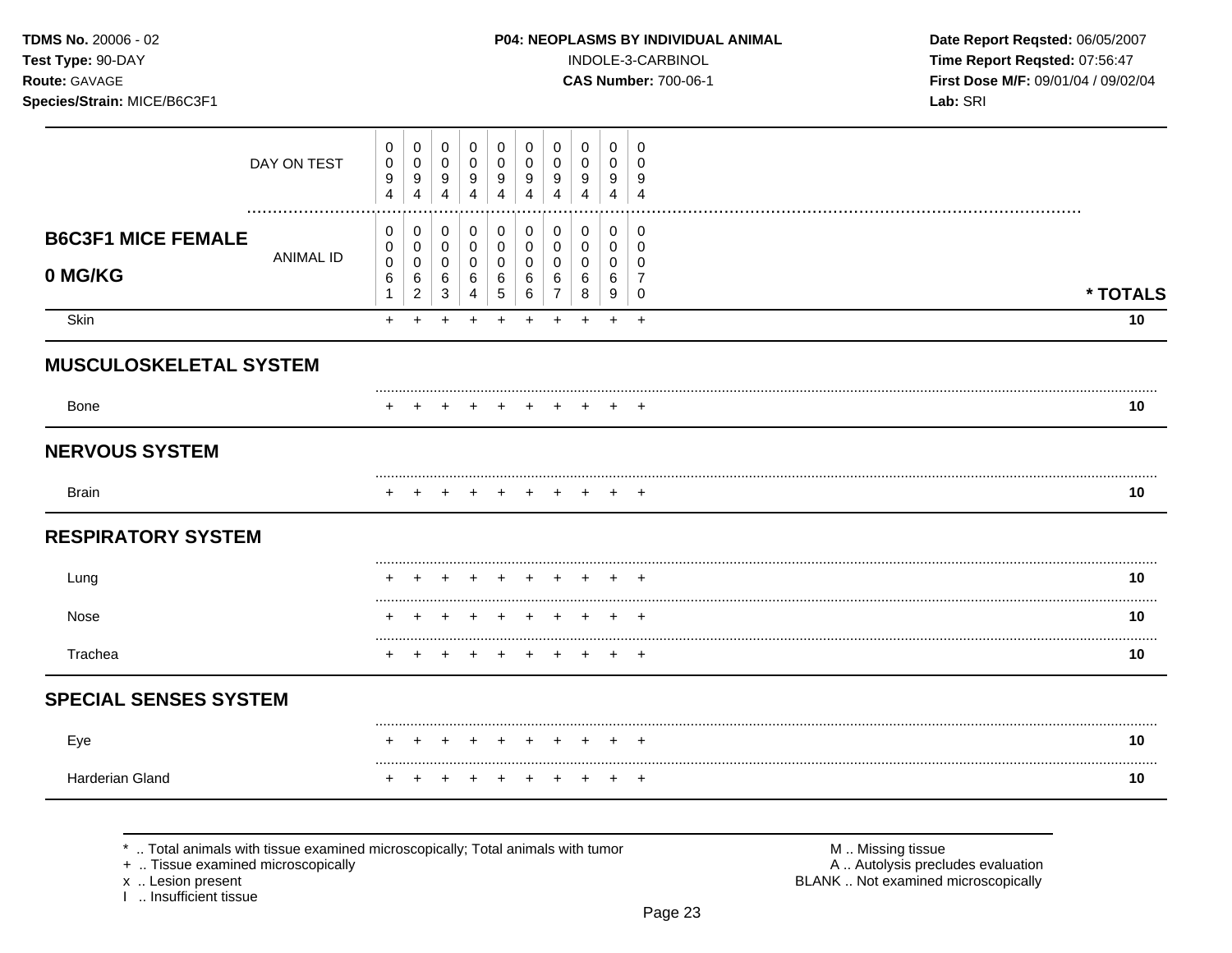Species/Strain: MICE/B6C3F1

### P04: NEOPLASMS BY INDIVIDUAL ANIMAL

INDOLE-3-CARBINOL

**CAS Number: 700-06-1** 

Date Report Reqsted: 06/05/2007 Time Report Reqsted: 07:56:47 First Dose M/F: 09/01/04 / 09/02/04 Lab: SRI

|                               | DAY ON TEST      | 0<br>0<br>9<br>$\overline{4}$ | 0<br>0<br>9<br>4            | 0<br>$\mathbf 0$<br>9<br>4 | 0<br>$\mathbf 0$<br>9<br>$\overline{4}$ | $\mathbf 0$<br>0<br>9<br>$\overline{\mathbf{4}}$ | 0<br>0<br>9<br>$\overline{4}$ | 0<br>0<br>9<br>4 | 0<br>0<br>9<br>4 | $\mathbf 0$<br>$\pmb{0}$<br>9<br>$\overline{4}$ | 0<br>$\mathbf 0$<br>9<br>$\overline{4}$ |                |
|-------------------------------|------------------|-------------------------------|-----------------------------|----------------------------|-----------------------------------------|--------------------------------------------------|-------------------------------|------------------|------------------|-------------------------------------------------|-----------------------------------------|----------------|
| <b>B6C3F1 MICE FEMALE</b>     |                  | 0<br>0                        | 0<br>0                      | 0<br>0                     | $\pmb{0}$<br>$\mathsf{O}\xspace$        | $\pmb{0}$<br>$\pmb{0}$                           | 0<br>$\pmb{0}$                | 0<br>0           | 0<br>0           | $\pmb{0}$<br>0                                  | 0<br>0                                  |                |
| 0 MG/KG                       | <b>ANIMAL ID</b> | 0<br>6                        | 0<br>$\,6\,$                | $\mathbf 0$<br>6           | 0<br>6                                  | $\mathbf 0$<br>6                                 | 0<br>6                        | 0<br>6           | 0<br>6           | 0<br>$\,6\,$                                    | $\mathbf 0$<br>$\overline{7}$           |                |
| Skin                          |                  | $\mathbf{1}$<br>$\ddot{}$     | $\overline{c}$<br>$\ddot{}$ | 3<br>$\ddot{}$             | 4<br>$\ddot{}$                          | 5<br>$\ddot{}$                                   | 6<br>$\ddot{}$                | 7<br>$\ddot{}$   | 8<br>÷           | 9<br>$\ddot{}$                                  | $\mathbf 0$<br>$+$                      | * TOTALS<br>10 |
| <b>MUSCULOSKELETAL SYSTEM</b> |                  |                               |                             |                            |                                         |                                                  |                               |                  |                  |                                                 |                                         |                |
| Bone                          |                  |                               |                             |                            |                                         |                                                  |                               |                  |                  |                                                 |                                         | 10             |
| <b>NERVOUS SYSTEM</b>         |                  |                               |                             |                            |                                         |                                                  |                               |                  |                  |                                                 |                                         |                |
| <b>Brain</b>                  |                  |                               |                             |                            |                                         |                                                  |                               |                  |                  |                                                 | ٠                                       | 10             |
| <b>RESPIRATORY SYSTEM</b>     |                  |                               |                             |                            |                                         |                                                  |                               |                  |                  |                                                 |                                         |                |
| Lung                          |                  |                               |                             |                            |                                         |                                                  |                               |                  |                  |                                                 | ٠                                       | 10             |
| Nose                          |                  |                               |                             |                            |                                         |                                                  |                               |                  |                  |                                                 | $\overline{+}$                          | 10             |
| Trachea                       |                  | $\pm$                         |                             | +                          | +                                       | +                                                | ٠                             | +                |                  | $\ddot{}$                                       | $+$                                     | <br>10         |
| <b>SPECIAL SENSES SYSTEM</b>  |                  |                               |                             |                            |                                         |                                                  |                               |                  |                  |                                                 |                                         |                |
| Eye                           |                  |                               |                             |                            |                                         |                                                  |                               |                  |                  |                                                 |                                         | 10             |
|                               |                  |                               |                             |                            |                                         |                                                  |                               |                  |                  |                                                 |                                         |                |

\* .. Total animals with tissue examined microscopically; Total animals with tumor

+ .. Tissue examined microscopically

x .. Lesion present<br>I .. Insufficient tissue

M .. Missing tissue A .. Autolysis precludes evaluation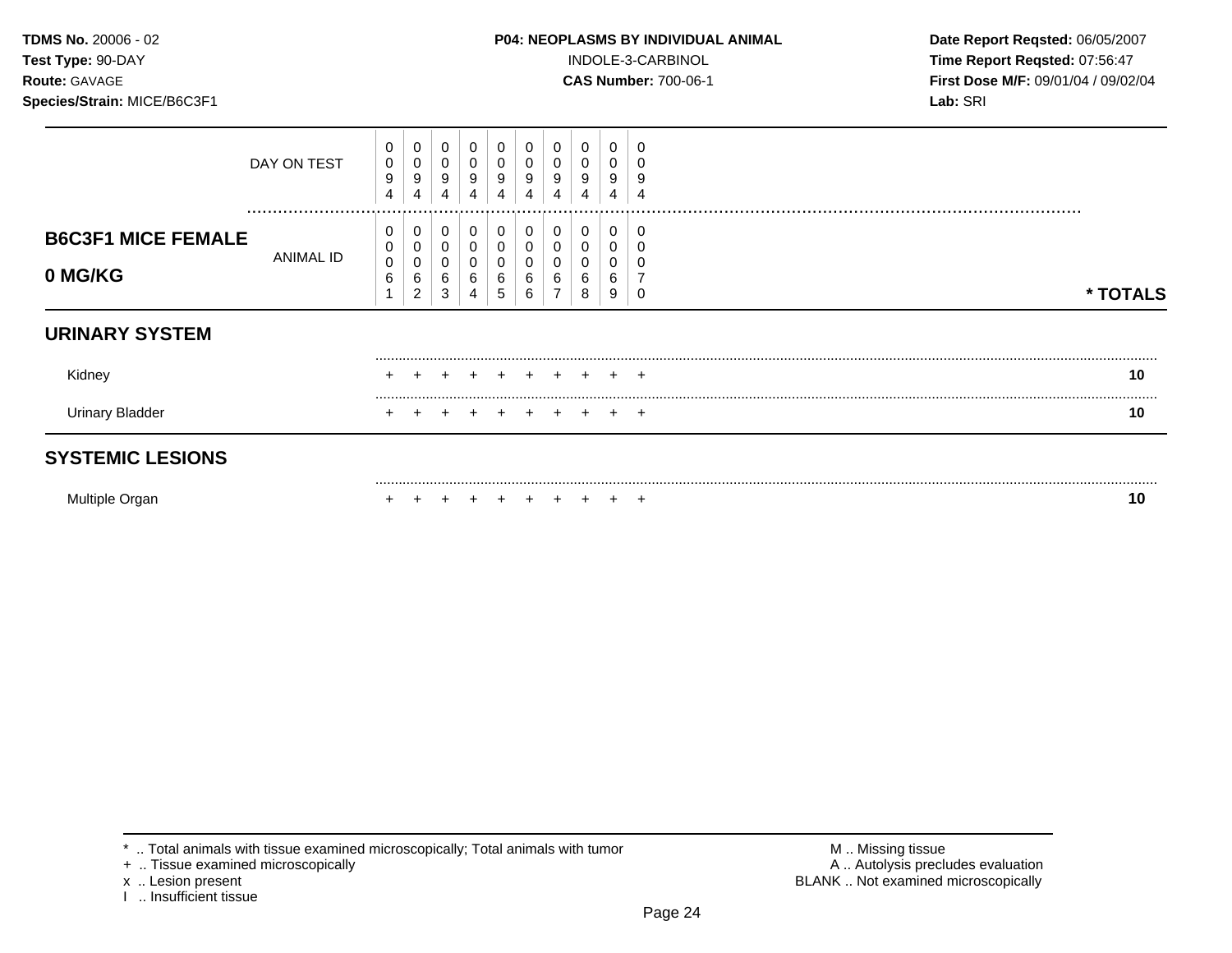### **TDMS No.** 20006 - 02 **P04: NEOPLASMS BY INDIVIDUAL ANIMAL** Date Report Reqsted: 06/05/2007

**Test Type:** 90-DAY INDOLE-3-CARBINOL **Time Report Reqsted:** 07:56:47 **Route:** GAVAGE **CAS Number:** 700-06-1 **First Dose M/F:** 09/01/04 / 09/02/04

|                                      | DAY ON TEST   | 0<br>$\pmb{0}$<br>9<br>4 | 0<br>$\boldsymbol{0}$<br>9         | 0<br>0<br>9<br>4      | 0<br>9           | $\pmb{0}$<br>0<br>9<br>4 | 0<br>9<br>4 | 0<br>9 | 0<br>0<br>9<br>4      | 0<br>0<br>9<br>4      | g     |          |
|--------------------------------------|---------------|--------------------------|------------------------------------|-----------------------|------------------|--------------------------|-------------|--------|-----------------------|-----------------------|-------|----------|
| <b>B6C3F1 MICE FEMALE</b><br>0 MG/KG | <br>ANIMAL ID | 0<br>0<br>0<br>6<br>4    | 0<br>0<br>0<br>6<br>$\overline{2}$ | 0<br>0<br>0<br>6<br>3 | 0<br>0<br>6<br>4 | 0<br>0<br>0<br>6<br>5    | 0<br>6<br>6 | 6      | 0<br>0<br>0<br>6<br>8 | 0<br>0<br>0<br>6<br>9 |       | * TOTALS |
| <b>URINARY SYSTEM</b>                |               |                          |                                    |                       |                  |                          |             |        |                       |                       |       |          |
| Kidney                               |               |                          |                                    |                       |                  |                          |             |        |                       | $\div$                | $+$   | 10       |
| <b>Urinary Bladder</b>               |               |                          |                                    |                       |                  |                          |             |        |                       |                       | $\pm$ | 10       |
| <b>SYSTEMIC LESIONS</b>              |               |                          |                                    |                       |                  |                          |             |        |                       |                       |       |          |
| Multiple Organ                       |               |                          |                                    |                       |                  |                          |             |        |                       |                       | $\pm$ | 10       |

+ .. Tissue examined microscopically

x .. Lesion present<br>I .. Insufficient tissue

<sup>\* ..</sup> Total animals with tissue examined microscopically; Total animals with tumor <br>
+ .. Tissue examined microscopically<br>
+ .. Tissue examined microscopically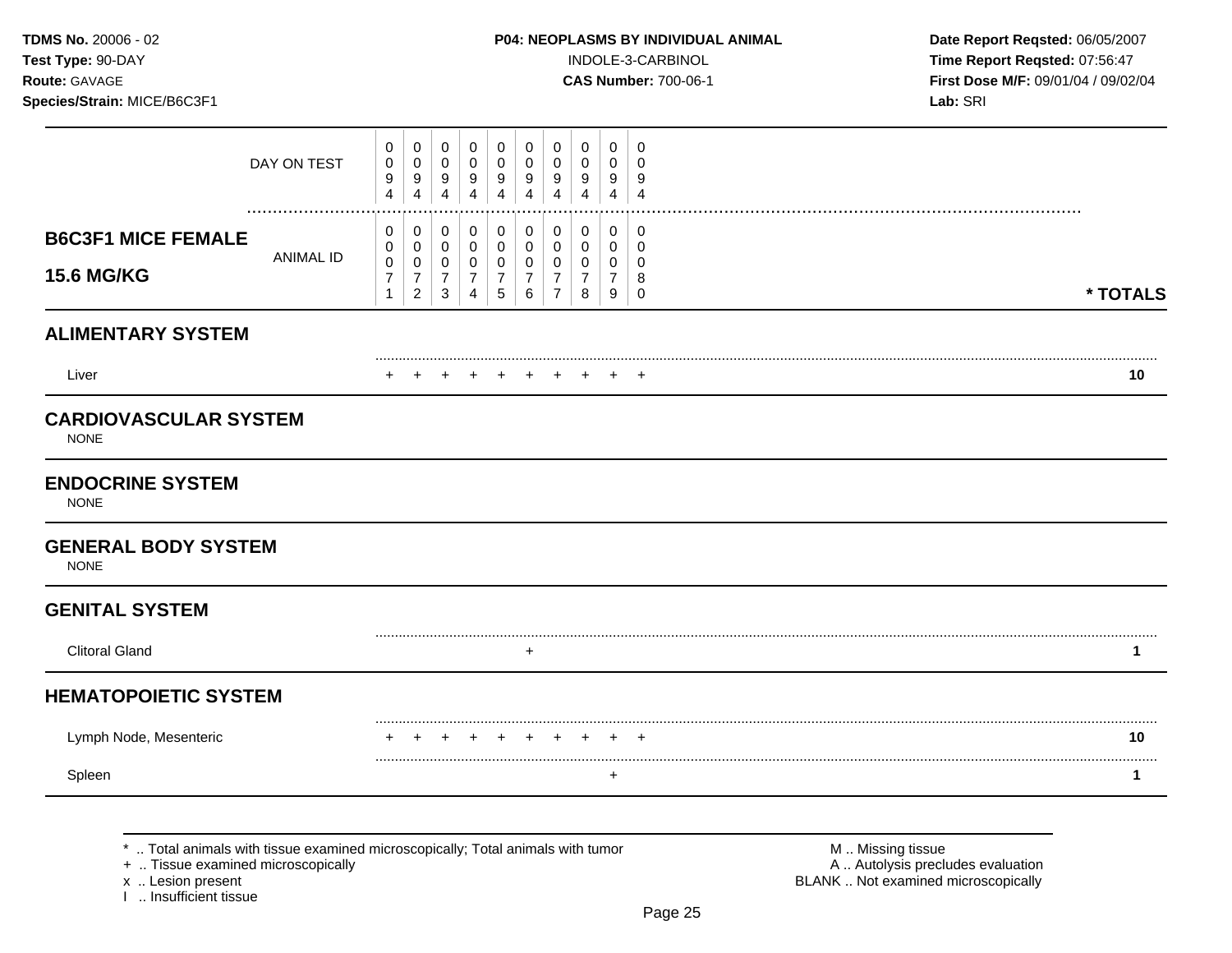### **TDMS No.** 20006 - 02 **P04: NEOPLASMS BY INDIVIDUAL ANIMAL** Date Report Reqsted: 06/05/2007

**Test Type:** 90-DAY INDOLE-3-CARBINOL **Time Report Reqsted:** 07:56:47 **Route:** GAVAGE **CAS Number:** 700-06-1 **First Dose M/F:** 09/01/04 / 09/02/04

|                                                | DAY ON TEST                                                                                                        | 0<br>0<br>9<br>4                                | 0<br>$\pmb{0}$<br>9<br>$\overline{4}$                               | 0<br>$\pmb{0}$<br>9<br>$\overline{4}$         | 0<br>$\pmb{0}$<br>9<br>$\overline{4}$                               | 0<br>$\mathbf 0$<br>9<br>4                            | 0<br>0<br>9<br>4                             | 0<br>0<br>9<br>4                                | 0<br>0<br>9<br>4                               | 0<br>0<br>9<br>4                   | 0<br>$\mathbf 0$<br>9<br>4                |                                                                                               |          |
|------------------------------------------------|--------------------------------------------------------------------------------------------------------------------|-------------------------------------------------|---------------------------------------------------------------------|-----------------------------------------------|---------------------------------------------------------------------|-------------------------------------------------------|----------------------------------------------|-------------------------------------------------|------------------------------------------------|------------------------------------|-------------------------------------------|-----------------------------------------------------------------------------------------------|----------|
| <b>B6C3F1 MICE FEMALE</b><br><b>15.6 MG/KG</b> | ANIMAL ID                                                                                                          | 0<br>0<br>0<br>$\boldsymbol{7}$<br>$\mathbf{1}$ | 0<br>$\pmb{0}$<br>$\pmb{0}$<br>$\boldsymbol{7}$<br>$\boldsymbol{2}$ | 0<br>0<br>0<br>$\overline{7}$<br>$\mathbf{3}$ | 0<br>$\pmb{0}$<br>$\mathbf 0$<br>$\boldsymbol{7}$<br>$\overline{4}$ | 0<br>$\pmb{0}$<br>0<br>$\boldsymbol{7}$<br>$\sqrt{5}$ | 0<br>$\mathbf 0$<br>0<br>$\overline{7}$<br>6 | 0<br>0<br>0<br>$\overline{7}$<br>$\overline{7}$ | 0<br>$\mathbf 0$<br>0<br>$\boldsymbol{7}$<br>8 | 0<br>0<br>0<br>$\overline{7}$<br>9 | 0<br>$\mathbf 0$<br>0<br>8<br>$\mathbf 0$ |                                                                                               | * TOTALS |
| <b>ALIMENTARY SYSTEM</b>                       |                                                                                                                    |                                                 |                                                                     |                                               |                                                                     |                                                       |                                              |                                                 |                                                |                                    |                                           |                                                                                               |          |
| Liver                                          |                                                                                                                    | $\pm$                                           | +                                                                   | $\div$                                        | $\div$                                                              | $\div$                                                | $\div$                                       | ÷                                               |                                                | $\div$                             | $\overline{ }$                            |                                                                                               | 10       |
| <b>CARDIOVASCULAR SYSTEM</b><br><b>NONE</b>    |                                                                                                                    |                                                 |                                                                     |                                               |                                                                     |                                                       |                                              |                                                 |                                                |                                    |                                           |                                                                                               |          |
| <b>ENDOCRINE SYSTEM</b><br><b>NONE</b>         |                                                                                                                    |                                                 |                                                                     |                                               |                                                                     |                                                       |                                              |                                                 |                                                |                                    |                                           |                                                                                               |          |
| <b>GENERAL BODY SYSTEM</b><br><b>NONE</b>      |                                                                                                                    |                                                 |                                                                     |                                               |                                                                     |                                                       |                                              |                                                 |                                                |                                    |                                           |                                                                                               |          |
| <b>GENITAL SYSTEM</b>                          |                                                                                                                    |                                                 |                                                                     |                                               |                                                                     |                                                       |                                              |                                                 |                                                |                                    |                                           |                                                                                               |          |
| <b>Clitoral Gland</b>                          |                                                                                                                    |                                                 |                                                                     |                                               |                                                                     |                                                       | $\ddot{}$                                    |                                                 |                                                |                                    |                                           |                                                                                               | 1        |
| <b>HEMATOPOIETIC SYSTEM</b>                    |                                                                                                                    |                                                 |                                                                     |                                               |                                                                     |                                                       |                                              |                                                 |                                                |                                    |                                           |                                                                                               |          |
| Lymph Node, Mesenteric                         |                                                                                                                    |                                                 |                                                                     |                                               |                                                                     |                                                       |                                              |                                                 |                                                | $\div$                             | $\overline{+}$                            |                                                                                               | 10       |
| Spleen                                         |                                                                                                                    |                                                 |                                                                     |                                               |                                                                     |                                                       |                                              |                                                 |                                                | $\ddot{}$                          |                                           |                                                                                               | 1        |
| x  Lesion present                              | Total animals with tissue examined microscopically; Total animals with tumor<br>+  Tissue examined microscopically |                                                 |                                                                     |                                               |                                                                     |                                                       |                                              |                                                 |                                                |                                    |                                           | M  Missing tissue<br>A  Autolysis precludes evaluation<br>BLANK  Not examined microscopically |          |

x .. Lesion present<br>I .. Insufficient tissue

Page 25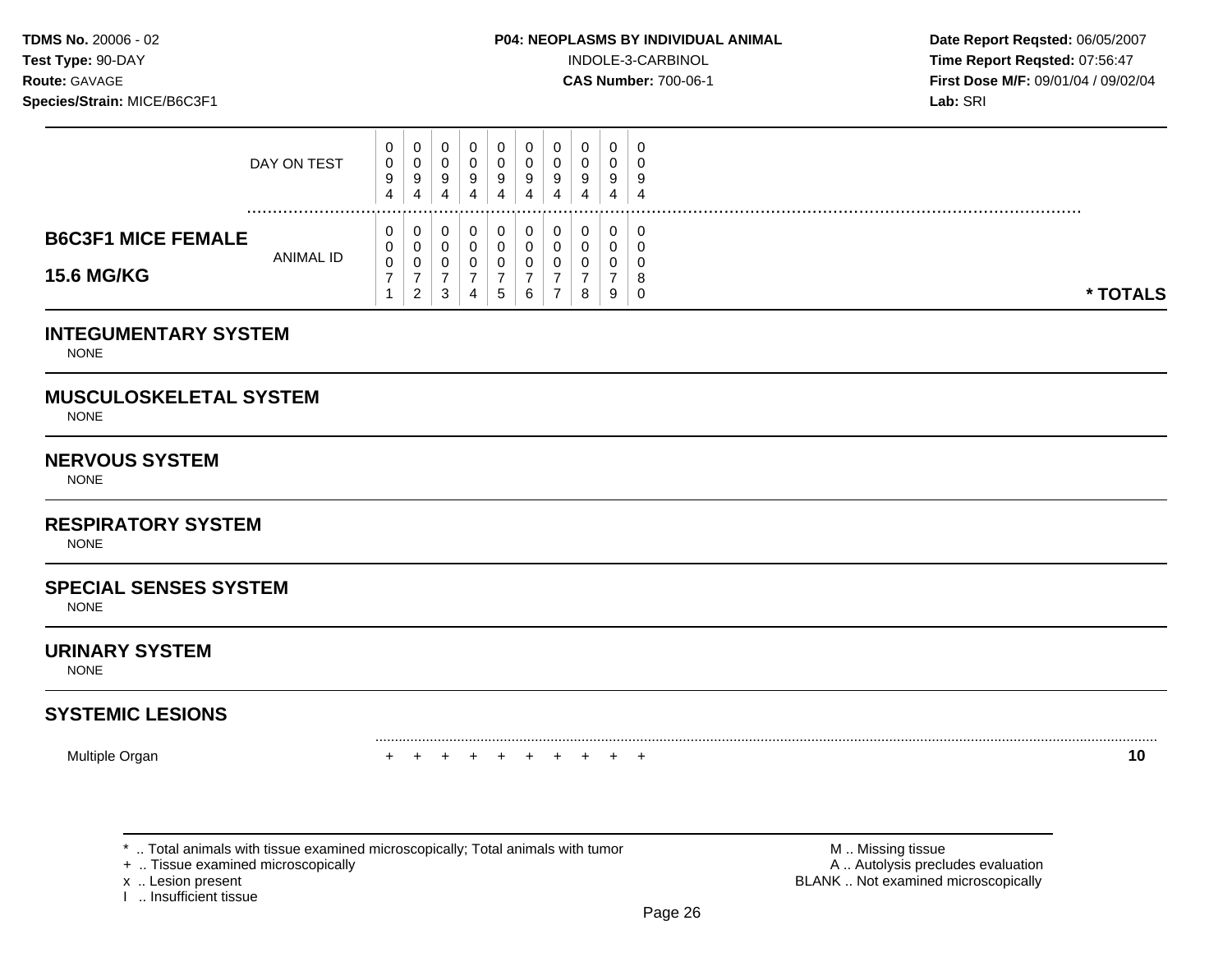**Test Type:**  $90-DAY$  **INDOLE-3-CARBINOL Time Report Reqsted: 07:56:47 Route:** GAVAGE **CAS Number:** 700-06-1 **First Dose M/F:** 09/01/04 / 09/02/04

| <b>B6C3F1 MICE FEMALE</b><br><b>15.6 MG/KG</b> | ANIMAL ID   | v<br>U           | J<br>U<br>U<br>ົ<br>$\epsilon$ | v<br>3      |   | <sub>5</sub> | 0           | 0<br>0<br>0<br>8 | U<br>ν<br>υ<br>9 | U        | * TOTALS |
|------------------------------------------------|-------------|------------------|--------------------------------|-------------|---|--------------|-------------|------------------|------------------|----------|----------|
|                                                | DAY ON TEST | v<br>0<br>9<br>4 | U<br>◡<br>9<br>4               | ◡<br>9<br>4 | 9 | 9<br>4       | 0<br>9<br>4 | 0<br>0<br>9<br>4 | U<br>u<br>9<br>4 | °.<br>-4 |          |

### **INTEGUMENTARY SYSTEM**

NONE

### **MUSCULOSKELETAL SYSTEM**

NONE

### **NERVOUS SYSTEM**

NONE

### **RESPIRATORY SYSTEM**

NONE

### **SPECIAL SENSES SYSTEM**

NONE

### **URINARY SYSTEM**

NONE

# **SYSTEMIC LESIONS**

Multiple Organ + + + + + + + + + + **10** 

+ .. Tissue examined microscopically

I .. Insufficient tissue

\* .. Total animals with tissue examined microscopically; Total animals with tumor **M** . Missing tissue M .. Missing tissue<br>  $\blacksquare$  . Tissue examined microscopically<br>  $\blacksquare$  . Autolysis precludes evaluation x .. Lesion present **BLANK** .. Not examined microscopically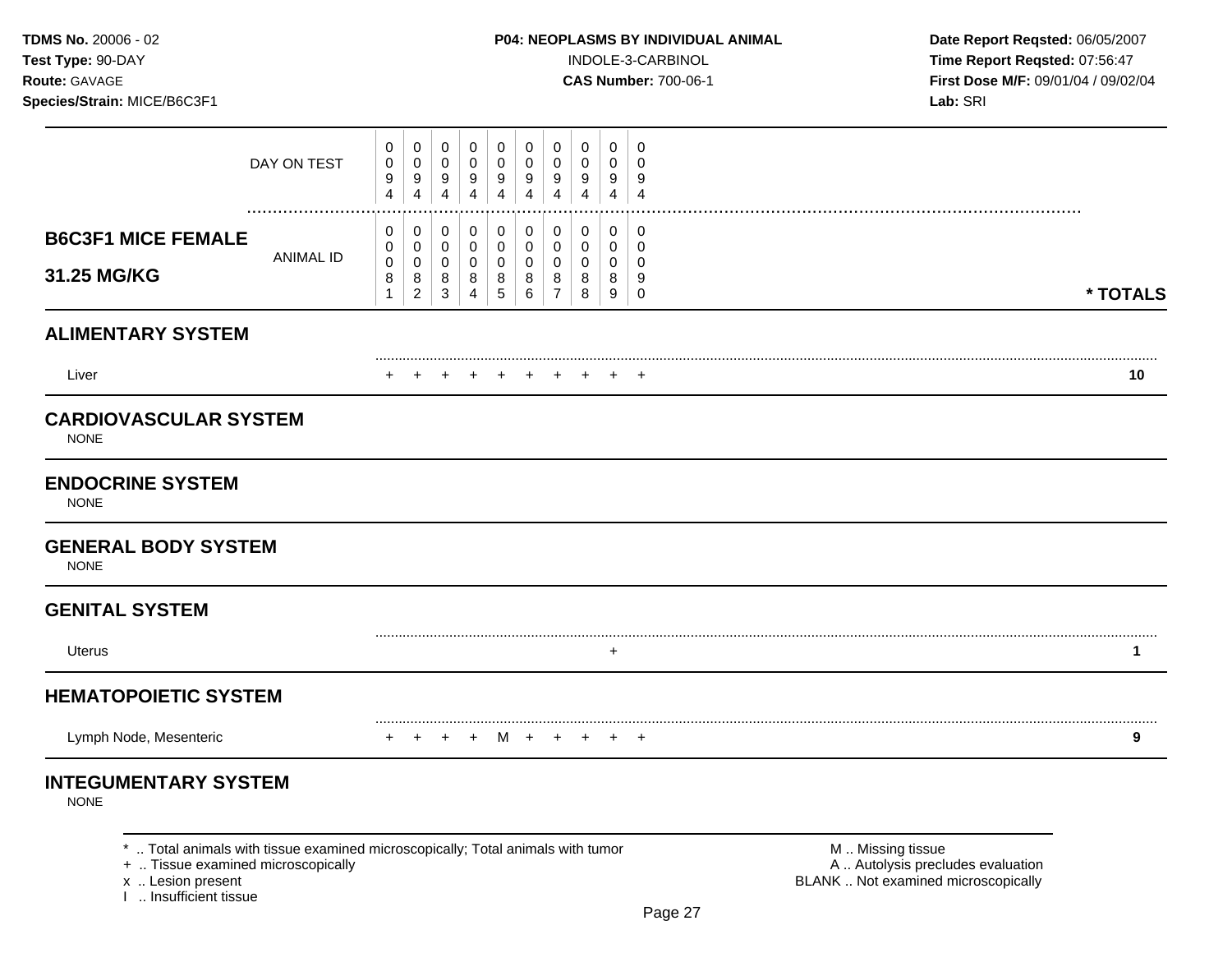**Test Type:** 90-DAY INDOLE-3-CARBINOL **Time Report Reqsted:** 07:56:47 **Route:** GAVAGE **CAS Number:** 700-06-1 **First Dose M/F:** 09/01/04 / 09/02/04

|                                             | DAY ON TEST      | 0<br>0<br>9<br>4                           | 0<br>0<br>$\boldsymbol{9}$<br>$\overline{4}$             | 0<br>0<br>9<br>4                          | 0<br>0<br>$\boldsymbol{9}$<br>4           | 0<br>$\pmb{0}$<br>9<br>4                | 0<br>0<br>9<br>4                | 0<br>0<br>9<br>4                   | 0<br>0<br>9<br>4      | 0<br>0<br>9<br>4                | 0<br>0<br>9<br>$\overline{4}$          |          |
|---------------------------------------------|------------------|--------------------------------------------|----------------------------------------------------------|-------------------------------------------|-------------------------------------------|-----------------------------------------|---------------------------------|------------------------------------|-----------------------|---------------------------------|----------------------------------------|----------|
| <b>B6C3F1 MICE FEMALE</b><br>31.25 MG/KG    | <b>ANIMAL ID</b> | 0<br>0<br>$\mathbf 0$<br>8<br>$\mathbf{1}$ | 0<br>$\pmb{0}$<br>$\pmb{0}$<br>$\bf 8$<br>$\overline{2}$ | 0<br>$\mathbf 0$<br>$\mathbf 0$<br>8<br>3 | 0<br>$\mathbf 0$<br>$\mathbf 0$<br>8<br>4 | 0<br>$\pmb{0}$<br>$\mathbf 0$<br>8<br>5 | 0<br>$\mathbf 0$<br>0<br>8<br>6 | 0<br>0<br>0<br>8<br>$\overline{7}$ | 0<br>0<br>0<br>8<br>8 | 0<br>$\mathbf 0$<br>0<br>8<br>9 | 0<br>$\mathbf 0$<br>0<br>9<br>$\Omega$ | * TOTALS |
| <b>ALIMENTARY SYSTEM</b>                    |                  |                                            |                                                          |                                           |                                           |                                         |                                 |                                    |                       |                                 |                                        |          |
| Liver                                       |                  |                                            |                                                          |                                           |                                           |                                         |                                 |                                    |                       |                                 |                                        | 10       |
| <b>CARDIOVASCULAR SYSTEM</b><br><b>NONE</b> |                  |                                            |                                                          |                                           |                                           |                                         |                                 |                                    |                       |                                 |                                        |          |
| <b>ENDOCRINE SYSTEM</b><br><b>NONE</b>      |                  |                                            |                                                          |                                           |                                           |                                         |                                 |                                    |                       |                                 |                                        |          |
| <b>GENERAL BODY SYSTEM</b><br><b>NONE</b>   |                  |                                            |                                                          |                                           |                                           |                                         |                                 |                                    |                       |                                 |                                        |          |
| <b>GENITAL SYSTEM</b>                       |                  |                                            |                                                          |                                           |                                           |                                         |                                 |                                    |                       |                                 |                                        |          |
| Uterus                                      |                  |                                            |                                                          |                                           |                                           |                                         |                                 |                                    |                       | $\ddot{}$                       |                                        | 1        |
| <b>HEMATOPOIETIC SYSTEM</b>                 |                  |                                            |                                                          |                                           |                                           |                                         |                                 |                                    |                       |                                 |                                        |          |
| Lymph Node, Mesenteric                      |                  |                                            |                                                          |                                           | $\ddot{}$                                 | M                                       | $\ddot{}$                       |                                    |                       | $\ddot{}$                       | $^{+}$                                 | 9        |
| <b>INTEGUMENTARY SYSTEM</b><br><b>NONE</b>  |                  |                                            |                                                          |                                           |                                           |                                         |                                 |                                    |                       |                                 |                                        |          |

\* .. Total animals with tissue examined microscopically; Total animals with tumor  $\blacksquare$  M .. Missing tissue<br>A .. Autolysis precit (A .. Autolysis precit (A .. Autolysis precit (A .. Autolysis precit (A .. Autolysis pre

x .. Lesion present<br>I .. Insufficient tissue

A .. Autolysis precludes evaluation BLANK .. Not examined microscopically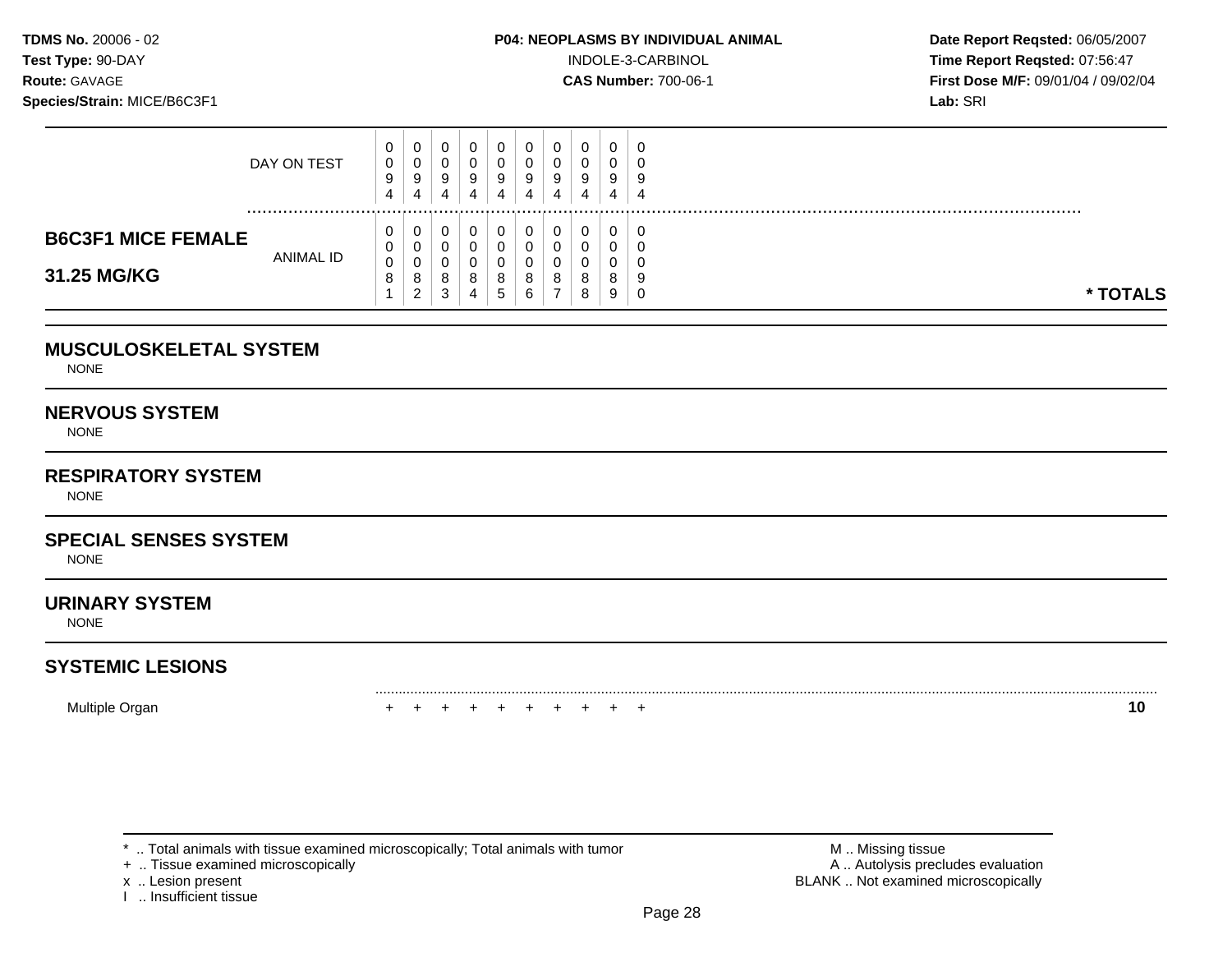**Test Type:**  $90-DAY$  **INDOLE-3-CARBINOL Time Report Reqsted: 07:56:47 Route:** GAVAGE **CAS Number:** 700-06-1 **First Dose M/F:** 09/01/04 / 09/02/04

|                                          | DAY ON TEST | 0<br>0<br>9<br>4 | U<br>v<br>9<br>4                | 9<br>4      | υ<br>9<br>4 | U<br>9<br>4      | U<br>У<br>4 | 9<br>4 | 0<br>U<br>9<br>4      | - 0<br>τ.<br>-9<br>-4           |
|------------------------------------------|-------------|------------------|---------------------------------|-------------|-------------|------------------|-------------|--------|-----------------------|---------------------------------|
| <b>B6C3F1 MICE FEMALE</b><br>31.25 MG/KG | ANIMAL ID   | 0<br>0<br>0<br>8 | U<br>v<br>v<br>8<br>$\sim$<br>∼ | υ<br>8<br>4 | υ<br>8<br>ັ | U<br>8<br>⌒<br>6 | 8           | 8<br>8 | 0<br>U<br>v<br>8<br>9 | -0<br>ഄ<br>-9<br>* TOTALS<br>ັບ |

### **MUSCULOSKELETAL SYSTEM**

NONE

### **NERVOUS SYSTEM**

NONE

### **RESPIRATORY SYSTEM**

NONE

## **SPECIAL SENSES SYSTEM**

NONE

### **URINARY SYSTEM**

NONE

### **SYSTEMIC LESIONS**

Multiple Organ **10** 

\* .. Total animals with tissue examined microscopically; Total animals with tumor **M** . Missing tissue M .. Missing tissue<br>  $\blacksquare$  . Tissue examined microscopically<br>  $\blacksquare$  . Autolysis precludes evaluation

+ .. Tissue examined microscopically

I .. Insufficient tissue

x .. Lesion present **BLANK** .. Not examined microscopically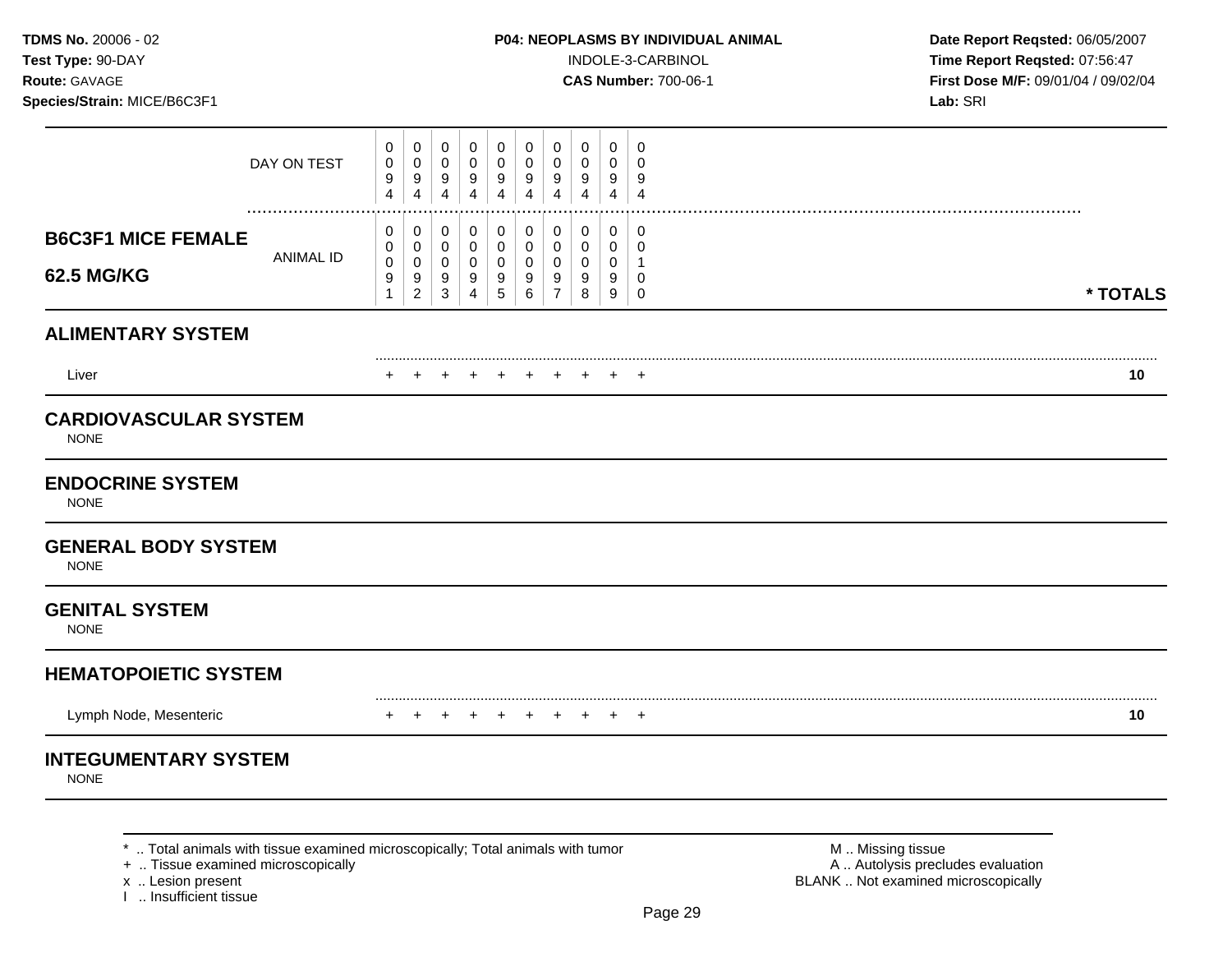**Test Type:** 90-DAY INDOLE-3-CARBINOL **Time Report Reqsted:** 07:56:47 **Route:** GAVAGE **CAS Number:** 700-06-1 **First Dose M/F:** 09/01/04 / 09/02/04

|                                             |                  | 0                                | 0                                               | 0                                                 | 0                                    | 0                                             | 0                     | 0                        | 0                | $\mathbf 0$                          | 0                |          |
|---------------------------------------------|------------------|----------------------------------|-------------------------------------------------|---------------------------------------------------|--------------------------------------|-----------------------------------------------|-----------------------|--------------------------|------------------|--------------------------------------|------------------|----------|
|                                             | DAY ON TEST      | 0<br>9                           | $\pmb{0}$<br>9                                  | $\mathbf 0$<br>9                                  | $\pmb{0}$<br>9                       | $\mathbf 0$<br>9                              | 0<br>9                | 0<br>9                   | 0<br>9           | 0<br>9                               | $\mathbf 0$<br>9 |          |
|                                             |                  | $\overline{4}$                   | $\overline{4}$                                  | 4                                                 | $\overline{4}$                       | $\overline{4}$                                | $\overline{4}$        | $\overline{4}$           | 4                | $\overline{4}$                       | $\overline{4}$   |          |
| <b>B6C3F1 MICE FEMALE</b>                   |                  | 0<br>0                           | $\mathbf 0$<br>0                                | $\mathbf 0$<br>$\mathbf 0$                        | $\mathbf 0$<br>$\mathbf 0$           | $\pmb{0}$<br>$\mathbf 0$                      | 0<br>0                | $\mathbf 0$<br>0         | 0<br>$\mathbf 0$ | $\pmb{0}$<br>0                       | 0<br>$\mathbf 0$ |          |
| <b>62.5 MG/KG</b>                           | <b>ANIMAL ID</b> | $\mathbf 0$<br>9<br>$\mathbf{1}$ | $\pmb{0}$<br>$\boldsymbol{9}$<br>$\overline{2}$ | $\mathbf 0$<br>$\boldsymbol{9}$<br>$\mathfrak{S}$ | $\mathbf 0$<br>$\boldsymbol{9}$<br>4 | $\mathbf 0$<br>$\boldsymbol{9}$<br>$\sqrt{5}$ | $\mathbf 0$<br>9<br>6 | 0<br>9<br>$\overline{7}$ | 0<br>9<br>8      | $\mathbf 0$<br>9<br>$\boldsymbol{9}$ | 0<br>$\mathbf 0$ | * TOTALS |
| <b>ALIMENTARY SYSTEM</b>                    |                  |                                  |                                                 |                                                   |                                      |                                               |                       |                          |                  |                                      |                  |          |
| Liver                                       |                  |                                  |                                                 |                                                   |                                      |                                               |                       |                          |                  | +                                    | $\pm$            | 10       |
| <b>CARDIOVASCULAR SYSTEM</b><br><b>NONE</b> |                  |                                  |                                                 |                                                   |                                      |                                               |                       |                          |                  |                                      |                  |          |
| <b>ENDOCRINE SYSTEM</b><br><b>NONE</b>      |                  |                                  |                                                 |                                                   |                                      |                                               |                       |                          |                  |                                      |                  |          |
| <b>GENERAL BODY SYSTEM</b><br><b>NONE</b>   |                  |                                  |                                                 |                                                   |                                      |                                               |                       |                          |                  |                                      |                  |          |
| <b>GENITAL SYSTEM</b><br><b>NONE</b>        |                  |                                  |                                                 |                                                   |                                      |                                               |                       |                          |                  |                                      |                  |          |
| <b>HEMATOPOIETIC SYSTEM</b>                 |                  |                                  |                                                 |                                                   |                                      |                                               |                       |                          |                  |                                      |                  |          |
| Lymph Node, Mesenteric                      |                  |                                  |                                                 | $\pm$                                             | $\ddot{}$                            | $\ddot{}$                                     | ÷                     |                          |                  | $\ddot{}$                            | $^{+}$           | 10       |
| <b>INTEGUMENTARY SYSTEM</b>                 |                  |                                  |                                                 |                                                   |                                      |                                               |                       |                          |                  |                                      |                  |          |
| <b>NONE</b>                                 |                  |                                  |                                                 |                                                   |                                      |                                               |                       |                          |                  |                                      |                  |          |

\* .. Total animals with tissue examined microscopically; Total animals with tumor  $\blacksquare$  M .. Missing tissue<br>
+ .. Tissue examined microscopically<br>
+ .. Tissue examined microscopically

x .. Lesion present<br>I .. Insufficient tissue

A .. Autolysis precludes evaluation BLANK .. Not examined microscopically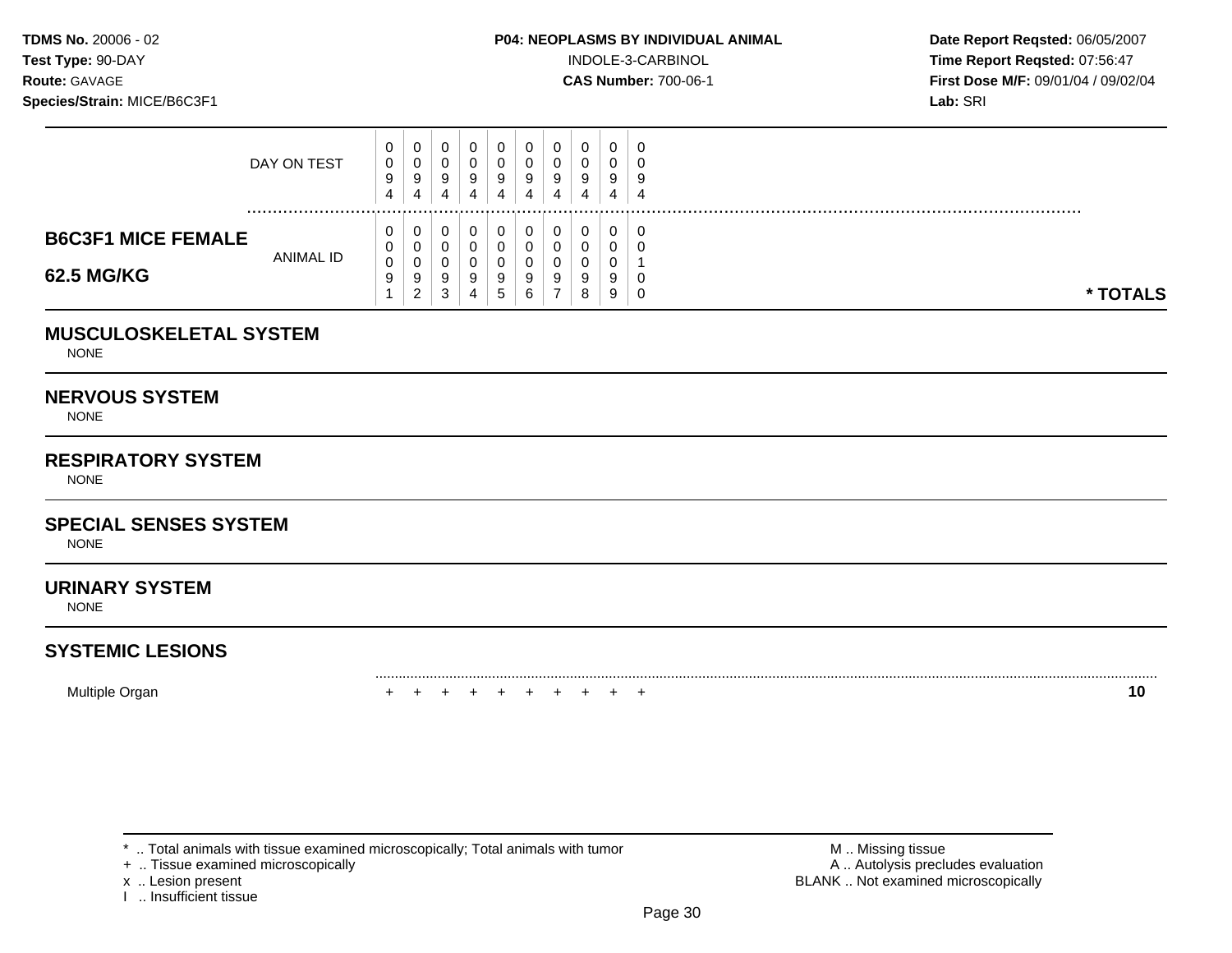**Test Type:**  $90-DAY$  **INDOLE-3-CARBINOL Time Report Reqsted: 07:56:47 Route:** GAVAGE **CAS Number:** 700-06-1 **First Dose M/F:** 09/01/04 / 09/02/04

|                           | DAY ON TEST | v<br>0<br>9<br>4   | U<br>U<br>9<br>4        | v<br>v<br>У<br>4   | 9 | 9<br>4            | 4 | U.<br>9<br>4 | 0<br>0<br>9<br>4 | U<br>v<br>9<br>4 | ÷.<br>4 |          |
|---------------------------|-------------|--------------------|-------------------------|--------------------|---|-------------------|---|--------------|------------------|------------------|---------|----------|
| <b>B6C3F1 MICE FEMALE</b> | ANIMAL ID   | v<br>v             | U<br>U                  | u                  |   |                   |   | 0            | 0<br>0           | U<br>ັ           |         |          |
| 62.5 MG/KG                |             | $\Omega$<br>◡<br>9 | U<br>9<br>C<br><u>.</u> | v<br>ಀ<br>r<br>- 3 | 9 | 9<br><sub>5</sub> |   | 9            | 0<br>9<br>8      | ν<br>9<br>9      |         | * TOTALS |

### **MUSCULOSKELETAL SYSTEM**

NONE

### **NERVOUS SYSTEM**

NONE

## **RESPIRATORY SYSTEM**

NONE

# **SPECIAL SENSES SYSTEM**

NONE

### **URINARY SYSTEM**

NONE

## **SYSTEMIC LESIONS**

Multiple Organ + + + + + + + + + + **10** 

\* .. Total animals with tissue examined microscopically; Total animals with tumor **M** . Missing tissue M .. Missing tissue<br>  $\blacksquare$  . Tissue examined microscopically

+ .. Tissue examined microscopically

I .. Insufficient tissue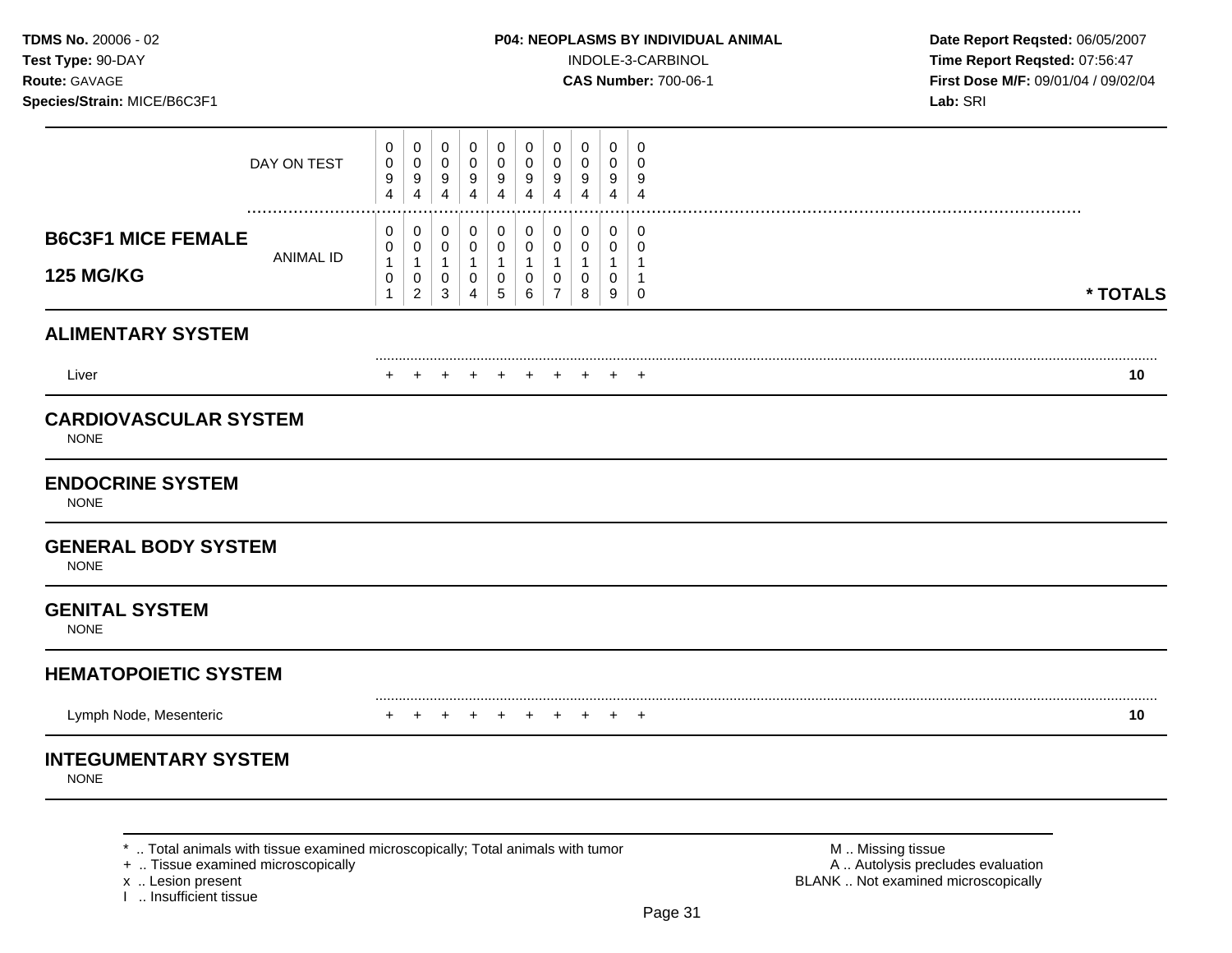**Test Type:** 90-DAY INDOLE-3-CARBINOL **Time Report Reqsted:** 07:56:47 **Route:** GAVAGE **CAS Number:** 700-06-1 **First Dose M/F:** 09/01/04 / 09/02/04

|                                               | DAY ON TEST                                                                       | 0<br>0<br>9<br>4                 | 0<br>0<br>9<br>4                   | 0<br>0<br>9<br>$\overline{4}$                       | $\mathbf 0$<br>$\mathbf 0$<br>9<br>$\overline{4}$       | 0<br>$\mathbf 0$<br>9<br>4                                                 | 0<br>0<br>9<br>$\overline{4}$                          | 0<br>0<br>9<br>$\overline{4}$                 | 0<br>0<br>9<br>$\overline{4}$ | 0<br>0<br>9<br>$\overline{4}$             | 0<br>$\mathbf 0$<br>9<br>$\overline{4}$        |                     |          |
|-----------------------------------------------|-----------------------------------------------------------------------------------|----------------------------------|------------------------------------|-----------------------------------------------------|---------------------------------------------------------|----------------------------------------------------------------------------|--------------------------------------------------------|-----------------------------------------------|-------------------------------|-------------------------------------------|------------------------------------------------|---------------------|----------|
| <b>B6C3F1 MICE FEMALE</b><br><b>125 MG/KG</b> | <br><b>ANIMAL ID</b>                                                              | 0<br>0<br>1<br>0<br>$\mathbf{1}$ | 0<br>0<br>1<br>0<br>$\overline{2}$ | 0<br>$\mathbf 0$<br>$\mathbf{1}$<br>0<br>$\sqrt{3}$ | 0<br>0<br>$\mathbf{1}$<br>$\mathbf 0$<br>$\overline{4}$ | $\mathbf 0$<br>$\mathbf 0$<br>$\mathbf{1}$<br>$\overline{0}$<br>$\sqrt{5}$ | 0<br>$\mathbf 0$<br>$\overline{1}$<br>$\mathbf 0$<br>6 | 0<br>0<br>$\mathbf{1}$<br>0<br>$\overline{7}$ | 0<br>0<br>1<br>0<br>8         | $\mathbf 0$<br>0<br>1<br>$\mathbf 0$<br>9 | 0<br>$\mathbf 0$<br>$\mathbf 1$<br>$\mathbf 0$ |                     | * TOTALS |
| <b>ALIMENTARY SYSTEM</b>                      |                                                                                   |                                  |                                    |                                                     |                                                         |                                                                            |                                                        |                                               |                               |                                           |                                                |                     |          |
| Liver                                         |                                                                                   |                                  |                                    |                                                     |                                                         |                                                                            |                                                        |                                               |                               |                                           |                                                |                     | 10       |
| <b>CARDIOVASCULAR SYSTEM</b><br><b>NONE</b>   |                                                                                   |                                  |                                    |                                                     |                                                         |                                                                            |                                                        |                                               |                               |                                           |                                                |                     |          |
| <b>ENDOCRINE SYSTEM</b><br><b>NONE</b>        |                                                                                   |                                  |                                    |                                                     |                                                         |                                                                            |                                                        |                                               |                               |                                           |                                                |                     |          |
| <b>GENERAL BODY SYSTEM</b><br><b>NONE</b>     |                                                                                   |                                  |                                    |                                                     |                                                         |                                                                            |                                                        |                                               |                               |                                           |                                                |                     |          |
| <b>GENITAL SYSTEM</b><br><b>NONE</b>          |                                                                                   |                                  |                                    |                                                     |                                                         |                                                                            |                                                        |                                               |                               |                                           |                                                |                     |          |
| <b>HEMATOPOIETIC SYSTEM</b>                   |                                                                                   |                                  |                                    |                                                     |                                                         |                                                                            |                                                        |                                               |                               |                                           |                                                |                     |          |
| Lymph Node, Mesenteric                        |                                                                                   |                                  |                                    |                                                     |                                                         |                                                                            | $+$                                                    |                                               |                               |                                           | $^+$                                           |                     | 10       |
| <b>INTEGUMENTARY SYSTEM</b><br><b>NONE</b>    |                                                                                   |                                  |                                    |                                                     |                                                         |                                                                            |                                                        |                                               |                               |                                           |                                                |                     |          |
|                                               | Tatal animals with tissue symmetry algorizacepted to Tatal spinsels with two sex- |                                  |                                    |                                                     |                                                         |                                                                            |                                                        |                                               |                               |                                           |                                                | $M = M_{\text{in}}$ |          |

+ .. Tissue examined microscopically<br>x .. Lesion present

I .. Insufficient tissue

.. Total animals with tissue examined microscopically; Total animals with tumor **Machinal and M .. Missing tissue**<br>A .. Autolysis precludes evaluation .. And Microscopically and the scopically; Total animals with tumor mor BLANK .. Not examined microscopically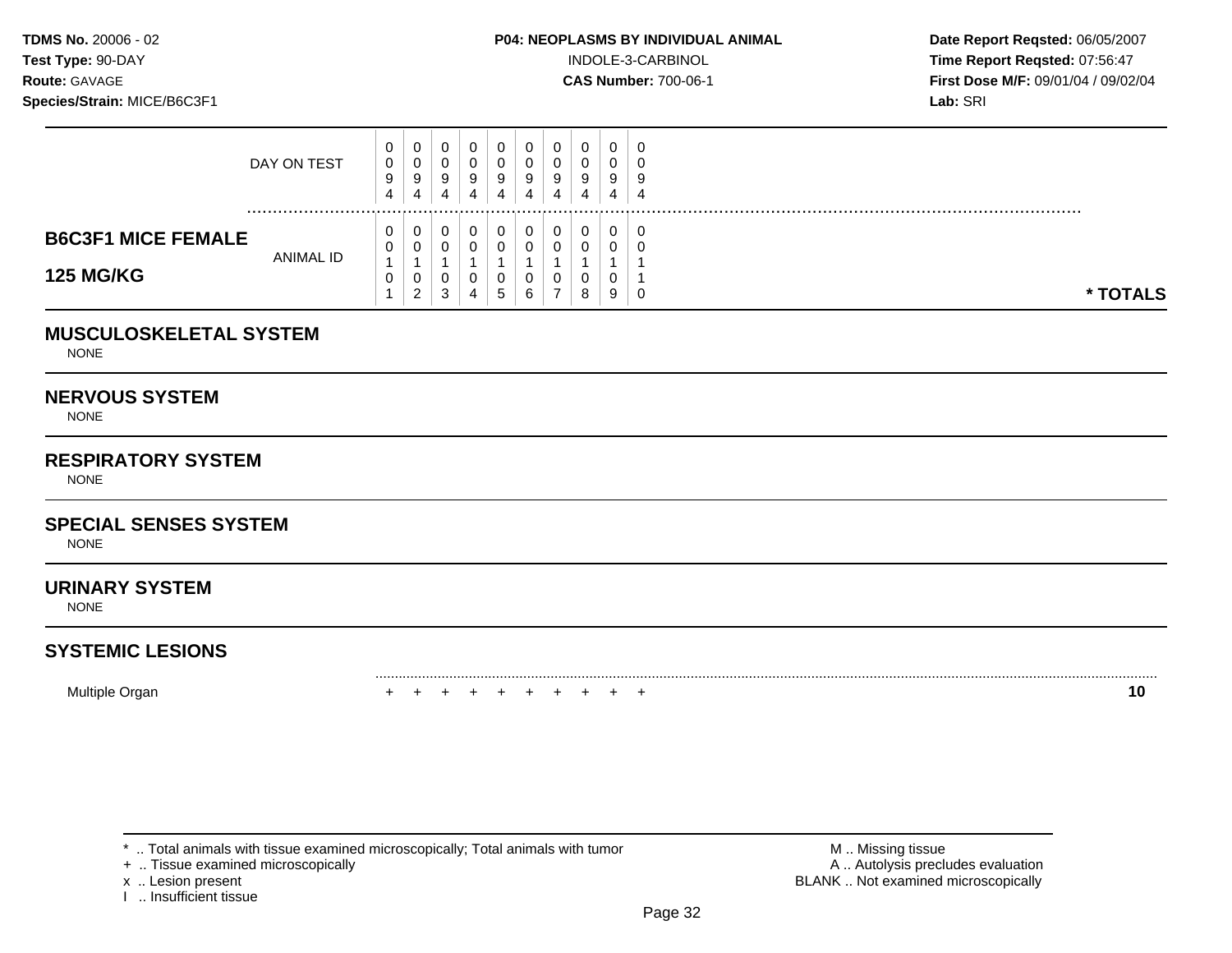**Test Type:**  $90-DAY$  **INDOLE-3-CARBINOL Time Report Reqsted: 07:56:47 Route:** GAVAGE **CAS Number:** 700-06-1 **First Dose M/F:** 09/01/04 / 09/02/04

|                           | DAY ON TEST | U.<br>0<br>9<br>4 | ◡<br>U<br>9<br>4   | v<br>ັບ<br>9 | 9 | 9<br>4       | ັບ<br>4 | 0<br>9<br>4 | 0<br>0<br>9<br>4 | U<br>ν<br>9<br>4 | 9<br>4 |          |
|---------------------------|-------------|-------------------|--------------------|--------------|---|--------------|---------|-------------|------------------|------------------|--------|----------|
| <b>B6C3F1 MICE FEMALE</b> | ANIMAL ID   | U<br><b>U</b>     | U<br>J             | v            |   |              |         | 0<br>0      | 0<br>0           | υ<br>u           |        |          |
| <b>125 MG/KG</b>          |             | v                 | U<br>ີ<br><u>.</u> | ັບ<br>c<br>చ |   | $\mathbf{p}$ |         | 0           | 0<br>8           | v<br>9           | J      | * TOTALS |

### **MUSCULOSKELETAL SYSTEM**

NONE

### **NERVOUS SYSTEM**

NONE

## **RESPIRATORY SYSTEM**

NONE

### **SPECIAL SENSES SYSTEM**

NONE

### **URINARY SYSTEM**

NONE

# **SYSTEMIC LESIONS**

Multiple Organ + + + + + + + + + + **10** 

+ .. Tissue examined microscopically

I .. Insufficient tissue

\* .. Total animals with tissue examined microscopically; Total animals with tumor **M** . Missing tissue M .. Missing tissue<br>  $\blacksquare$  . Tissue examined microscopically<br>  $\blacksquare$  . Autolysis precludes evaluation x .. Lesion present **BLANK** .. Not examined microscopically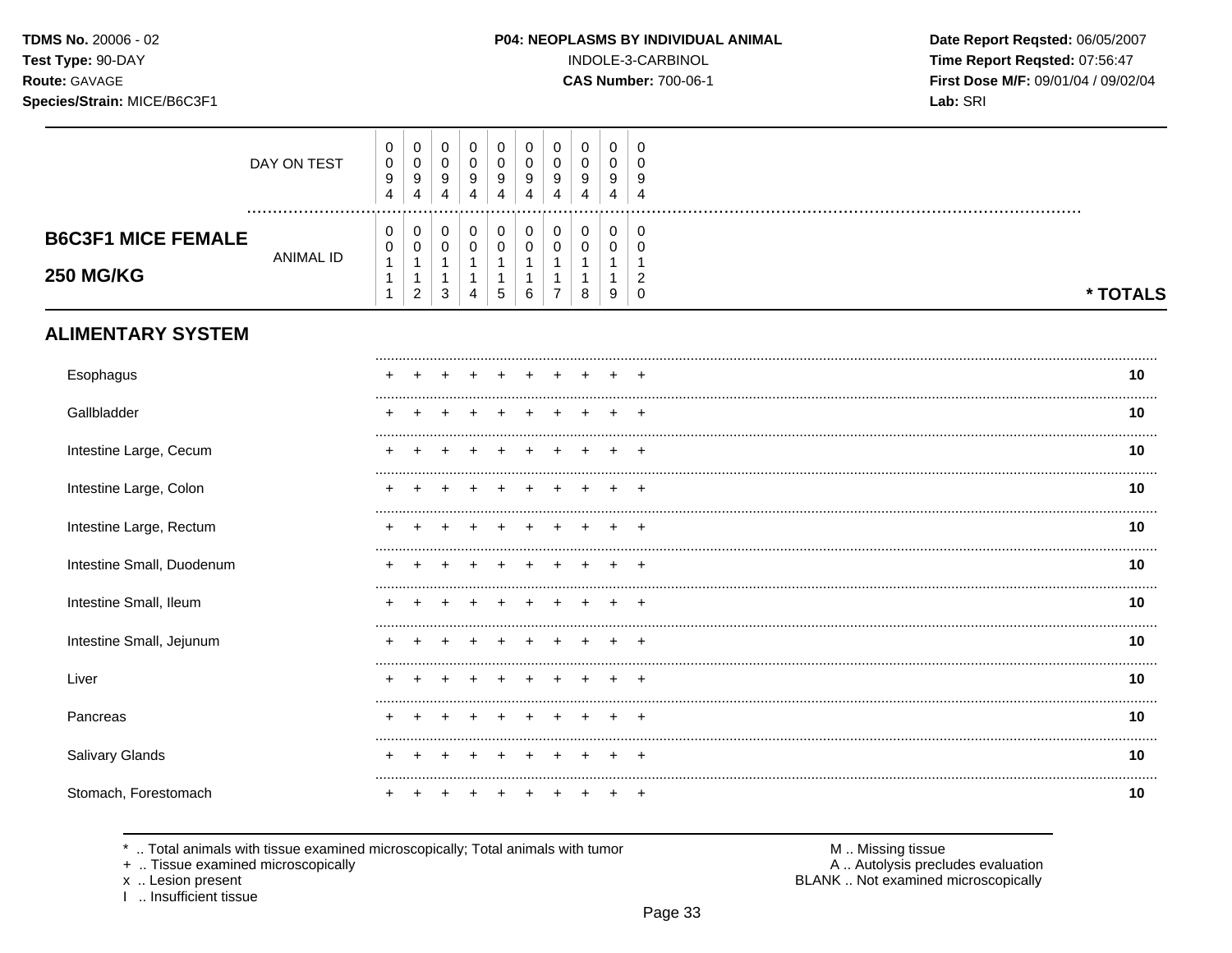TDMS No. 20006 - 02 Test Type: 90-DAY

# Route: GAVAGE

Species/Strain: MICE/B6C3F1

### INDOLE-3-CARBINOL

**CAS Number: 700-06-1** 

Date Report Reqsted: 06/05/2007 Time Report Reqsted: 07:56:47 First Dose M/F: 09/01/04 / 09/02/04 Lab: SRI

|                                               | DAY ON TEST      | $\boldsymbol{0}$<br>$\pmb{0}$<br>$\boldsymbol{9}$<br>4                 | 0<br>$\pmb{0}$<br>9<br>4                                                 | $\mathbf 0$<br>$\mathsf 0$<br>9<br>4               | 0<br>$\pmb{0}$<br>9<br>4                         | $\pmb{0}$<br>$\pmb{0}$<br>9<br>4                | 0<br>$\pmb{0}$<br>9<br>4            | 0<br>$\pmb{0}$<br>9<br>4              | 0<br>$\pmb{0}$<br>9<br>4 | 0<br>$\mathbf 0$<br>9<br>4 | 0<br>$\Omega$<br>9<br>$\overline{4}$          |          |
|-----------------------------------------------|------------------|------------------------------------------------------------------------|--------------------------------------------------------------------------|----------------------------------------------------|--------------------------------------------------|-------------------------------------------------|-------------------------------------|---------------------------------------|--------------------------|----------------------------|-----------------------------------------------|----------|
| <b>B6C3F1 MICE FEMALE</b><br><b>250 MG/KG</b> | <b>ANIMAL ID</b> | $\pmb{0}$<br>$\pmb{0}$<br>$\mathbf{1}$<br>$\mathbf{1}$<br>$\mathbf{1}$ | $\pmb{0}$<br>$\pmb{0}$<br>$\mathbf{1}$<br>$\mathbf{1}$<br>$\overline{c}$ | $\pmb{0}$<br>$\mathbf 0$<br>$\mathbf{1}$<br>1<br>3 | $\,0\,$<br>$\mathbf 0$<br>1<br>$\mathbf{1}$<br>4 | $\pmb{0}$<br>$\pmb{0}$<br>$\mathbf 1$<br>1<br>5 | $\pmb{0}$<br>$\mathbf 0$<br>-1<br>6 | $\pmb{0}$<br>0<br>1<br>$\overline{7}$ | $\pmb{0}$<br>0<br>1<br>8 | 0<br>0<br>1<br>9           | 0<br>0<br>-1<br>$\overline{c}$<br>$\mathbf 0$ | * TOTALS |
| <b>ALIMENTARY SYSTEM</b>                      |                  |                                                                        |                                                                          |                                                    |                                                  |                                                 |                                     |                                       |                          |                            |                                               |          |
| Esophagus                                     |                  |                                                                        |                                                                          |                                                    |                                                  |                                                 |                                     |                                       |                          |                            |                                               | 10       |
| Gallbladder                                   |                  |                                                                        |                                                                          |                                                    |                                                  |                                                 |                                     |                                       |                          |                            |                                               | 10       |
| Intestine Large, Cecum                        |                  |                                                                        |                                                                          |                                                    |                                                  |                                                 |                                     |                                       |                          |                            |                                               | 10       |
| Intestine Large, Colon                        |                  |                                                                        |                                                                          |                                                    |                                                  |                                                 |                                     |                                       |                          |                            | $\pm$                                         | 10       |
| Intestine Large, Rectum                       |                  |                                                                        |                                                                          |                                                    |                                                  |                                                 |                                     |                                       |                          |                            | $\ddot{}$                                     | 10       |
| Intestine Small, Duodenum                     |                  |                                                                        |                                                                          |                                                    |                                                  |                                                 |                                     |                                       |                          |                            |                                               | 10       |
| Intestine Small, Ileum                        |                  |                                                                        |                                                                          |                                                    |                                                  |                                                 |                                     |                                       |                          |                            | ÷                                             | 10       |
| Intestine Small, Jejunum                      |                  |                                                                        |                                                                          |                                                    |                                                  |                                                 |                                     |                                       |                          |                            | $\ddot{}$                                     | 10       |
| Liver                                         |                  |                                                                        |                                                                          |                                                    |                                                  |                                                 |                                     |                                       |                          |                            | ÷.                                            | 10       |
| Pancreas                                      |                  |                                                                        |                                                                          |                                                    |                                                  |                                                 |                                     |                                       |                          |                            |                                               | 10       |
| Salivary Glands                               |                  |                                                                        |                                                                          |                                                    |                                                  |                                                 |                                     |                                       |                          |                            |                                               | 10       |
| Stomach, Forestomach                          |                  |                                                                        |                                                                          |                                                    |                                                  |                                                 |                                     |                                       |                          |                            | ÷                                             | 10       |

\* .. Total animals with tissue examined microscopically; Total animals with tumor

+ .. Tissue examined microscopically

x .. Lesion present<br>I .. Insufficient tissue

M .. Missing tissue<br>A .. Autolysis precludes evaluation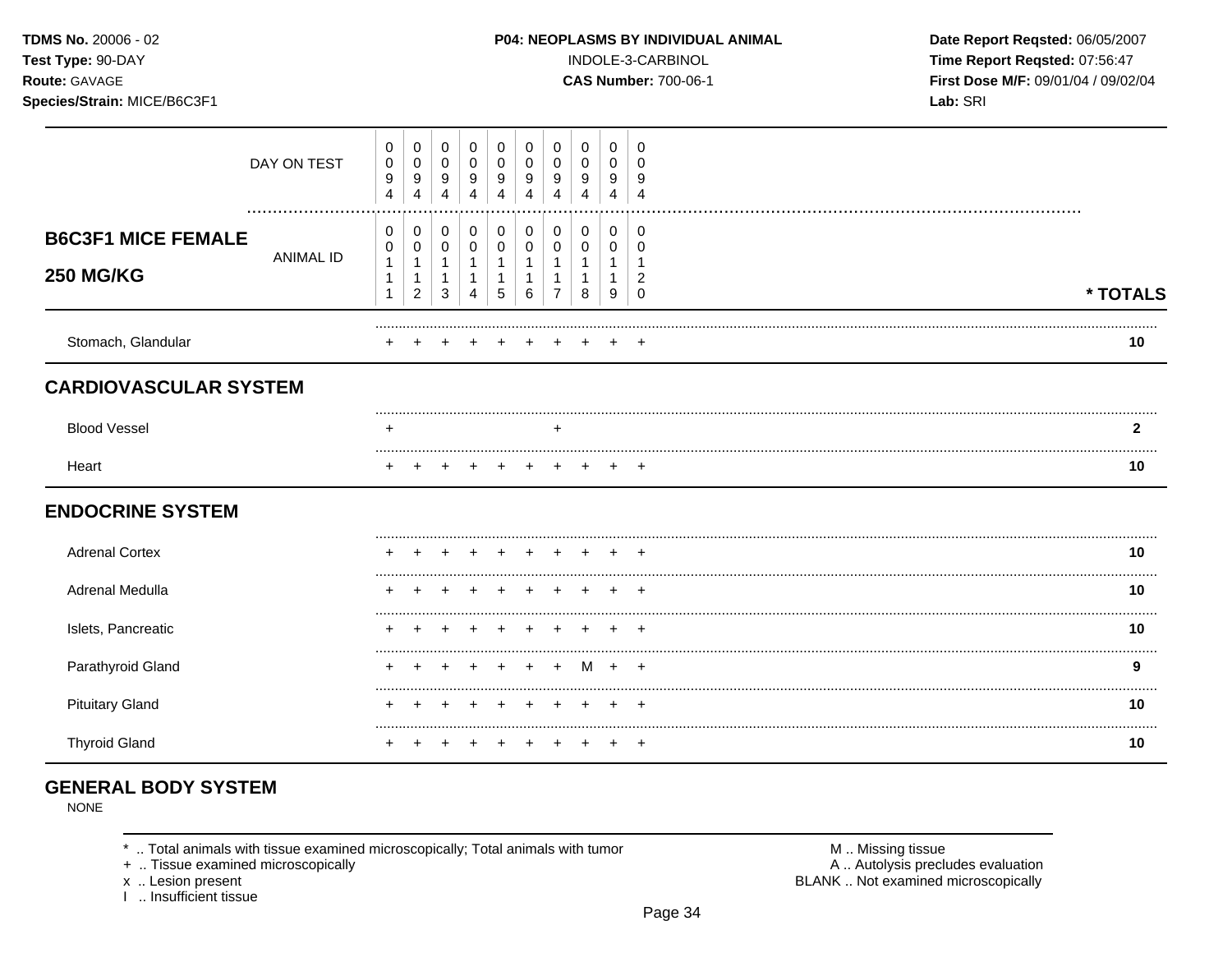Species/Strain: MICE/B6C3F1

### P04: NEOPLASMS BY INDIVIDUAL ANIMAL

INDOLE-3-CARBINOL

**CAS Number: 700-06-1** 

Date Report Reqsted: 06/05/2007 Time Report Reqsted: 07:56:47 First Dose M/F: 09/01/04 / 09/02/04 Lab: SRI

|                                               | DAY ON TEST      | $\mathbf 0$<br>$\pmb{0}$<br>$\boldsymbol{9}$<br>$\overline{4}$ | $\mathbf 0$<br>$\overline{0}$<br>9<br>$\overline{4}$ | $\mathbf 0$<br>$\mathbf 0$<br>9<br>4 | 0<br>0<br>9<br>Δ                                  | 0<br>0<br>9           | 0<br>0<br>9<br>Δ | 0<br>0<br>9 | 0<br>0<br>9<br>Δ      | 0<br>0<br>9<br>4 | 0<br>$\Omega$<br>9<br>Δ            |          |
|-----------------------------------------------|------------------|----------------------------------------------------------------|------------------------------------------------------|--------------------------------------|---------------------------------------------------|-----------------------|------------------|-------------|-----------------------|------------------|------------------------------------|----------|
| <b>B6C3F1 MICE FEMALE</b><br><b>250 MG/KG</b> | <b>ANIMAL ID</b> | 0<br>$\pmb{0}$<br>$\mathbf{1}$<br>1<br>1                       | 0<br>0<br>$\mathbf{1}$<br>1<br>$\overline{c}$        | 0<br>$\pmb{0}$<br>1<br>1<br>3        | 0<br>$\mathbf 0$<br>$\overline{\mathbf{1}}$<br>-1 | 0<br>$\mathbf 0$<br>5 | 0<br>0<br>6      | 0<br>0      | 0<br>$\mathbf 0$<br>8 | 0<br>0<br>9      | 0<br><sup>0</sup><br>2<br>$\Omega$ | * TOTALS |
| Stomach, Glandular                            |                  |                                                                |                                                      |                                      |                                                   |                       |                  |             |                       |                  |                                    | 10       |
| <b>CARDIOVASCULAR SYSTEM</b>                  |                  |                                                                |                                                      |                                      |                                                   |                       |                  |             |                       |                  |                                    |          |
| <b>Blood Vessel</b>                           |                  | +                                                              |                                                      |                                      |                                                   |                       |                  | ÷           |                       |                  |                                    | 2        |
| Heart                                         |                  |                                                                |                                                      |                                      |                                                   |                       |                  |             |                       |                  |                                    | 10       |
| <b>ENDOCRINE SYSTEM</b>                       |                  |                                                                |                                                      |                                      |                                                   |                       |                  |             |                       |                  |                                    |          |
| <b>Adrenal Cortex</b>                         |                  |                                                                |                                                      |                                      |                                                   |                       |                  |             |                       |                  |                                    | 10       |
| Adrenal Medulla                               |                  |                                                                |                                                      |                                      |                                                   |                       |                  |             |                       |                  |                                    | 10       |
| Islets, Pancreatic                            |                  |                                                                |                                                      |                                      |                                                   |                       |                  |             |                       |                  |                                    | 10       |
| Parathyroid Gland                             |                  |                                                                |                                                      |                                      |                                                   | $\ddot{}$             | $\div$           | $\ddot{}$   |                       | M +              | $+$                                | 9        |
| <b>Pituitary Gland</b>                        |                  |                                                                |                                                      |                                      |                                                   |                       |                  |             |                       |                  |                                    | 10       |
| <b>Thyroid Gland</b>                          |                  |                                                                |                                                      |                                      |                                                   |                       |                  |             |                       |                  | $\pm$                              | 10       |

# **GENERAL BODY SYSTEM**

**NONE** 

\* .. Total animals with tissue examined microscopically; Total animals with tumor

+ .. Tissue examined microscopically

x .. Lesion present<br>I .. Insufficient tissue

M .. Missing tissue A .. Autolysis precludes evaluation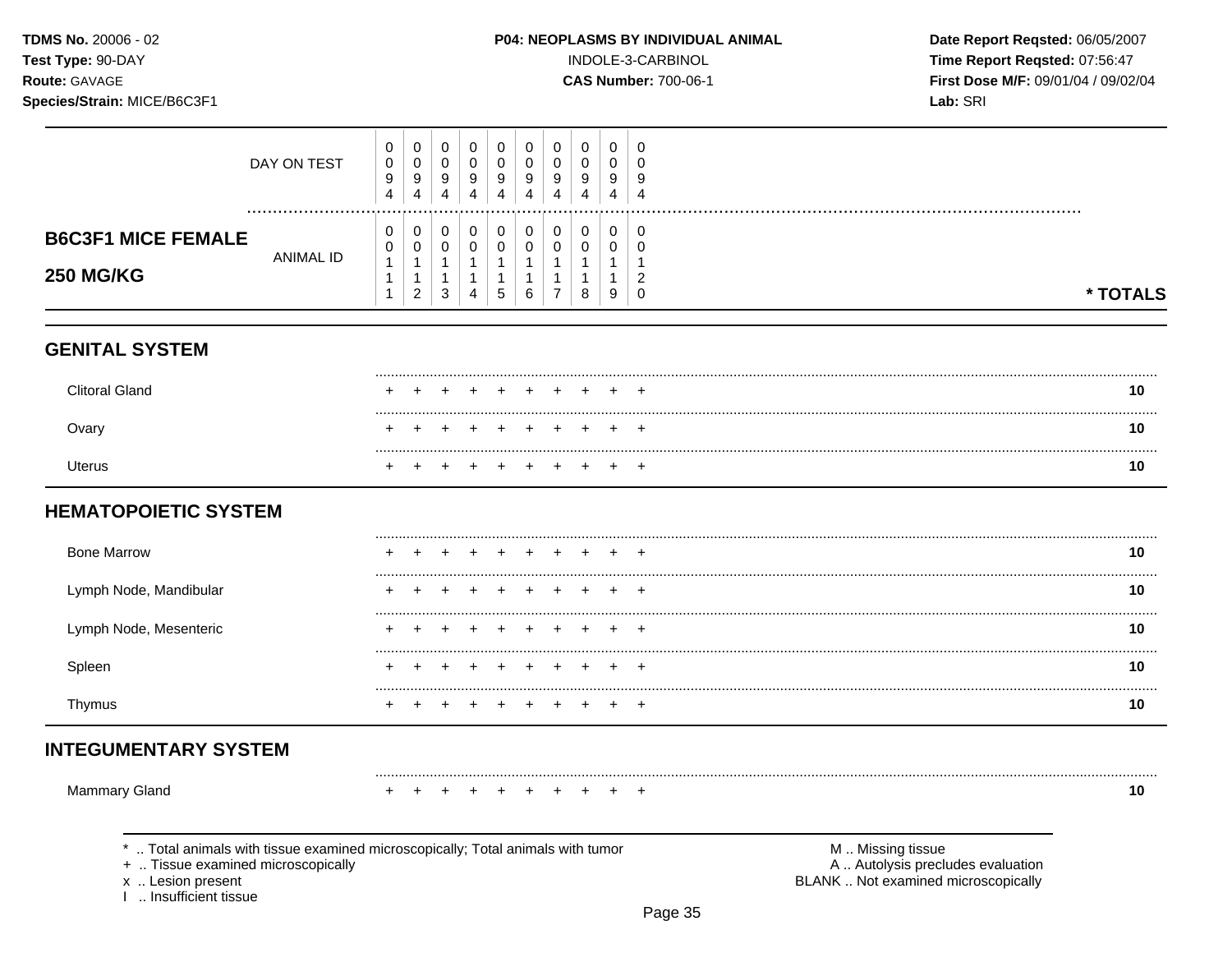### Species/Strain: MICE/B6C3F1

INDOLE-3-CARBINOL

**CAS Number: 700-06-1** 

Date Report Reqsted: 06/05/2007 Time Report Reqsted: 07:56:47 First Dose M/F: 09/01/04 / 09/02/04 Lab: SRI

| DAY ON TEST                                                                                                                                                       | 0<br>$\mathsf 0$<br>$\boldsymbol{9}$<br>4             | $\pmb{0}$<br>$\mathbf 0$<br>$\boldsymbol{9}$<br>$\overline{4}$ | 0<br>$\pmb{0}$<br>9<br>$\overline{4}$                          | $\mathbf 0$<br>$\pmb{0}$<br>9<br>4                  | $\mathbf 0$<br>$\mathbf 0$<br>9<br>4                         | 0<br>0<br>9<br>4                            | 0<br>$\mathbf 0$<br>9<br>4                            | 0<br>$\mathbf 0$<br>$\boldsymbol{9}$<br>4 | 0<br>$\pmb{0}$<br>9<br>$\overline{4}$                              | $\mathbf 0$<br>$\mathbf 0$<br>9<br>$\overline{4}$       |                                                                                               |          |
|-------------------------------------------------------------------------------------------------------------------------------------------------------------------|-------------------------------------------------------|----------------------------------------------------------------|----------------------------------------------------------------|-----------------------------------------------------|--------------------------------------------------------------|---------------------------------------------|-------------------------------------------------------|-------------------------------------------|--------------------------------------------------------------------|---------------------------------------------------------|-----------------------------------------------------------------------------------------------|----------|
| <b>B6C3F1 MICE FEMALE</b><br><b>ANIMAL ID</b><br><b>250 MG/KG</b>                                                                                                 | 0<br>0<br>$\mathbf{1}$<br>$\mathbf 1$<br>$\mathbf{1}$ | 0<br>$\pmb{0}$<br>$\mathbf{1}$<br>1<br>$\overline{c}$          | 0<br>$\pmb{0}$<br>$\mathbf{1}$<br>$\mathbf{1}$<br>$\mathbf{3}$ | 0<br>$\pmb{0}$<br>$\mathbf{1}$<br>$\mathbf{1}$<br>4 | 0<br>$\pmb{0}$<br>$\mathbf{1}$<br>$\mathbf{1}$<br>$\sqrt{5}$ | 0<br>0<br>$\mathbf{1}$<br>$\mathbf{1}$<br>6 | 0<br>$\pmb{0}$<br>$\mathbf{1}$<br>1<br>$\overline{7}$ | 0<br>$\pmb{0}$<br>$\mathbf{1}$<br>1<br>8  | 0<br>$\pmb{0}$<br>$\mathbf{1}$<br>$\mathbf{1}$<br>$\boldsymbol{9}$ | 0<br>0<br>$\mathbf{1}$<br>$\overline{2}$<br>$\mathbf 0$ |                                                                                               | * TOTALS |
| <b>GENITAL SYSTEM</b>                                                                                                                                             |                                                       |                                                                |                                                                |                                                     |                                                              |                                             |                                                       |                                           |                                                                    |                                                         |                                                                                               |          |
| <b>Clitoral Gland</b>                                                                                                                                             |                                                       |                                                                |                                                                |                                                     |                                                              |                                             |                                                       |                                           |                                                                    |                                                         |                                                                                               | 10       |
| Ovary                                                                                                                                                             |                                                       |                                                                |                                                                |                                                     |                                                              |                                             |                                                       |                                           |                                                                    |                                                         |                                                                                               | 10       |
| <b>Uterus</b>                                                                                                                                                     |                                                       |                                                                |                                                                |                                                     |                                                              |                                             |                                                       |                                           |                                                                    |                                                         |                                                                                               | 10       |
| <b>HEMATOPOIETIC SYSTEM</b>                                                                                                                                       |                                                       |                                                                |                                                                |                                                     |                                                              |                                             |                                                       |                                           |                                                                    |                                                         |                                                                                               |          |
| <b>Bone Marrow</b>                                                                                                                                                |                                                       |                                                                |                                                                |                                                     |                                                              |                                             |                                                       |                                           |                                                                    |                                                         |                                                                                               | 10       |
| Lymph Node, Mandibular                                                                                                                                            |                                                       |                                                                |                                                                |                                                     |                                                              |                                             |                                                       |                                           |                                                                    |                                                         |                                                                                               | 10       |
| Lymph Node, Mesenteric                                                                                                                                            |                                                       |                                                                |                                                                |                                                     |                                                              |                                             |                                                       |                                           |                                                                    |                                                         |                                                                                               | 10       |
| Spleen                                                                                                                                                            |                                                       |                                                                |                                                                |                                                     |                                                              |                                             |                                                       |                                           |                                                                    |                                                         |                                                                                               | 10       |
| Thymus                                                                                                                                                            |                                                       |                                                                |                                                                |                                                     |                                                              | ÷                                           |                                                       |                                           | $\pm$                                                              | $\overline{+}$                                          |                                                                                               | 10       |
| <b>INTEGUMENTARY SYSTEM</b>                                                                                                                                       |                                                       |                                                                |                                                                |                                                     |                                                              |                                             |                                                       |                                           |                                                                    |                                                         |                                                                                               |          |
| Mammary Gland                                                                                                                                                     |                                                       |                                                                |                                                                |                                                     |                                                              |                                             |                                                       |                                           |                                                                    | $\pm$                                                   |                                                                                               | 10       |
| Total animals with tissue examined microscopically; Total animals with tumor<br>+  Tissue examined microscopically<br>x  Lesion present<br>I  Insufficient tissue |                                                       |                                                                |                                                                |                                                     |                                                              |                                             |                                                       |                                           |                                                                    |                                                         | M  Missing tissue<br>A  Autolysis precludes evaluation<br>BLANK  Not examined microscopically |          |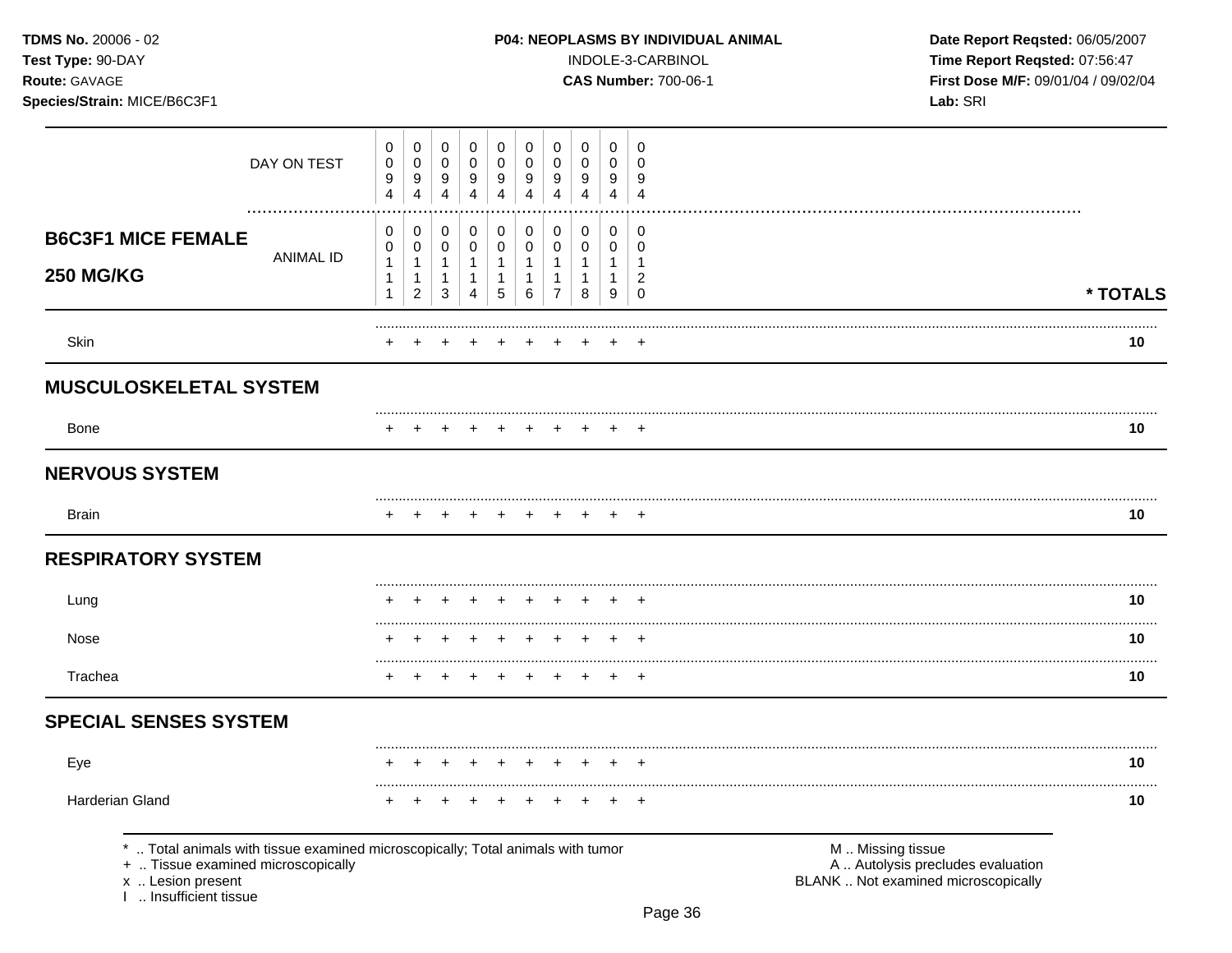TDMS No. 20006 - 02 Test Type: 90-DAY

Species/Strain: MICE/B6C3F1

Route: GAVAGE

### P04: NEOPLASMS BY INDIVIDUAL ANIMAL

INDOLE-3-CARBINOL

**CAS Number: 700-06-1** 

Date Report Reqsted: 06/05/2007 Time Report Reqsted: 07:56:47 First Dose M/F: 09/01/04 / 09/02/04 Lab: SRI

|                                                                                                                                                                   | DAY ON TEST      | 0<br>$\pmb{0}$<br>9<br>$\overline{4}$    | $\mathbf 0$<br>$\mathbf 0$<br>$\boldsymbol{9}$<br>$\overline{4}$       | $\pmb{0}$<br>$\pmb{0}$<br>$\boldsymbol{9}$<br>$\overline{4}$ | $\mathbf 0$<br>$\pmb{0}$<br>9<br>$\overline{4}$                            | 0<br>$\mathbf 0$<br>9<br>$\overline{4}$     | 0<br>$\mathbf 0$<br>9<br>4                                    | 0<br>$\mathbf 0$<br>9<br>4                               | 0<br>$\mathbf 0$<br>9<br>$\overline{4}$             | $\mathbf 0$<br>$\mathbf 0$<br>9<br>4                            | 0<br>$\Omega$<br>9<br>$\overline{4}$                           |                                                                                               |          |
|-------------------------------------------------------------------------------------------------------------------------------------------------------------------|------------------|------------------------------------------|------------------------------------------------------------------------|--------------------------------------------------------------|----------------------------------------------------------------------------|---------------------------------------------|---------------------------------------------------------------|----------------------------------------------------------|-----------------------------------------------------|-----------------------------------------------------------------|----------------------------------------------------------------|-----------------------------------------------------------------------------------------------|----------|
| <b>B6C3F1 MICE FEMALE</b><br><b>250 MG/KG</b>                                                                                                                     | <b>ANIMAL ID</b> | 0<br>$\pmb{0}$<br>$\mathbf{1}$<br>1<br>1 | $\,0\,$<br>$\pmb{0}$<br>$\mathbf{1}$<br>$\mathbf{1}$<br>$\overline{c}$ | 0<br>$\pmb{0}$<br>$\mathbf{1}$<br>$\mathbf{1}$<br>3          | $\pmb{0}$<br>$\mathbf 0$<br>$\mathbf{1}$<br>$\mathbf{1}$<br>$\overline{4}$ | 0<br>0<br>$\mathbf{1}$<br>$\mathbf{1}$<br>5 | $\pmb{0}$<br>$\mathbf 0$<br>$\mathbf{1}$<br>$\mathbf{1}$<br>6 | 0<br>0<br>$\mathbf{1}$<br>$\mathbf{1}$<br>$\overline{7}$ | $\pmb{0}$<br>0<br>$\mathbf{1}$<br>$\mathbf{1}$<br>8 | $\mathbf 0$<br>$\mathbf 0$<br>$\mathbf{1}$<br>$\mathbf{1}$<br>9 | 0<br>$\mathbf 0$<br>$\mathbf{1}$<br>$\overline{2}$<br>$\Omega$ |                                                                                               | * TOTALS |
| Skin                                                                                                                                                              |                  |                                          |                                                                        |                                                              |                                                                            |                                             |                                                               |                                                          |                                                     |                                                                 |                                                                |                                                                                               | 10       |
| <b>MUSCULOSKELETAL SYSTEM</b>                                                                                                                                     |                  |                                          |                                                                        |                                                              |                                                                            |                                             |                                                               |                                                          |                                                     |                                                                 |                                                                |                                                                                               |          |
| <b>Bone</b>                                                                                                                                                       |                  |                                          |                                                                        |                                                              |                                                                            |                                             |                                                               |                                                          |                                                     |                                                                 |                                                                |                                                                                               | 10       |
| <b>NERVOUS SYSTEM</b>                                                                                                                                             |                  |                                          |                                                                        |                                                              |                                                                            |                                             |                                                               |                                                          |                                                     |                                                                 |                                                                |                                                                                               |          |
| <b>Brain</b>                                                                                                                                                      |                  |                                          |                                                                        |                                                              |                                                                            |                                             |                                                               |                                                          |                                                     |                                                                 |                                                                |                                                                                               | 10       |
| <b>RESPIRATORY SYSTEM</b>                                                                                                                                         |                  |                                          |                                                                        |                                                              |                                                                            |                                             |                                                               |                                                          |                                                     |                                                                 |                                                                |                                                                                               |          |
| Lung                                                                                                                                                              |                  |                                          |                                                                        |                                                              |                                                                            |                                             |                                                               |                                                          |                                                     |                                                                 |                                                                |                                                                                               | 10       |
| Nose                                                                                                                                                              |                  |                                          |                                                                        |                                                              |                                                                            |                                             |                                                               |                                                          |                                                     |                                                                 |                                                                |                                                                                               | 10       |
| Trachea                                                                                                                                                           |                  |                                          |                                                                        |                                                              |                                                                            |                                             |                                                               |                                                          |                                                     |                                                                 | +                                                              |                                                                                               | 10       |
| <b>SPECIAL SENSES SYSTEM</b>                                                                                                                                      |                  |                                          |                                                                        |                                                              |                                                                            |                                             |                                                               |                                                          |                                                     |                                                                 |                                                                |                                                                                               |          |
| Eye                                                                                                                                                               |                  |                                          |                                                                        | $\ddot{}$                                                    | $\ddot{}$                                                                  | $\ddot{}$                                   | $\div$                                                        | ÷                                                        | $\div$                                              | $\div$                                                          | $\overline{1}$                                                 |                                                                                               | 10       |
| Harderian Gland                                                                                                                                                   |                  |                                          |                                                                        |                                                              |                                                                            |                                             |                                                               |                                                          |                                                     |                                                                 | <u>+</u>                                                       |                                                                                               | 10       |
| Total animals with tissue examined microscopically; Total animals with tumor<br>+  Tissue examined microscopically<br>x  Lesion present<br>I  Insufficient tissue |                  |                                          |                                                                        |                                                              |                                                                            |                                             |                                                               |                                                          |                                                     |                                                                 |                                                                | M  Missing tissue<br>A  Autolysis precludes evaluation<br>BLANK  Not examined microscopically |          |